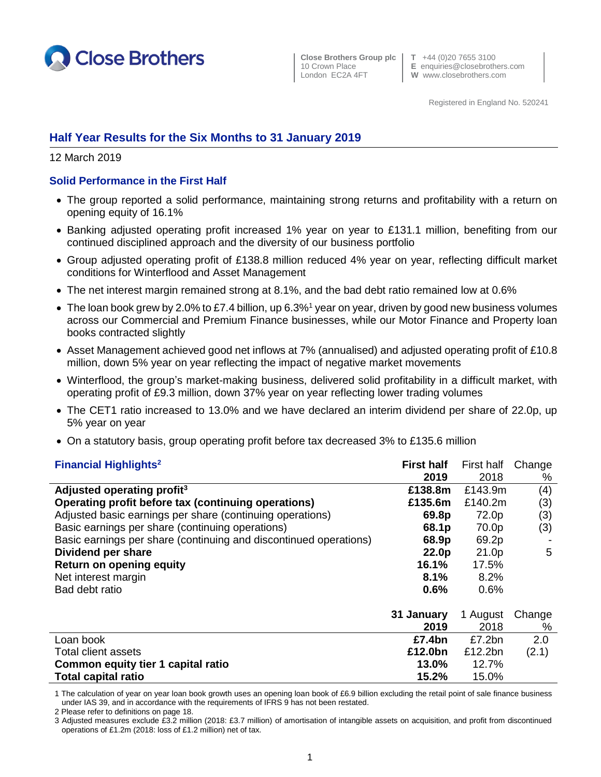

 **Close Brothers Group plc T** +44 (0)20 7655 3100 London EC2A 4FT **W** www.closebrothers.com

10 Crown Place **E** enquiries@closebrothers.com

Registered in England No. 520241

# **Half Year Results for the Six Months to 31 January 2019**

12 March 2019

### **Solid Performance in the First Half**

- The group reported a solid performance, maintaining strong returns and profitability with a return on opening equity of 16.1%
- Banking adjusted operating profit increased 1% year on year to £131.1 million, benefiting from our continued disciplined approach and the diversity of our business portfolio
- Group adjusted operating profit of £138.8 million reduced 4% year on year, reflecting difficult market conditions for Winterflood and Asset Management
- The net interest margin remained strong at 8.1%, and the bad debt ratio remained low at 0.6%
- The loan book grew by 2.0% to £7.4 billion, up 6.3%<sup>1</sup> year on year, driven by good new business volumes across our Commercial and Premium Finance businesses, while our Motor Finance and Property loan books contracted slightly
- Asset Management achieved good net inflows at 7% (annualised) and adjusted operating profit of £10.8 million, down 5% year on year reflecting the impact of negative market movements
- Winterflood, the group's market-making business, delivered solid profitability in a difficult market, with operating profit of £9.3 million, down 37% year on year reflecting lower trading volumes
- The CET1 ratio increased to 13.0% and we have declared an interim dividend per share of 22.0p, up 5% year on year
- On a statutory basis, group operating profit before tax decreased 3% to £135.6 million

| <b>Financial Highlights<sup>2</sup></b>                           | <b>First half</b> | First half | Change |
|-------------------------------------------------------------------|-------------------|------------|--------|
|                                                                   | 2019              | 2018       | %      |
| Adjusted operating profit <sup>3</sup>                            | £138.8m           | £143.9m    | (4)    |
| Operating profit before tax (continuing operations)               | £135.6m           | £140.2m    | (3)    |
| Adjusted basic earnings per share (continuing operations)         | 69.8p             | 72.0p      | (3)    |
| Basic earnings per share (continuing operations)                  | 68.1p             | 70.0p      | (3)    |
| Basic earnings per share (continuing and discontinued operations) | 68.9p             | 69.2p      |        |
| Dividend per share                                                | 22.0p             | 21.0p      | 5      |
| <b>Return on opening equity</b>                                   | 16.1%             | 17.5%      |        |
| Net interest margin                                               | 8.1%              | 8.2%       |        |
| Bad debt ratio                                                    | 0.6%              | 0.6%       |        |
|                                                                   | 31 January        | 1 August   | Change |
|                                                                   | 2019              | 2018       | %      |
| Loan book                                                         | £7.4bn            | £7.2bn     | 2.0    |
| Total client assets                                               | £12.0bn           | £12.2bn    | (2.1)  |
| Common equity tier 1 capital ratio                                | 13.0%             | 12.7%      |        |
| <b>Total capital ratio</b>                                        | 15.2%             | 15.0%      |        |

1 The calculation of year on year loan book growth uses an opening loan book of £6.9 billion excluding the retail point of sale finance business under IAS 39, and in accordance with the requirements of IFRS 9 has not been restated.

2 Please refer to definitions on page 18.

3 Adjusted measures exclude £3.2 million (2018: £3.7 million) of amortisation of intangible assets on acquisition, and profit from discontinued operations of £1.2m (2018: loss of £1.2 million) net of tax.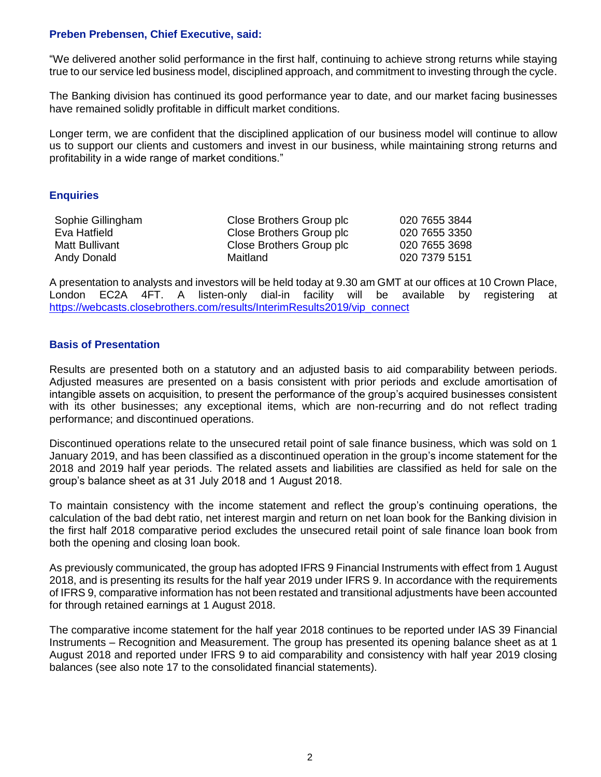### **Preben Prebensen, Chief Executive, said:**

"We delivered another solid performance in the first half, continuing to achieve strong returns while staying true to our service led business model, disciplined approach, and commitment to investing through the cycle.

The Banking division has continued its good performance year to date, and our market facing businesses have remained solidly profitable in difficult market conditions.

Longer term, we are confident that the disciplined application of our business model will continue to allow us to support our clients and customers and invest in our business, while maintaining strong returns and profitability in a wide range of market conditions."

#### **Enquiries**

| Sophie Gillingham | Close Brothers Group plc | 020 7655 3844 |
|-------------------|--------------------------|---------------|
| Eva Hatfield      | Close Brothers Group plc | 020 7655 3350 |
| Matt Bullivant    | Close Brothers Group plc | 020 7655 3698 |
| Andy Donald       | Maitland                 | 020 7379 5151 |

A presentation to analysts and investors will be held today at 9.30 am GMT at our offices at 10 Crown Place, London EC2A 4FT. A listen-only dial-in facility will be available by registering at [https://webcasts.closebrothers.com/results/InterimResults2019/vip\\_connect](https://webcasts.closebrothers.com/results/InterimResults2019/vip_connect)

#### **Basis of Presentation**

Results are presented both on a statutory and an adjusted basis to aid comparability between periods. Adjusted measures are presented on a basis consistent with prior periods and exclude amortisation of intangible assets on acquisition, to present the performance of the group's acquired businesses consistent with its other businesses; any exceptional items, which are non-recurring and do not reflect trading performance; and discontinued operations.

Discontinued operations relate to the unsecured retail point of sale finance business, which was sold on 1 January 2019, and has been classified as a discontinued operation in the group's income statement for the 2018 and 2019 half year periods. The related assets and liabilities are classified as held for sale on the group's balance sheet as at 31 July 2018 and 1 August 2018.

To maintain consistency with the income statement and reflect the group's continuing operations, the calculation of the bad debt ratio, net interest margin and return on net loan book for the Banking division in the first half 2018 comparative period excludes the unsecured retail point of sale finance loan book from both the opening and closing loan book.

As previously communicated, the group has adopted IFRS 9 Financial Instruments with effect from 1 August 2018, and is presenting its results for the half year 2019 under IFRS 9. In accordance with the requirements of IFRS 9, comparative information has not been restated and transitional adjustments have been accounted for through retained earnings at 1 August 2018.

The comparative income statement for the half year 2018 continues to be reported under IAS 39 Financial Instruments – Recognition and Measurement. The group has presented its opening balance sheet as at 1 August 2018 and reported under IFRS 9 to aid comparability and consistency with half year 2019 closing balances (see also note 17 to the consolidated financial statements).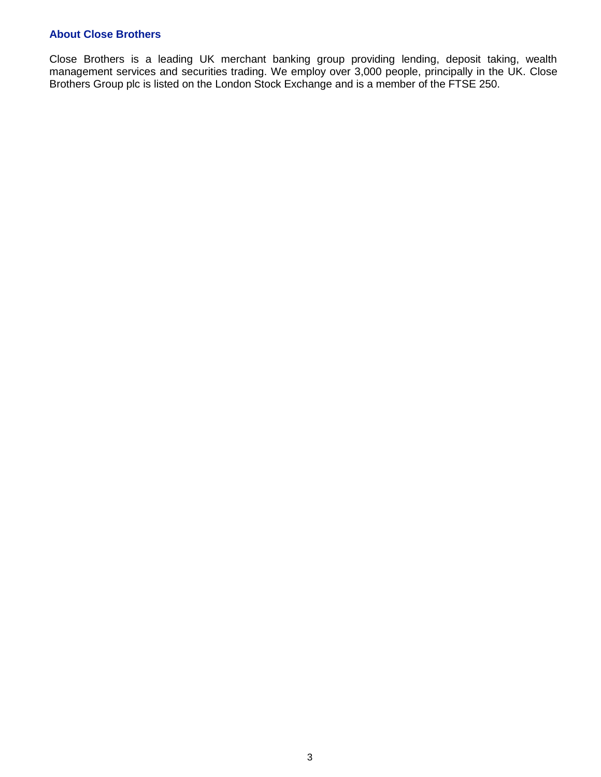### **About Close Brothers**

Close Brothers is a leading UK merchant banking group providing lending, deposit taking, wealth management services and securities trading. We employ over 3,000 people, principally in the UK. Close Brothers Group plc is listed on the London Stock Exchange and is a member of the FTSE 250.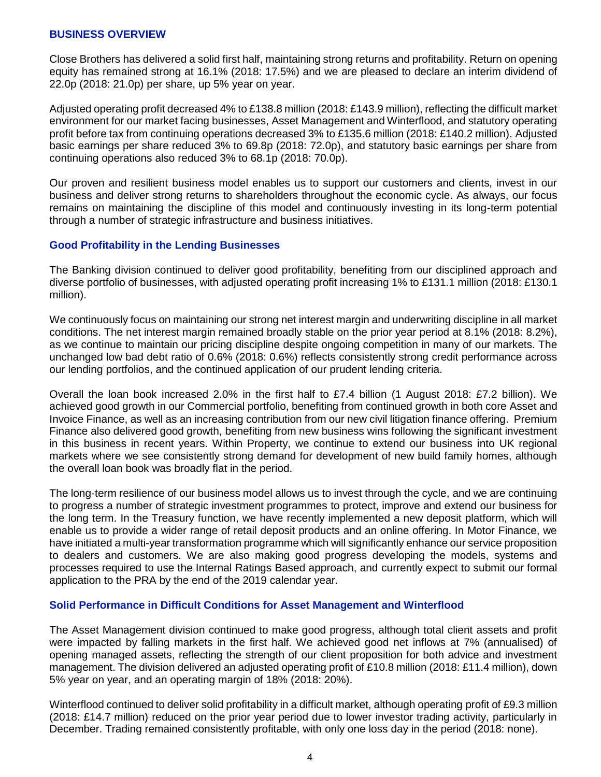### **BUSINESS OVERVIEW**

Close Brothers has delivered a solid first half, maintaining strong returns and profitability. Return on opening equity has remained strong at 16.1% (2018: 17.5%) and we are pleased to declare an interim dividend of 22.0p (2018: 21.0p) per share, up 5% year on year.

Adjusted operating profit decreased 4% to £138.8 million (2018: £143.9 million), reflecting the difficult market environment for our market facing businesses, Asset Management and Winterflood, and statutory operating profit before tax from continuing operations decreased 3% to £135.6 million (2018: £140.2 million). Adjusted basic earnings per share reduced 3% to 69.8p (2018: 72.0p), and statutory basic earnings per share from continuing operations also reduced 3% to 68.1p (2018: 70.0p).

Our proven and resilient business model enables us to support our customers and clients, invest in our business and deliver strong returns to shareholders throughout the economic cycle. As always, our focus remains on maintaining the discipline of this model and continuously investing in its long-term potential through a number of strategic infrastructure and business initiatives.

### **Good Profitability in the Lending Businesses**

The Banking division continued to deliver good profitability, benefiting from our disciplined approach and diverse portfolio of businesses, with adjusted operating profit increasing 1% to £131.1 million (2018: £130.1 million).

We continuously focus on maintaining our strong net interest margin and underwriting discipline in all market conditions. The net interest margin remained broadly stable on the prior year period at 8.1% (2018: 8.2%), as we continue to maintain our pricing discipline despite ongoing competition in many of our markets. The unchanged low bad debt ratio of 0.6% (2018: 0.6%) reflects consistently strong credit performance across our lending portfolios, and the continued application of our prudent lending criteria.

Overall the loan book increased 2.0% in the first half to £7.4 billion (1 August 2018: £7.2 billion). We achieved good growth in our Commercial portfolio, benefiting from continued growth in both core Asset and Invoice Finance, as well as an increasing contribution from our new civil litigation finance offering. Premium Finance also delivered good growth, benefiting from new business wins following the significant investment in this business in recent years. Within Property, we continue to extend our business into UK regional markets where we see consistently strong demand for development of new build family homes, although the overall loan book was broadly flat in the period.

The long-term resilience of our business model allows us to invest through the cycle, and we are continuing to progress a number of strategic investment programmes to protect, improve and extend our business for the long term. In the Treasury function, we have recently implemented a new deposit platform, which will enable us to provide a wider range of retail deposit products and an online offering. In Motor Finance, we have initiated a multi-year transformation programme which will significantly enhance our service proposition to dealers and customers. We are also making good progress developing the models, systems and processes required to use the Internal Ratings Based approach, and currently expect to submit our formal application to the PRA by the end of the 2019 calendar year.

### **Solid Performance in Difficult Conditions for Asset Management and Winterflood**

The Asset Management division continued to make good progress, although total client assets and profit were impacted by falling markets in the first half. We achieved good net inflows at 7% (annualised) of opening managed assets, reflecting the strength of our client proposition for both advice and investment management. The division delivered an adjusted operating profit of £10.8 million (2018: £11.4 million), down 5% year on year, and an operating margin of 18% (2018: 20%).

Winterflood continued to deliver solid profitability in a difficult market, although operating profit of £9.3 million (2018: £14.7 million) reduced on the prior year period due to lower investor trading activity, particularly in December. Trading remained consistently profitable, with only one loss day in the period (2018: none).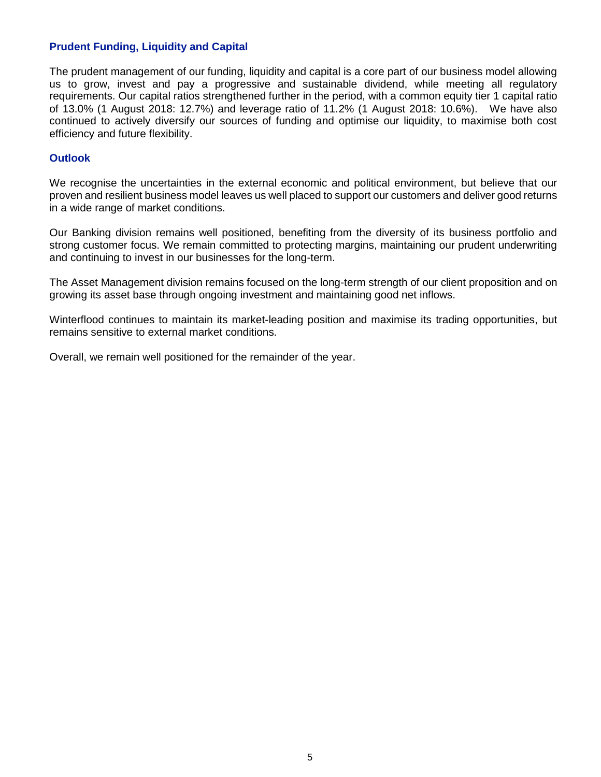### **Prudent Funding, Liquidity and Capital**

The prudent management of our funding, liquidity and capital is a core part of our business model allowing us to grow, invest and pay a progressive and sustainable dividend, while meeting all regulatory requirements. Our capital ratios strengthened further in the period, with a common equity tier 1 capital ratio of 13.0% (1 August 2018: 12.7%) and leverage ratio of 11.2% (1 August 2018: 10.6%). We have also continued to actively diversify our sources of funding and optimise our liquidity, to maximise both cost efficiency and future flexibility.

### **Outlook**

We recognise the uncertainties in the external economic and political environment, but believe that our proven and resilient business model leaves us well placed to support our customers and deliver good returns in a wide range of market conditions.

Our Banking division remains well positioned, benefiting from the diversity of its business portfolio and strong customer focus. We remain committed to protecting margins, maintaining our prudent underwriting and continuing to invest in our businesses for the long-term.

The Asset Management division remains focused on the long-term strength of our client proposition and on growing its asset base through ongoing investment and maintaining good net inflows.

Winterflood continues to maintain its market-leading position and maximise its trading opportunities, but remains sensitive to external market conditions.

Overall, we remain well positioned for the remainder of the year.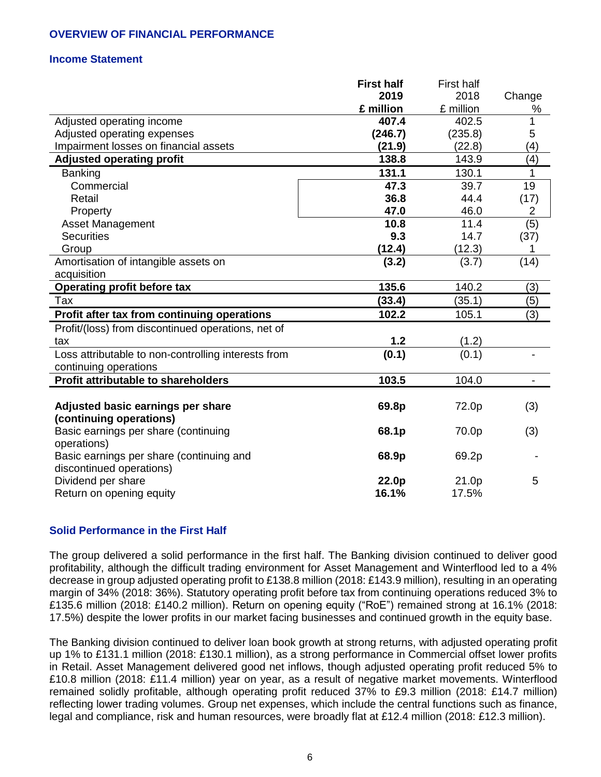# **OVERVIEW OF FINANCIAL PERFORMANCE**

### **Income Statement**

|                                                     | <b>First half</b> | <b>First half</b> |                |
|-----------------------------------------------------|-------------------|-------------------|----------------|
|                                                     | 2019              | 2018              | Change         |
|                                                     | £ million         | £ million         | %              |
| Adjusted operating income                           | 407.4             | 402.5             | 1              |
| Adjusted operating expenses                         | (246.7)           | (235.8)           | 5              |
| Impairment losses on financial assets               | (21.9)            | (22.8)            | (4)            |
| <b>Adjusted operating profit</b>                    | 138.8             | 143.9             | (4)            |
| <b>Banking</b>                                      | 131.1             | 130.1             | 1              |
| Commercial                                          | 47.3              | 39.7              | 19             |
| Retail                                              | 36.8              | 44.4              | (17)           |
| Property                                            | 47.0              | 46.0              | 2              |
| <b>Asset Management</b>                             | 10.8              | 11.4              | (5)            |
| <b>Securities</b>                                   | 9.3               | 14.7              | (37)           |
| Group                                               | (12.4)            | (12.3)            | 1              |
| Amortisation of intangible assets on                | (3.2)             | (3.7)             | (14)           |
| acquisition                                         |                   |                   |                |
| <b>Operating profit before tax</b>                  | 135.6             | 140.2             | (3)            |
| Tax                                                 | (33.4)            | (35.1)            | (5)            |
| Profit after tax from continuing operations         | 102.2             | 105.1             | (3)            |
| Profit/(loss) from discontinued operations, net of  |                   |                   |                |
| tax                                                 | 1.2               | (1.2)             |                |
| Loss attributable to non-controlling interests from | (0.1)             | (0.1)             |                |
| continuing operations                               |                   |                   |                |
| <b>Profit attributable to shareholders</b>          | 103.5             | 104.0             | $\blacksquare$ |
|                                                     |                   |                   |                |
| Adjusted basic earnings per share                   | 69.8p             | 72.0p             | (3)            |
| (continuing operations)                             |                   |                   |                |
| Basic earnings per share (continuing                | 68.1p             | 70.0p             | (3)            |
| operations)                                         |                   |                   |                |
| Basic earnings per share (continuing and            | 68.9p             | 69.2p             |                |
| discontinued operations)                            |                   |                   |                |
| Dividend per share                                  | 22.0p             | 21.0p             | 5              |
| Return on opening equity                            | 16.1%             | 17.5%             |                |

### **Solid Performance in the First Half**

The group delivered a solid performance in the first half. The Banking division continued to deliver good profitability, although the difficult trading environment for Asset Management and Winterflood led to a 4% decrease in group adjusted operating profit to £138.8 million (2018: £143.9 million), resulting in an operating margin of 34% (2018: 36%). Statutory operating profit before tax from continuing operations reduced 3% to £135.6 million (2018: £140.2 million). Return on opening equity ("RoE") remained strong at 16.1% (2018: 17.5%) despite the lower profits in our market facing businesses and continued growth in the equity base.

The Banking division continued to deliver loan book growth at strong returns, with adjusted operating profit up 1% to £131.1 million (2018: £130.1 million), as a strong performance in Commercial offset lower profits in Retail. Asset Management delivered good net inflows, though adjusted operating profit reduced 5% to £10.8 million (2018: £11.4 million) year on year, as a result of negative market movements. Winterflood remained solidly profitable, although operating profit reduced 37% to £9.3 million (2018: £14.7 million) reflecting lower trading volumes. Group net expenses, which include the central functions such as finance, legal and compliance, risk and human resources, were broadly flat at £12.4 million (2018: £12.3 million).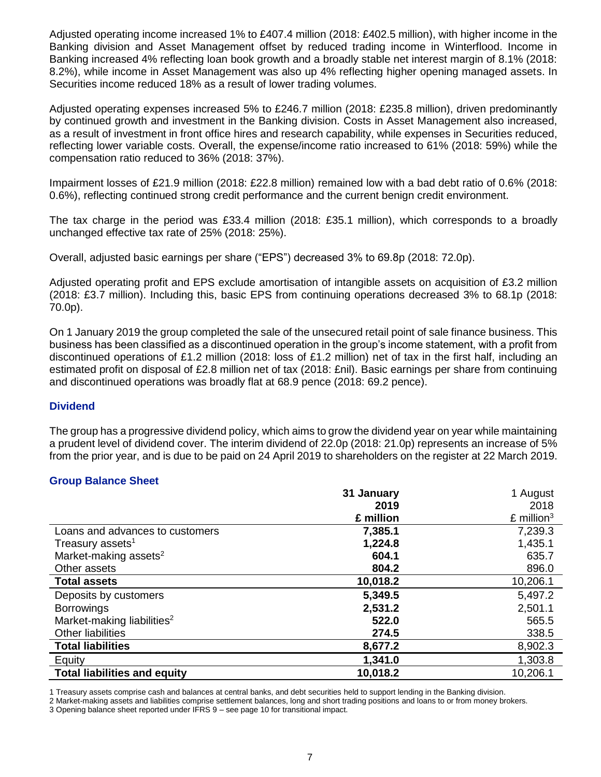Adjusted operating income increased 1% to £407.4 million (2018: £402.5 million), with higher income in the Banking division and Asset Management offset by reduced trading income in Winterflood. Income in Banking increased 4% reflecting loan book growth and a broadly stable net interest margin of 8.1% (2018: 8.2%), while income in Asset Management was also up 4% reflecting higher opening managed assets. In Securities income reduced 18% as a result of lower trading volumes.

Adjusted operating expenses increased 5% to £246.7 million (2018: £235.8 million), driven predominantly by continued growth and investment in the Banking division. Costs in Asset Management also increased, as a result of investment in front office hires and research capability, while expenses in Securities reduced, reflecting lower variable costs. Overall, the expense/income ratio increased to 61% (2018: 59%) while the compensation ratio reduced to 36% (2018: 37%).

Impairment losses of £21.9 million (2018: £22.8 million) remained low with a bad debt ratio of 0.6% (2018: 0.6%), reflecting continued strong credit performance and the current benign credit environment.

The tax charge in the period was £33.4 million (2018: £35.1 million), which corresponds to a broadly unchanged effective tax rate of 25% (2018: 25%).

Overall, adjusted basic earnings per share ("EPS") decreased 3% to 69.8p (2018: 72.0p).

Adjusted operating profit and EPS exclude amortisation of intangible assets on acquisition of £3.2 million (2018: £3.7 million). Including this, basic EPS from continuing operations decreased 3% to 68.1p (2018: 70.0p).

On 1 January 2019 the group completed the sale of the unsecured retail point of sale finance business. This business has been classified as a discontinued operation in the group's income statement, with a profit from discontinued operations of £1.2 million (2018: loss of £1.2 million) net of tax in the first half, including an estimated profit on disposal of £2.8 million net of tax (2018: £nil). Basic earnings per share from continuing and discontinued operations was broadly flat at 68.9 pence (2018: 69.2 pence).

### **Dividend**

The group has a progressive dividend policy, which aims to grow the dividend year on year while maintaining a prudent level of dividend cover. The interim dividend of 22.0p (2018: 21.0p) represents an increase of 5% from the prior year, and is due to be paid on 24 April 2019 to shareholders on the register at 22 March 2019.

### **Group Balance Sheet**

|                                        | 31 January | 1 August                 |
|----------------------------------------|------------|--------------------------|
|                                        | 2019       | 2018                     |
|                                        | £ million  | $£$ million <sup>3</sup> |
| Loans and advances to customers        | 7,385.1    | 7,239.3                  |
| Treasury assets <sup>1</sup>           | 1,224.8    | 1,435.1                  |
| Market-making assets <sup>2</sup>      | 604.1      | 635.7                    |
| Other assets                           | 804.2      | 896.0                    |
| <b>Total assets</b>                    | 10,018.2   | 10,206.1                 |
| Deposits by customers                  | 5,349.5    | 5,497.2                  |
| <b>Borrowings</b>                      | 2,531.2    | 2,501.1                  |
| Market-making liabilities <sup>2</sup> | 522.0      | 565.5                    |
| <b>Other liabilities</b>               | 274.5      | 338.5                    |
| <b>Total liabilities</b>               | 8,677.2    | 8,902.3                  |
| Equity                                 | 1,341.0    | 1,303.8                  |
| <b>Total liabilities and equity</b>    | 10,018.2   | 10,206.1                 |

1 Treasury assets comprise cash and balances at central banks, and debt securities held to support lending in the Banking division.

2 Market-making assets and liabilities comprise settlement balances, long and short trading positions and loans to or from money brokers.

3 Opening balance sheet reported under IFRS 9 – see page 10 for transitional impact.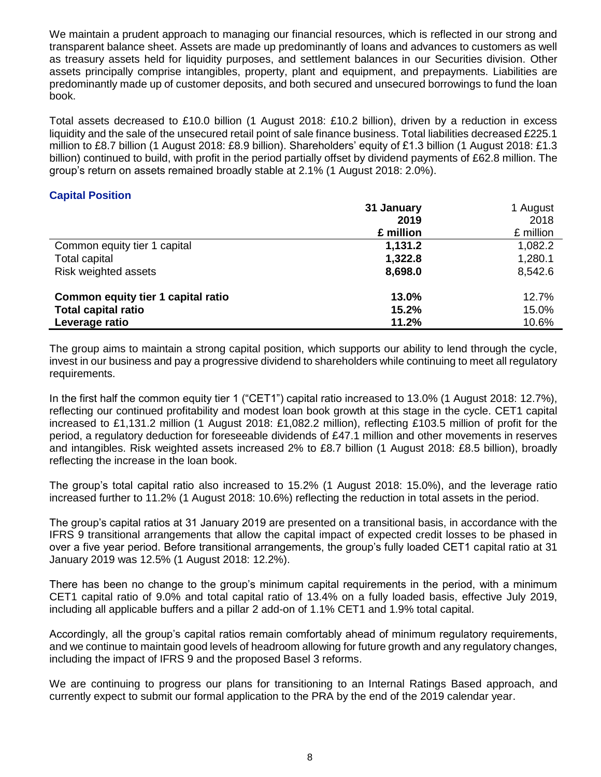We maintain a prudent approach to managing our financial resources, which is reflected in our strong and transparent balance sheet. Assets are made up predominantly of loans and advances to customers as well as treasury assets held for liquidity purposes, and settlement balances in our Securities division. Other assets principally comprise intangibles, property, plant and equipment, and prepayments. Liabilities are predominantly made up of customer deposits, and both secured and unsecured borrowings to fund the loan book.

Total assets decreased to £10.0 billion (1 August 2018: £10.2 billion), driven by a reduction in excess liquidity and the sale of the unsecured retail point of sale finance business. Total liabilities decreased £225.1 million to £8.7 billion (1 August 2018: £8.9 billion). Shareholders' equity of £1.3 billion (1 August 2018: £1.3 billion) continued to build, with profit in the period partially offset by dividend payments of £62.8 million. The group's return on assets remained broadly stable at 2.1% (1 August 2018: 2.0%).

### **Capital Position**

|                                    | 31 January | 1 August  |
|------------------------------------|------------|-----------|
|                                    | 2019       | 2018      |
|                                    | £ million  | £ million |
| Common equity tier 1 capital       | 1,131.2    | 1,082.2   |
| Total capital                      | 1,322.8    | 1,280.1   |
| Risk weighted assets               | 8,698.0    | 8,542.6   |
| Common equity tier 1 capital ratio | 13.0%      | 12.7%     |
| <b>Total capital ratio</b>         | 15.2%      | 15.0%     |
| Leverage ratio                     | 11.2%      | 10.6%     |

The group aims to maintain a strong capital position, which supports our ability to lend through the cycle, invest in our business and pay a progressive dividend to shareholders while continuing to meet all regulatory requirements.

In the first half the common equity tier 1 ("CET1") capital ratio increased to 13.0% (1 August 2018: 12.7%), reflecting our continued profitability and modest loan book growth at this stage in the cycle. CET1 capital increased to £1,131.2 million (1 August 2018: £1,082.2 million), reflecting £103.5 million of profit for the period, a regulatory deduction for foreseeable dividends of £47.1 million and other movements in reserves and intangibles. Risk weighted assets increased 2% to £8.7 billion (1 August 2018: £8.5 billion), broadly reflecting the increase in the loan book.

The group's total capital ratio also increased to 15.2% (1 August 2018: 15.0%), and the leverage ratio increased further to 11.2% (1 August 2018: 10.6%) reflecting the reduction in total assets in the period.

The group's capital ratios at 31 January 2019 are presented on a transitional basis, in accordance with the IFRS 9 transitional arrangements that allow the capital impact of expected credit losses to be phased in over a five year period. Before transitional arrangements, the group's fully loaded CET1 capital ratio at 31 January 2019 was 12.5% (1 August 2018: 12.2%).

There has been no change to the group's minimum capital requirements in the period, with a minimum CET1 capital ratio of 9.0% and total capital ratio of 13.4% on a fully loaded basis, effective July 2019, including all applicable buffers and a pillar 2 add-on of 1.1% CET1 and 1.9% total capital.

Accordingly, all the group's capital ratios remain comfortably ahead of minimum regulatory requirements, and we continue to maintain good levels of headroom allowing for future growth and any regulatory changes, including the impact of IFRS 9 and the proposed Basel 3 reforms.

We are continuing to progress our plans for transitioning to an Internal Ratings Based approach, and currently expect to submit our formal application to the PRA by the end of the 2019 calendar year.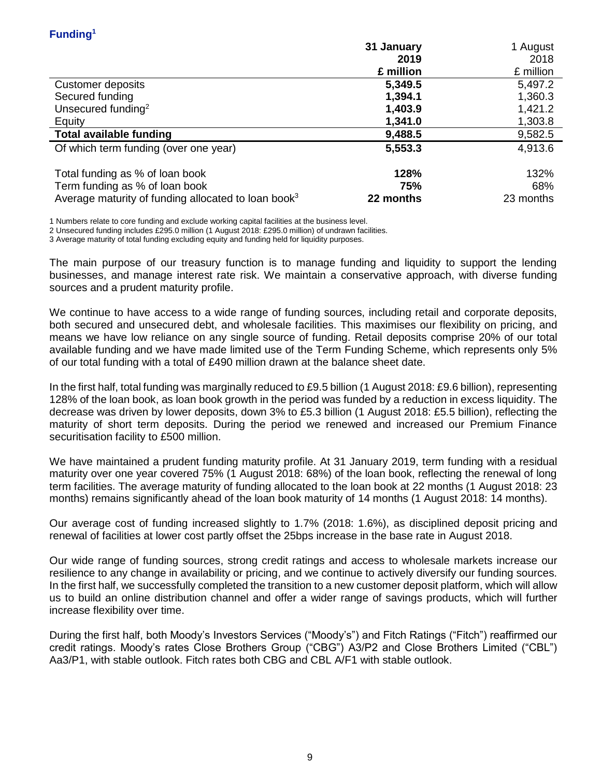|                                                                 | 31 January | 1 August  |
|-----------------------------------------------------------------|------------|-----------|
|                                                                 | 2019       | 2018      |
|                                                                 | £ million  | £ million |
| Customer deposits                                               | 5,349.5    | 5,497.2   |
| Secured funding                                                 | 1,394.1    | 1,360.3   |
| Unsecured funding <sup>2</sup>                                  | 1,403.9    | 1,421.2   |
| Equity                                                          | 1,341.0    | 1,303.8   |
| <b>Total available funding</b>                                  | 9,488.5    | 9,582.5   |
| Of which term funding (over one year)                           | 5,553.3    | 4,913.6   |
| Total funding as % of loan book                                 | 128%       | 132%      |
| Term funding as % of loan book                                  | 75%        | 68%       |
| Average maturity of funding allocated to loan book <sup>3</sup> | 22 months  | 23 months |

1 Numbers relate to core funding and exclude working capital facilities at the business level.

2 Unsecured funding includes £295.0 million (1 August 2018: £295.0 million) of undrawn facilities.

3 Average maturity of total funding excluding equity and funding held for liquidity purposes.

The main purpose of our treasury function is to manage funding and liquidity to support the lending businesses, and manage interest rate risk. We maintain a conservative approach, with diverse funding sources and a prudent maturity profile.

We continue to have access to a wide range of funding sources, including retail and corporate deposits, both secured and unsecured debt, and wholesale facilities. This maximises our flexibility on pricing, and means we have low reliance on any single source of funding. Retail deposits comprise 20% of our total available funding and we have made limited use of the Term Funding Scheme, which represents only 5% of our total funding with a total of £490 million drawn at the balance sheet date.

In the first half, total funding was marginally reduced to £9.5 billion (1 August 2018: £9.6 billion), representing 128% of the loan book, as loan book growth in the period was funded by a reduction in excess liquidity. The decrease was driven by lower deposits, down 3% to £5.3 billion (1 August 2018: £5.5 billion), reflecting the maturity of short term deposits. During the period we renewed and increased our Premium Finance securitisation facility to £500 million.

We have maintained a prudent funding maturity profile. At 31 January 2019, term funding with a residual maturity over one year covered 75% (1 August 2018: 68%) of the loan book, reflecting the renewal of long term facilities. The average maturity of funding allocated to the loan book at 22 months (1 August 2018: 23 months) remains significantly ahead of the loan book maturity of 14 months (1 August 2018: 14 months).

Our average cost of funding increased slightly to 1.7% (2018: 1.6%), as disciplined deposit pricing and renewal of facilities at lower cost partly offset the 25bps increase in the base rate in August 2018.

Our wide range of funding sources, strong credit ratings and access to wholesale markets increase our resilience to any change in availability or pricing, and we continue to actively diversify our funding sources. In the first half, we successfully completed the transition to a new customer deposit platform, which will allow us to build an online distribution channel and offer a wider range of savings products, which will further increase flexibility over time.

During the first half, both Moody's Investors Services ("Moody's") and Fitch Ratings ("Fitch") reaffirmed our credit ratings. Moody's rates Close Brothers Group ("CBG") A3/P2 and Close Brothers Limited ("CBL") Aa3/P1, with stable outlook. Fitch rates both CBG and CBL A/F1 with stable outlook.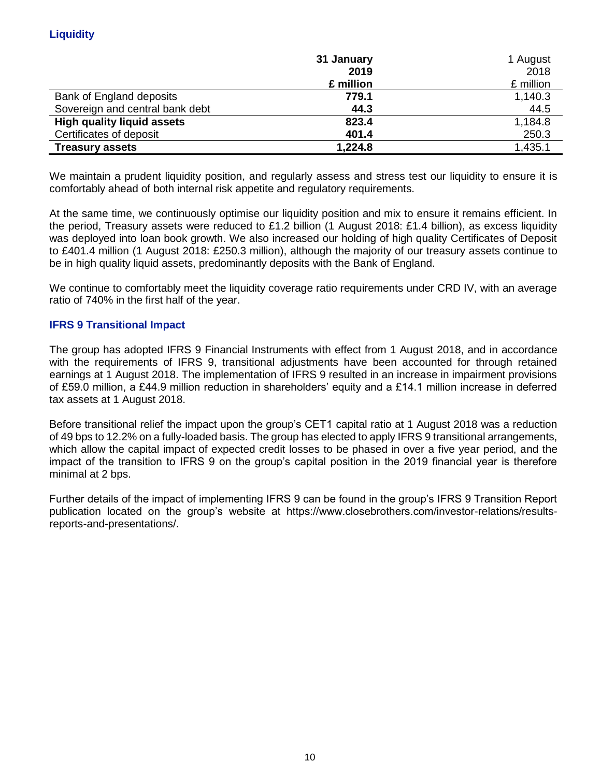|                                   | 31 January | 1 August  |
|-----------------------------------|------------|-----------|
|                                   | 2019       | 2018      |
|                                   | £ million  | £ million |
| Bank of England deposits          | 779.1      | 1,140.3   |
| Sovereign and central bank debt   | 44.3       | 44.5      |
| <b>High quality liquid assets</b> | 823.4      | 1,184.8   |
| Certificates of deposit           | 401.4      | 250.3     |
| <b>Treasury assets</b>            | 1,224.8    | 1,435.1   |

We maintain a prudent liquidity position, and regularly assess and stress test our liquidity to ensure it is comfortably ahead of both internal risk appetite and regulatory requirements.

At the same time, we continuously optimise our liquidity position and mix to ensure it remains efficient. In the period, Treasury assets were reduced to £1.2 billion (1 August 2018: £1.4 billion), as excess liquidity was deployed into loan book growth. We also increased our holding of high quality Certificates of Deposit to £401.4 million (1 August 2018: £250.3 million), although the majority of our treasury assets continue to be in high quality liquid assets, predominantly deposits with the Bank of England.

We continue to comfortably meet the liquidity coverage ratio requirements under CRD IV, with an average ratio of 740% in the first half of the year.

### **IFRS 9 Transitional Impact**

The group has adopted IFRS 9 Financial Instruments with effect from 1 August 2018, and in accordance with the requirements of IFRS 9, transitional adjustments have been accounted for through retained earnings at 1 August 2018. The implementation of IFRS 9 resulted in an increase in impairment provisions of £59.0 million, a £44.9 million reduction in shareholders' equity and a £14.1 million increase in deferred tax assets at 1 August 2018.

Before transitional relief the impact upon the group's CET1 capital ratio at 1 August 2018 was a reduction of 49 bps to 12.2% on a fully-loaded basis. The group has elected to apply IFRS 9 transitional arrangements, which allow the capital impact of expected credit losses to be phased in over a five year period, and the impact of the transition to IFRS 9 on the group's capital position in the 2019 financial year is therefore minimal at 2 bps.

Further details of the impact of implementing IFRS 9 can be found in the group's IFRS 9 Transition Report publication located on the group's website at https://www.closebrothers.com/investor-relations/resultsreports-and-presentations/.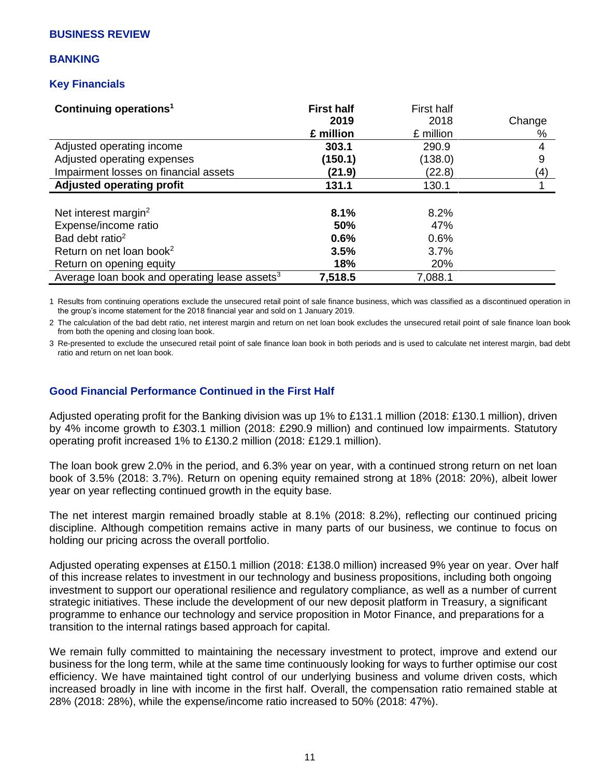### **BUSINESS REVIEW**

### **BANKING**

### **Key Financials**

| Continuing operations <sup>1</sup>                        | <b>First half</b> | First half |        |
|-----------------------------------------------------------|-------------------|------------|--------|
|                                                           | 2019              | 2018       | Change |
|                                                           | £ million         | £ million  | %      |
| Adjusted operating income                                 | 303.1             | 290.9      | 4      |
| Adjusted operating expenses                               | (150.1)           | (138.0)    | 9      |
| Impairment losses on financial assets                     | (21.9)            | (22.8)     | (4)    |
| <b>Adjusted operating profit</b>                          | 131.1             | 130.1      |        |
|                                                           |                   |            |        |
| Net interest margin <sup>2</sup>                          | 8.1%              | 8.2%       |        |
| Expense/income ratio                                      | 50%               | 47%        |        |
| Bad debt ratio <sup>2</sup>                               | 0.6%              | 0.6%       |        |
| Return on net loan book <sup>2</sup>                      | 3.5%              | 3.7%       |        |
| Return on opening equity                                  | 18%               | 20%        |        |
| Average loan book and operating lease assets <sup>3</sup> | 7,518.5           | 7,088.1    |        |

1 Results from continuing operations exclude the unsecured retail point of sale finance business, which was classified as a discontinued operation in the group's income statement for the 2018 financial year and sold on 1 January 2019.

2 The calculation of the bad debt ratio, net interest margin and return on net loan book excludes the unsecured retail point of sale finance loan book from both the opening and closing loan book.

3 Re-presented to exclude the unsecured retail point of sale finance loan book in both periods and is used to calculate net interest margin, bad debt ratio and return on net loan book.

### **Good Financial Performance Continued in the First Half**

Adjusted operating profit for the Banking division was up 1% to £131.1 million (2018: £130.1 million), driven by 4% income growth to £303.1 million (2018: £290.9 million) and continued low impairments. Statutory operating profit increased 1% to £130.2 million (2018: £129.1 million).

The loan book grew 2.0% in the period, and 6.3% year on year, with a continued strong return on net loan book of 3.5% (2018: 3.7%). Return on opening equity remained strong at 18% (2018: 20%), albeit lower year on year reflecting continued growth in the equity base.

The net interest margin remained broadly stable at 8.1% (2018: 8.2%), reflecting our continued pricing discipline. Although competition remains active in many parts of our business, we continue to focus on holding our pricing across the overall portfolio.

Adjusted operating expenses at £150.1 million (2018: £138.0 million) increased 9% year on year. Over half of this increase relates to investment in our technology and business propositions, including both ongoing investment to support our operational resilience and regulatory compliance, as well as a number of current strategic initiatives. These include the development of our new deposit platform in Treasury, a significant programme to enhance our technology and service proposition in Motor Finance, and preparations for a transition to the internal ratings based approach for capital.

We remain fully committed to maintaining the necessary investment to protect, improve and extend our business for the long term, while at the same time continuously looking for ways to further optimise our cost efficiency. We have maintained tight control of our underlying business and volume driven costs, which increased broadly in line with income in the first half. Overall, the compensation ratio remained stable at 28% (2018: 28%), while the expense/income ratio increased to 50% (2018: 47%).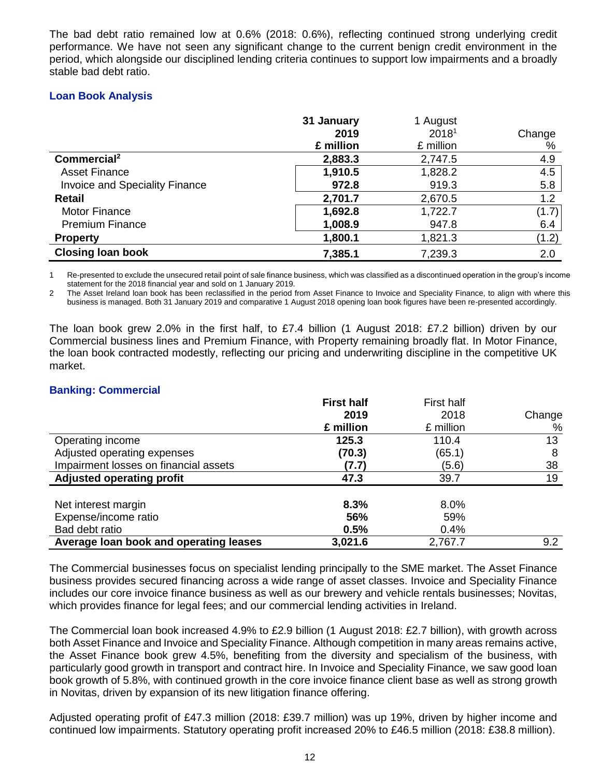The bad debt ratio remained low at 0.6% (2018: 0.6%), reflecting continued strong underlying credit performance. We have not seen any significant change to the current benign credit environment in the period, which alongside our disciplined lending criteria continues to support low impairments and a broadly stable bad debt ratio.

## **Loan Book Analysis**

|                                       | 31 January | 1 August  |        |
|---------------------------------------|------------|-----------|--------|
|                                       | 2019       | 20181     | Change |
|                                       | £ million  | £ million | %      |
| Commercial <sup>2</sup>               | 2,883.3    | 2,747.5   | 4.9    |
| <b>Asset Finance</b>                  | 1,910.5    | 1,828.2   | 4.5    |
| <b>Invoice and Speciality Finance</b> | 972.8      | 919.3     | 5.8    |
| <b>Retail</b>                         | 2,701.7    | 2,670.5   | 1.2    |
| <b>Motor Finance</b>                  | 1,692.8    | 1,722.7   | (1.7)  |
| <b>Premium Finance</b>                | 1,008.9    | 947.8     | 6.4    |
| <b>Property</b>                       | 1,800.1    | 1,821.3   | (1.2)  |
| <b>Closing loan book</b>              | 7,385.1    | 7,239.3   | 2.0    |

1 Re-presented to exclude the unsecured retail point of sale finance business, which was classified as a discontinued operation in the group's income statement for the 2018 financial year and sold on 1 January 2019.

2 The Asset Ireland loan book has been reclassified in the period from Asset Finance to Invoice and Speciality Finance, to align with where this business is managed. Both 31 January 2019 and comparative 1 August 2018 opening loan book figures have been re-presented accordingly.

The loan book grew 2.0% in the first half, to £7.4 billion (1 August 2018: £7.2 billion) driven by our Commercial business lines and Premium Finance, with Property remaining broadly flat. In Motor Finance, the loan book contracted modestly, reflecting our pricing and underwriting discipline in the competitive UK market.

### **Banking: Commercial**

|                                        | <b>First half</b> | <b>First half</b> |        |
|----------------------------------------|-------------------|-------------------|--------|
|                                        | 2019              | 2018              | Change |
|                                        | £ million         | £ million         | %      |
| Operating income                       | 125.3             | 110.4             | 13     |
| Adjusted operating expenses            | (70.3)            | (65.1)            | 8      |
| Impairment losses on financial assets  | (7.7)             | (5.6)             | 38     |
| <b>Adjusted operating profit</b>       | 47.3              | 39.7              | 19     |
| Net interest margin                    | 8.3%              | $8.0\%$           |        |
| Expense/income ratio                   | 56%               | 59%               |        |
| Bad debt ratio                         | 0.5%              | 0.4%              |        |
| Average loan book and operating leases | 3,021.6           | 2,767.7           | 9.2    |

The Commercial businesses focus on specialist lending principally to the SME market. The Asset Finance business provides secured financing across a wide range of asset classes. Invoice and Speciality Finance includes our core invoice finance business as well as our brewery and vehicle rentals businesses; Novitas, which provides finance for legal fees; and our commercial lending activities in Ireland.

The Commercial loan book increased 4.9% to £2.9 billion (1 August 2018: £2.7 billion), with growth across both Asset Finance and Invoice and Speciality Finance. Although competition in many areas remains active, the Asset Finance book grew 4.5%, benefiting from the diversity and specialism of the business, with particularly good growth in transport and contract hire. In Invoice and Speciality Finance, we saw good loan book growth of 5.8%, with continued growth in the core invoice finance client base as well as strong growth in Novitas, driven by expansion of its new litigation finance offering.

Adjusted operating profit of £47.3 million (2018: £39.7 million) was up 19%, driven by higher income and continued low impairments. Statutory operating profit increased 20% to £46.5 million (2018: £38.8 million).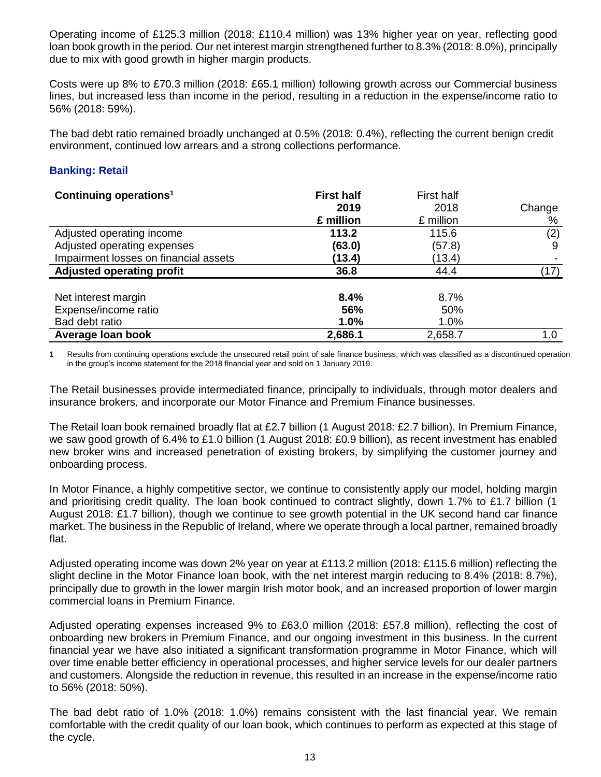Operating income of £125.3 million (2018: £110.4 million) was 13% higher year on year, reflecting good loan book growth in the period. Our net interest margin strengthened further to 8.3% (2018: 8.0%), principally due to mix with good growth in higher margin products.

Costs were up 8% to £70.3 million (2018: £65.1 million) following growth across our Commercial business lines, but increased less than income in the period, resulting in a reduction in the expense/income ratio to 56% (2018: 59%).

The bad debt ratio remained broadly unchanged at 0.5% (2018: 0.4%), reflecting the current benign credit environment, continued low arrears and a strong collections performance.

### **Banking: Retail**

| Continuing operations <sup>1</sup>    | <b>First half</b> | First half |        |
|---------------------------------------|-------------------|------------|--------|
|                                       | 2019              | 2018       | Change |
|                                       | £ million         | £ million  | %      |
| Adjusted operating income             | 113.2             | 115.6      | (2)    |
| Adjusted operating expenses           | (63.0)            | (57.8)     | 9      |
| Impairment losses on financial assets | (13.4)            | (13.4)     |        |
| <b>Adjusted operating profit</b>      | 36.8              | 44.4       | (17)   |
|                                       |                   |            |        |
| Net interest margin                   | 8.4%              | 8.7%       |        |
| Expense/income ratio                  | 56%               | 50%        |        |
| Bad debt ratio                        | 1.0%              | 1.0%       |        |
| Average Ioan book                     | 2,686.1           | 2,658.7    | 1.0    |

1 Results from continuing operations exclude the unsecured retail point of sale finance business, which was classified as a discontinued operation in the group's income statement for the 2018 financial year and sold on 1 January 2019.

The Retail businesses provide intermediated finance, principally to individuals, through motor dealers and insurance brokers, and incorporate our Motor Finance and Premium Finance businesses.

The Retail loan book remained broadly flat at £2.7 billion (1 August 2018: £2.7 billion). In Premium Finance, we saw good growth of 6.4% to £1.0 billion (1 August 2018: £0.9 billion), as recent investment has enabled new broker wins and increased penetration of existing brokers, by simplifying the customer journey and onboarding process.

In Motor Finance, a highly competitive sector, we continue to consistently apply our model, holding margin and prioritising credit quality. The loan book continued to contract slightly, down 1.7% to £1.7 billion (1 August 2018: £1.7 billion), though we continue to see growth potential in the UK second hand car finance market. The business in the Republic of Ireland, where we operate through a local partner, remained broadly flat.

Adjusted operating income was down 2% year on year at £113.2 million (2018: £115.6 million) reflecting the slight decline in the Motor Finance loan book, with the net interest margin reducing to 8.4% (2018: 8.7%), principally due to growth in the lower margin Irish motor book, and an increased proportion of lower margin commercial loans in Premium Finance.

Adjusted operating expenses increased 9% to £63.0 million (2018: £57.8 million), reflecting the cost of onboarding new brokers in Premium Finance, and our ongoing investment in this business. In the current financial year we have also initiated a significant transformation programme in Motor Finance, which will over time enable better efficiency in operational processes, and higher service levels for our dealer partners and customers. Alongside the reduction in revenue, this resulted in an increase in the expense/income ratio to 56% (2018: 50%).

The bad debt ratio of 1.0% (2018: 1.0%) remains consistent with the last financial year. We remain comfortable with the credit quality of our loan book, which continues to perform as expected at this stage of the cycle.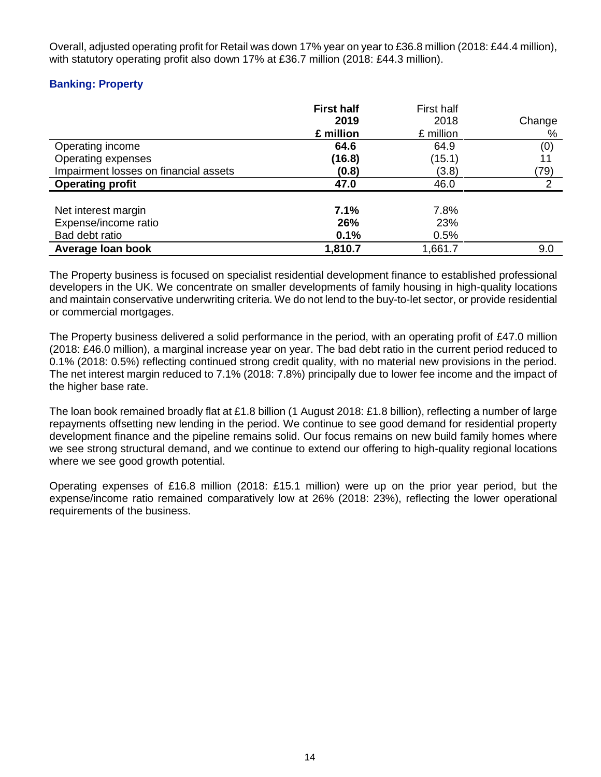Overall, adjusted operating profit for Retail was down 17% year on year to £36.8 million (2018: £44.4 million), with statutory operating profit also down 17% at £36.7 million (2018: £44.3 million).

# **Banking: Property**

|                                                               | <b>First half</b><br>2019<br>£ million | First half<br>2018<br>£ million | Change<br>% |
|---------------------------------------------------------------|----------------------------------------|---------------------------------|-------------|
| Operating income                                              | 64.6                                   | 64.9                            | (0)         |
| Operating expenses                                            | (16.8)                                 | (15.1)                          | 11          |
| Impairment losses on financial assets                         | (0.8)                                  | (3.8)                           | (79)        |
| <b>Operating profit</b>                                       | 47.0                                   | 46.0                            | 2           |
| Net interest margin<br>Expense/income ratio<br>Bad debt ratio | 7.1%<br>26%<br>0.1%                    | 7.8%<br>23%<br>0.5%             |             |
| Average loan book                                             | 1,810.7                                | 1,661.7                         | 9.0         |

The Property business is focused on specialist residential development finance to established professional developers in the UK. We concentrate on smaller developments of family housing in high-quality locations and maintain conservative underwriting criteria. We do not lend to the buy-to-let sector, or provide residential or commercial mortgages.

The Property business delivered a solid performance in the period, with an operating profit of £47.0 million (2018: £46.0 million), a marginal increase year on year. The bad debt ratio in the current period reduced to 0.1% (2018: 0.5%) reflecting continued strong credit quality, with no material new provisions in the period. The net interest margin reduced to 7.1% (2018: 7.8%) principally due to lower fee income and the impact of the higher base rate.

The loan book remained broadly flat at £1.8 billion (1 August 2018: £1.8 billion), reflecting a number of large repayments offsetting new lending in the period. We continue to see good demand for residential property development finance and the pipeline remains solid. Our focus remains on new build family homes where we see strong structural demand, and we continue to extend our offering to high-quality regional locations where we see good growth potential.

Operating expenses of £16.8 million (2018: £15.1 million) were up on the prior year period, but the expense/income ratio remained comparatively low at 26% (2018: 23%), reflecting the lower operational requirements of the business.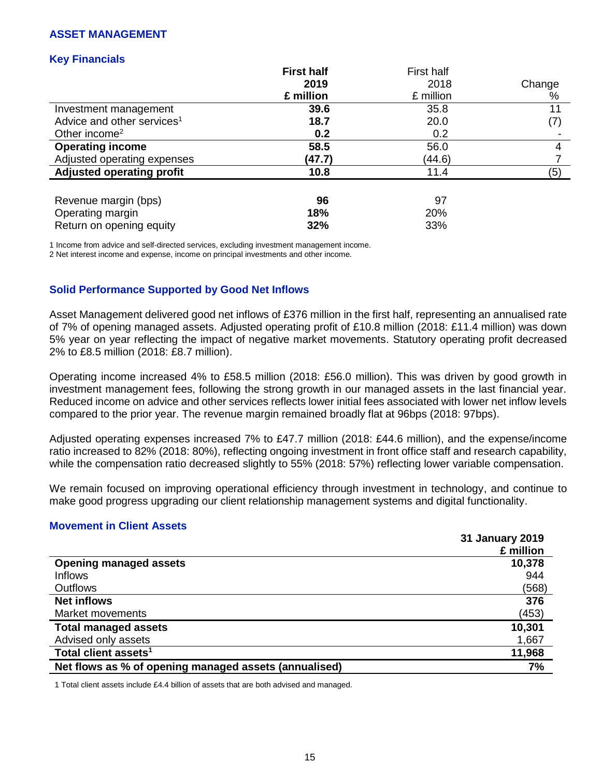### **ASSET MANAGEMENT**

### **Key Financials**

|                                        | <b>First half</b> | First half |                   |
|----------------------------------------|-------------------|------------|-------------------|
|                                        | 2019              | 2018       | Change            |
|                                        | £ million         | £ million  | %                 |
| Investment management                  | 39.6              | 35.8       | 11                |
| Advice and other services <sup>1</sup> | 18.7              | 20.0       | $\left( 7\right)$ |
| Other income <sup>2</sup>              | 0.2               | 0.2        |                   |
| <b>Operating income</b>                | 58.5              | 56.0       | 4                 |
| Adjusted operating expenses            | (47.7)            | (44.6)     |                   |
| <b>Adjusted operating profit</b>       | 10.8              | 11.4       | (5)               |
|                                        |                   |            |                   |
| Revenue margin (bps)                   | 96                | 97         |                   |
| Operating margin                       | 18%               | 20%        |                   |
| Return on opening equity               | 32%               | 33%        |                   |

1 Income from advice and self-directed services, excluding investment management income.

2 Net interest income and expense, income on principal investments and other income.

### **Solid Performance Supported by Good Net Inflows**

Asset Management delivered good net inflows of £376 million in the first half, representing an annualised rate of 7% of opening managed assets. Adjusted operating profit of £10.8 million (2018: £11.4 million) was down 5% year on year reflecting the impact of negative market movements. Statutory operating profit decreased 2% to £8.5 million (2018: £8.7 million).

Operating income increased 4% to £58.5 million (2018: £56.0 million). This was driven by good growth in investment management fees, following the strong growth in our managed assets in the last financial year. Reduced income on advice and other services reflects lower initial fees associated with lower net inflow levels compared to the prior year. The revenue margin remained broadly flat at 96bps (2018: 97bps).

Adjusted operating expenses increased 7% to £47.7 million (2018: £44.6 million), and the expense/income ratio increased to 82% (2018: 80%), reflecting ongoing investment in front office staff and research capability, while the compensation ratio decreased slightly to 55% (2018: 57%) reflecting lower variable compensation.

We remain focused on improving operational efficiency through investment in technology, and continue to make good progress upgrading our client relationship management systems and digital functionality.

### **Movement in Client Assets**

|                                                       | <b>31 January 2019</b> |
|-------------------------------------------------------|------------------------|
|                                                       | £ million              |
| <b>Opening managed assets</b>                         | 10,378                 |
| <b>Inflows</b>                                        | 944                    |
| <b>Outflows</b>                                       | (568)                  |
| <b>Net inflows</b>                                    | 376                    |
| Market movements                                      | (453)                  |
| <b>Total managed assets</b>                           | 10,301                 |
| Advised only assets                                   | 1,667                  |
| Total client assets <sup>1</sup>                      | 11,968                 |
| Net flows as % of opening managed assets (annualised) | 7%                     |

1 Total client assets include £4.4 billion of assets that are both advised and managed.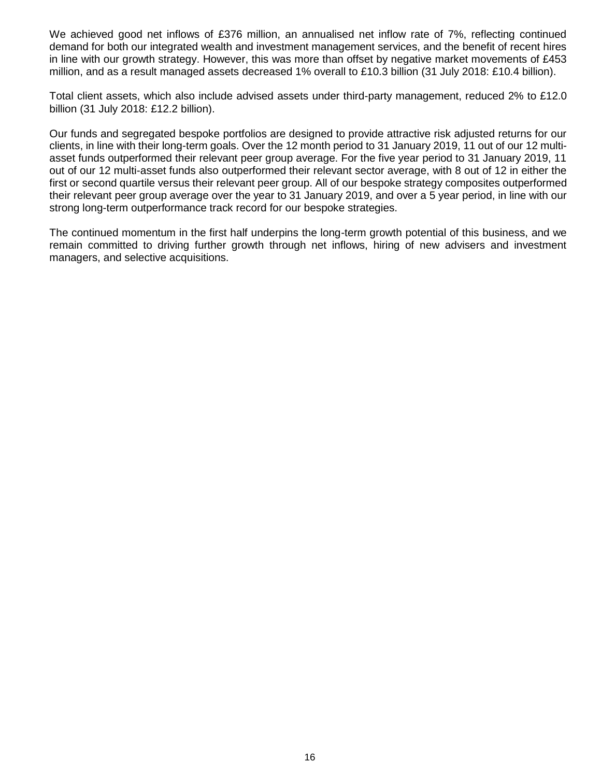We achieved good net inflows of £376 million, an annualised net inflow rate of 7%, reflecting continued demand for both our integrated wealth and investment management services, and the benefit of recent hires in line with our growth strategy. However, this was more than offset by negative market movements of £453 million, and as a result managed assets decreased 1% overall to £10.3 billion (31 July 2018: £10.4 billion).

Total client assets, which also include advised assets under third-party management, reduced 2% to £12.0 billion (31 July 2018: £12.2 billion).

Our funds and segregated bespoke portfolios are designed to provide attractive risk adjusted returns for our clients, in line with their long-term goals. Over the 12 month period to 31 January 2019, 11 out of our 12 multiasset funds outperformed their relevant peer group average. For the five year period to 31 January 2019, 11 out of our 12 multi-asset funds also outperformed their relevant sector average, with 8 out of 12 in either the first or second quartile versus their relevant peer group. All of our bespoke strategy composites outperformed their relevant peer group average over the year to 31 January 2019, and over a 5 year period, in line with our strong long-term outperformance track record for our bespoke strategies.

The continued momentum in the first half underpins the long-term growth potential of this business, and we remain committed to driving further growth through net inflows, hiring of new advisers and investment managers, and selective acquisitions.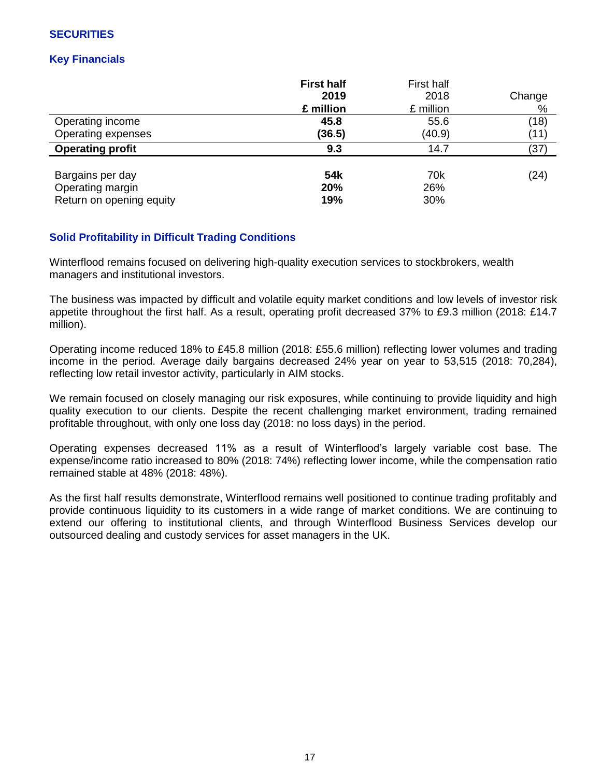# **SECURITIES**

# **Key Financials**

|                          | <b>First half</b><br>2019<br>£ million | First half<br>2018<br>£ million | Change<br>% |
|--------------------------|----------------------------------------|---------------------------------|-------------|
| Operating income         | 45.8                                   | 55.6                            | (18)        |
| Operating expenses       | (36.5)                                 | (40.9)                          | (11)        |
| <b>Operating profit</b>  | 9.3                                    | 14.7                            | (37)        |
| Bargains per day         | 54 <sub>k</sub>                        | 70k                             | (24)        |
| Operating margin         | 20%                                    | 26%                             |             |
| Return on opening equity | 19%                                    | 30%                             |             |

# **Solid Profitability in Difficult Trading Conditions**

Winterflood remains focused on delivering high-quality execution services to stockbrokers, wealth managers and institutional investors.

The business was impacted by difficult and volatile equity market conditions and low levels of investor risk appetite throughout the first half. As a result, operating profit decreased 37% to £9.3 million (2018: £14.7 million).

Operating income reduced 18% to £45.8 million (2018: £55.6 million) reflecting lower volumes and trading income in the period. Average daily bargains decreased 24% year on year to 53,515 (2018: 70,284), reflecting low retail investor activity, particularly in AIM stocks.

We remain focused on closely managing our risk exposures, while continuing to provide liquidity and high quality execution to our clients. Despite the recent challenging market environment, trading remained profitable throughout, with only one loss day (2018: no loss days) in the period.

Operating expenses decreased 11% as a result of Winterflood's largely variable cost base. The expense/income ratio increased to 80% (2018: 74%) reflecting lower income, while the compensation ratio remained stable at 48% (2018: 48%).

As the first half results demonstrate, Winterflood remains well positioned to continue trading profitably and provide continuous liquidity to its customers in a wide range of market conditions. We are continuing to extend our offering to institutional clients, and through Winterflood Business Services develop our outsourced dealing and custody services for asset managers in the UK.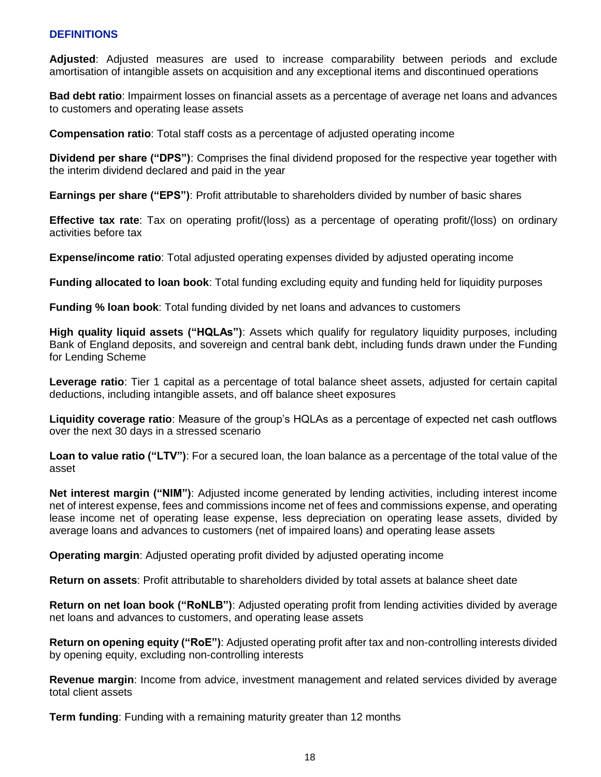### **DEFINITIONS**

**Adjusted**: Adjusted measures are used to increase comparability between periods and exclude amortisation of intangible assets on acquisition and any exceptional items and discontinued operations

**Bad debt ratio**: Impairment losses on financial assets as a percentage of average net loans and advances to customers and operating lease assets

**Compensation ratio**: Total staff costs as a percentage of adjusted operating income

**Dividend per share ("DPS")**: Comprises the final dividend proposed for the respective year together with the interim dividend declared and paid in the year

**Earnings per share ("EPS")**: Profit attributable to shareholders divided by number of basic shares

**Effective tax rate**: Tax on operating profit/(loss) as a percentage of operating profit/(loss) on ordinary activities before tax

**Expense/income ratio**: Total adjusted operating expenses divided by adjusted operating income

**Funding allocated to loan book**: Total funding excluding equity and funding held for liquidity purposes

**Funding % loan book**: Total funding divided by net loans and advances to customers

**High quality liquid assets ("HQLAs")**: Assets which qualify for regulatory liquidity purposes, including Bank of England deposits, and sovereign and central bank debt, including funds drawn under the Funding for Lending Scheme

**Leverage ratio**: Tier 1 capital as a percentage of total balance sheet assets, adjusted for certain capital deductions, including intangible assets, and off balance sheet exposures

**Liquidity coverage ratio**: Measure of the group's HQLAs as a percentage of expected net cash outflows over the next 30 days in a stressed scenario

**Loan to value ratio ("LTV")**: For a secured loan, the loan balance as a percentage of the total value of the asset

**Net interest margin ("NIM")**: Adjusted income generated by lending activities, including interest income net of interest expense, fees and commissions income net of fees and commissions expense, and operating lease income net of operating lease expense, less depreciation on operating lease assets, divided by average loans and advances to customers (net of impaired loans) and operating lease assets

**Operating margin**: Adjusted operating profit divided by adjusted operating income

**Return on assets**: Profit attributable to shareholders divided by total assets at balance sheet date

**Return on net loan book ("RoNLB")**: Adjusted operating profit from lending activities divided by average net loans and advances to customers, and operating lease assets

**Return on opening equity ("RoE")**: Adjusted operating profit after tax and non-controlling interests divided by opening equity, excluding non-controlling interests

**Revenue margin**: Income from advice, investment management and related services divided by average total client assets

**Term funding**: Funding with a remaining maturity greater than 12 months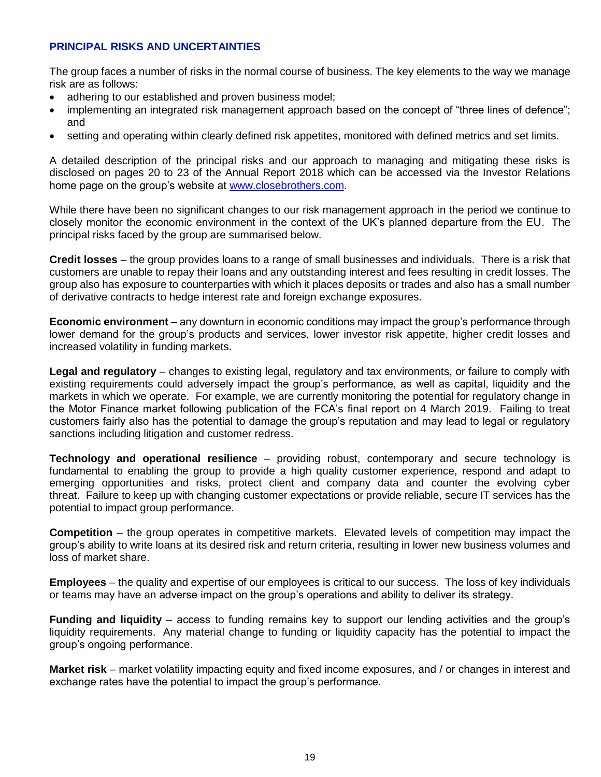### **PRINCIPAL RISKS AND UNCERTAINTIES**

The group faces a number of risks in the normal course of business. The key elements to the way we manage risk are as follows:

- adhering to our established and proven business model;
- implementing an integrated risk management approach based on the concept of "three lines of defence"; and
- setting and operating within clearly defined risk appetites, monitored with defined metrics and set limits.

A detailed description of the principal risks and our approach to managing and mitigating these risks is disclosed on pages 20 to 23 of the Annual Report 2018 which can be accessed via the Investor Relations home page on the group's website at [www.closebrothers.com.](http://www.closebrothers.com/)

While there have been no significant changes to our risk management approach in the period we continue to closely monitor the economic environment in the context of the UK's planned departure from the EU. The principal risks faced by the group are summarised below.

**Credit losses** – the group provides loans to a range of small businesses and individuals. There is a risk that customers are unable to repay their loans and any outstanding interest and fees resulting in credit losses. The group also has exposure to counterparties with which it places deposits or trades and also has a small number of derivative contracts to hedge interest rate and foreign exchange exposures.

**Economic environment** – any downturn in economic conditions may impact the group's performance through lower demand for the group's products and services, lower investor risk appetite, higher credit losses and increased volatility in funding markets.

**Legal and regulatory** – changes to existing legal, regulatory and tax environments, or failure to comply with existing requirements could adversely impact the group's performance, as well as capital, liquidity and the markets in which we operate. For example, we are currently monitoring the potential for regulatory change in the Motor Finance market following publication of the FCA's final report on 4 March 2019. Failing to treat customers fairly also has the potential to damage the group's reputation and may lead to legal or regulatory sanctions including litigation and customer redress.

**Technology and operational resilience** – providing robust, contemporary and secure technology is fundamental to enabling the group to provide a high quality customer experience, respond and adapt to emerging opportunities and risks, protect client and company data and counter the evolving cyber threat. Failure to keep up with changing customer expectations or provide reliable, secure IT services has the potential to impact group performance.

**Competition** – the group operates in competitive markets. Elevated levels of competition may impact the group's ability to write loans at its desired risk and return criteria, resulting in lower new business volumes and loss of market share.

**Employees** – the quality and expertise of our employees is critical to our success. The loss of key individuals or teams may have an adverse impact on the group's operations and ability to deliver its strategy.

**Funding and liquidity** – access to funding remains key to support our lending activities and the group's liquidity requirements. Any material change to funding or liquidity capacity has the potential to impact the group's ongoing performance.

**Market risk** – market volatility impacting equity and fixed income exposures, and / or changes in interest and exchange rates have the potential to impact the group's performance.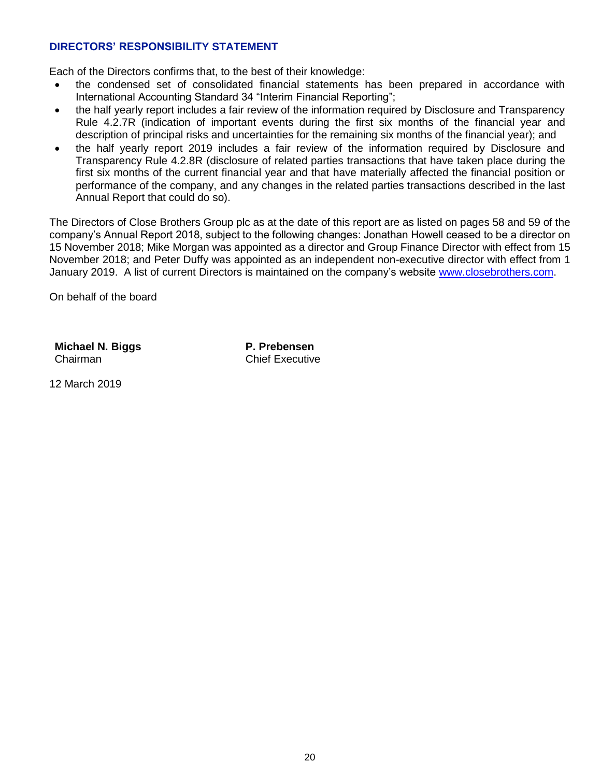## **DIRECTORS' RESPONSIBILITY STATEMENT**

Each of the Directors confirms that, to the best of their knowledge:

- the condensed set of consolidated financial statements has been prepared in accordance with International Accounting Standard 34 "Interim Financial Reporting";
- the half yearly report includes a fair review of the information required by Disclosure and Transparency Rule 4.2.7R (indication of important events during the first six months of the financial year and description of principal risks and uncertainties for the remaining six months of the financial year); and
- the half yearly report 2019 includes a fair review of the information required by Disclosure and Transparency Rule 4.2.8R (disclosure of related parties transactions that have taken place during the first six months of the current financial year and that have materially affected the financial position or performance of the company, and any changes in the related parties transactions described in the last Annual Report that could do so).

The Directors of Close Brothers Group plc as at the date of this report are as listed on pages 58 and 59 of the company's Annual Report 2018, subject to the following changes: Jonathan Howell ceased to be a director on 15 November 2018; Mike Morgan was appointed as a director and Group Finance Director with effect from 15 November 2018; and Peter Duffy was appointed as an independent non-executive director with effect from 1 January 2019. A list of current Directors is maintained on the company's website [www.closebrothers.com.](http://www.closebrothers.com/)

On behalf of the board

**Michael N. Biggs** Chairman

**P. Prebensen** Chief Executive

12 March 2019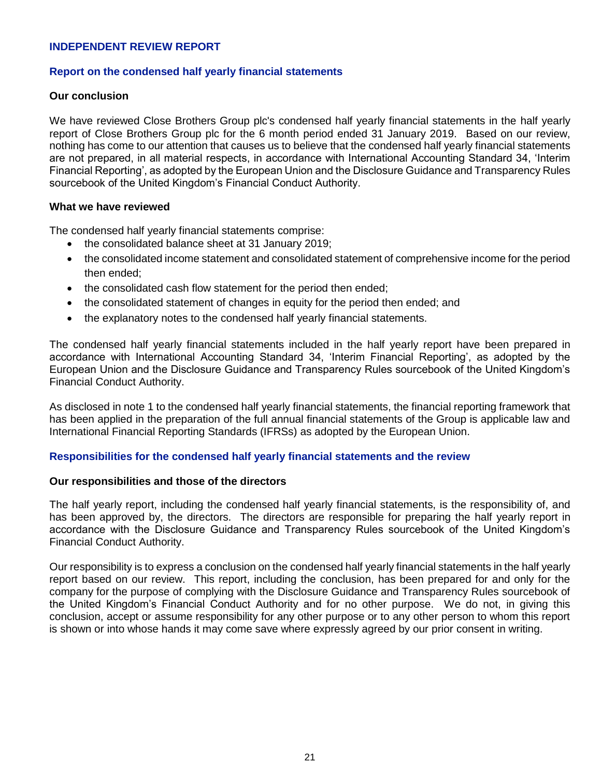### **INDEPENDENT REVIEW REPORT**

### **Report on the condensed half yearly financial statements**

### **Our conclusion**

We have reviewed Close Brothers Group plc's condensed half yearly financial statements in the half yearly report of Close Brothers Group plc for the 6 month period ended 31 January 2019. Based on our review, nothing has come to our attention that causes us to believe that the condensed half yearly financial statements are not prepared, in all material respects, in accordance with International Accounting Standard 34, 'Interim Financial Reporting', as adopted by the European Union and the Disclosure Guidance and Transparency Rules sourcebook of the United Kingdom's Financial Conduct Authority.

### **What we have reviewed**

The condensed half yearly financial statements comprise:

- the consolidated balance sheet at 31 January 2019;
- the consolidated income statement and consolidated statement of comprehensive income for the period then ended;
- the consolidated cash flow statement for the period then ended;
- the consolidated statement of changes in equity for the period then ended; and
- the explanatory notes to the condensed half yearly financial statements.

The condensed half yearly financial statements included in the half yearly report have been prepared in accordance with International Accounting Standard 34, 'Interim Financial Reporting', as adopted by the European Union and the Disclosure Guidance and Transparency Rules sourcebook of the United Kingdom's Financial Conduct Authority.

As disclosed in note 1 to the condensed half yearly financial statements, the financial reporting framework that has been applied in the preparation of the full annual financial statements of the Group is applicable law and International Financial Reporting Standards (IFRSs) as adopted by the European Union.

### **Responsibilities for the condensed half yearly financial statements and the review**

### **Our responsibilities and those of the directors**

The half yearly report, including the condensed half yearly financial statements, is the responsibility of, and has been approved by, the directors. The directors are responsible for preparing the half yearly report in accordance with the Disclosure Guidance and Transparency Rules sourcebook of the United Kingdom's Financial Conduct Authority.

Our responsibility is to express a conclusion on the condensed half yearly financial statements in the half yearly report based on our review. This report, including the conclusion, has been prepared for and only for the company for the purpose of complying with the Disclosure Guidance and Transparency Rules sourcebook of the United Kingdom's Financial Conduct Authority and for no other purpose. We do not, in giving this conclusion, accept or assume responsibility for any other purpose or to any other person to whom this report is shown or into whose hands it may come save where expressly agreed by our prior consent in writing.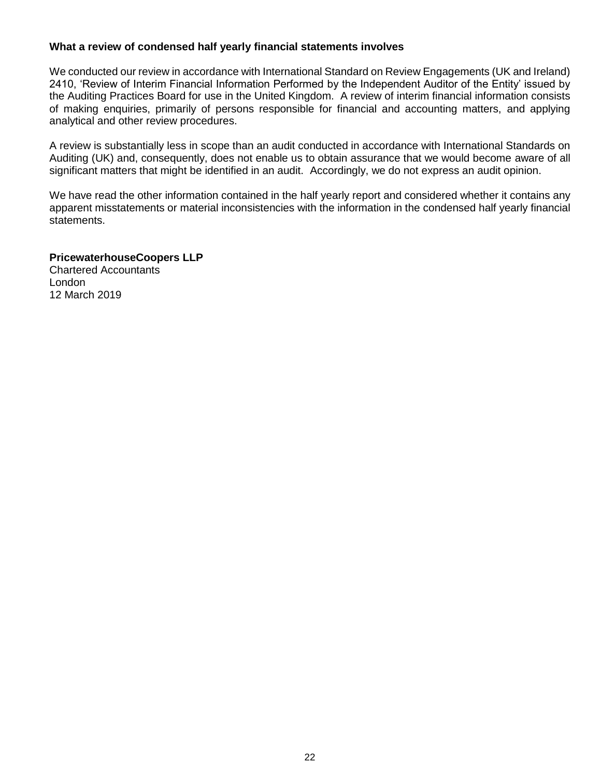### **What a review of condensed half yearly financial statements involves**

We conducted our review in accordance with International Standard on Review Engagements (UK and Ireland) 2410, 'Review of Interim Financial Information Performed by the Independent Auditor of the Entity' issued by the Auditing Practices Board for use in the United Kingdom. A review of interim financial information consists of making enquiries, primarily of persons responsible for financial and accounting matters, and applying analytical and other review procedures.

A review is substantially less in scope than an audit conducted in accordance with International Standards on Auditing (UK) and, consequently, does not enable us to obtain assurance that we would become aware of all significant matters that might be identified in an audit. Accordingly, we do not express an audit opinion.

We have read the other information contained in the half yearly report and considered whether it contains any apparent misstatements or material inconsistencies with the information in the condensed half yearly financial statements.

### **PricewaterhouseCoopers LLP**

Chartered Accountants London 12 March 2019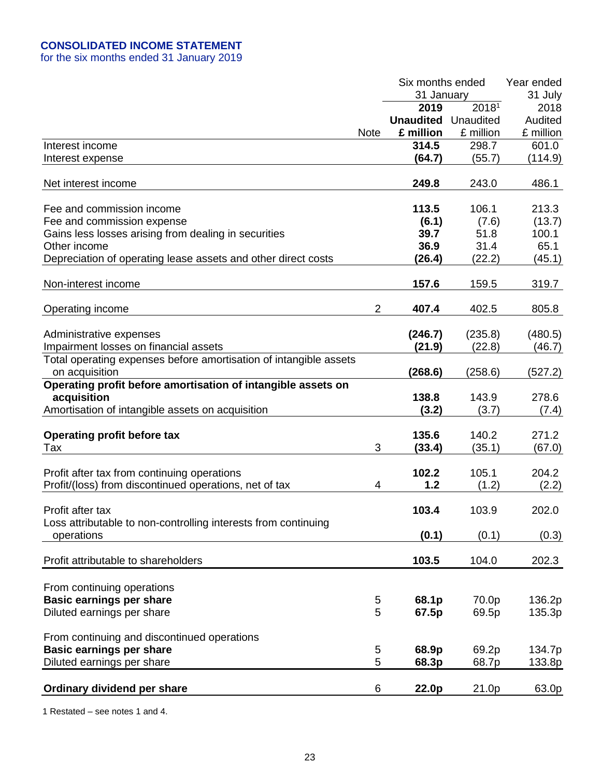# **CONSOLIDATED INCOME STATEMENT**

for the six months ended 31 January 2019

|                                                                   |                | Six months ended |                   | Year ended |
|-------------------------------------------------------------------|----------------|------------------|-------------------|------------|
|                                                                   |                | 31 January       |                   | 31 July    |
|                                                                   |                | 2019             | 2018 <sup>1</sup> | 2018       |
|                                                                   |                | <b>Unaudited</b> | Unaudited         | Audited    |
|                                                                   | <b>Note</b>    | £ million        | £ million         | £ million  |
| Interest income                                                   |                | 314.5            | 298.7             | 601.0      |
| Interest expense                                                  |                | (64.7)           | (55.7)            | (114.9)    |
|                                                                   |                |                  |                   |            |
| Net interest income                                               |                | 249.8            | 243.0             | 486.1      |
|                                                                   |                |                  |                   |            |
| Fee and commission income                                         |                | 113.5            | 106.1             | 213.3      |
| Fee and commission expense                                        |                | (6.1)            | (7.6)             | (13.7)     |
| Gains less losses arising from dealing in securities              |                | 39.7             | 51.8              | 100.1      |
| Other income                                                      |                | 36.9             | 31.4              | 65.1       |
| Depreciation of operating lease assets and other direct costs     |                | (26.4)           | (22.2)            | (45.1)     |
|                                                                   |                |                  |                   |            |
| Non-interest income                                               |                | 157.6            | 159.5             | 319.7      |
|                                                                   |                |                  |                   |            |
| Operating income                                                  | $\overline{2}$ | 407.4            | 402.5             | 805.8      |
|                                                                   |                |                  |                   |            |
| Administrative expenses                                           |                | (246.7)          | (235.8)           | (480.5)    |
| Impairment losses on financial assets                             |                | (21.9)           | (22.8)            | (46.7)     |
| Total operating expenses before amortisation of intangible assets |                |                  |                   |            |
| on acquisition                                                    |                | (268.6)          | (258.6)           | (527.2)    |
| Operating profit before amortisation of intangible assets on      |                |                  |                   |            |
| acquisition                                                       |                | 138.8            | 143.9             | 278.6      |
| Amortisation of intangible assets on acquisition                  |                | (3.2)            | (3.7)             | (7.4)      |
|                                                                   |                |                  |                   |            |
| <b>Operating profit before tax</b>                                |                | 135.6            | 140.2             | 271.2      |
| Tax                                                               | 3              | (33.4)           | (35.1)            | (67.0)     |
|                                                                   |                |                  |                   |            |
| Profit after tax from continuing operations                       |                | 102.2            | 105.1             | 204.2      |
| Profit/(loss) from discontinued operations, net of tax            | 4              | 1.2              | (1.2)             | (2.2)      |
|                                                                   |                |                  |                   |            |
| Profit after tax                                                  |                | 103.4            | 103.9             | 202.0      |
| Loss attributable to non-controlling interests from continuing    |                |                  |                   |            |
| operations                                                        |                | (0.1)            | (0.1)             | (0.3)      |
|                                                                   |                |                  |                   |            |
| Profit attributable to shareholders                               |                | 103.5            | 104.0             | 202.3      |
|                                                                   |                |                  |                   |            |
|                                                                   |                |                  |                   |            |
| From continuing operations                                        |                |                  |                   |            |
| <b>Basic earnings per share</b>                                   | 5              | 68.1p            | 70.0p             | 136.2p     |
| Diluted earnings per share                                        | 5              | 67.5p            | 69.5p             | 135.3p     |
|                                                                   |                |                  |                   |            |
| From continuing and discontinued operations                       |                |                  |                   |            |
| <b>Basic earnings per share</b>                                   | 5              | 68.9p            | 69.2p             | 134.7p     |
| Diluted earnings per share                                        | 5              | 68.3p            | 68.7p             | 133.8p     |
|                                                                   |                |                  |                   |            |
| Ordinary dividend per share                                       | 6              | 22.0p            | 21.0p             | 63.0p      |
|                                                                   |                |                  |                   |            |

1 Restated – see notes 1 and 4.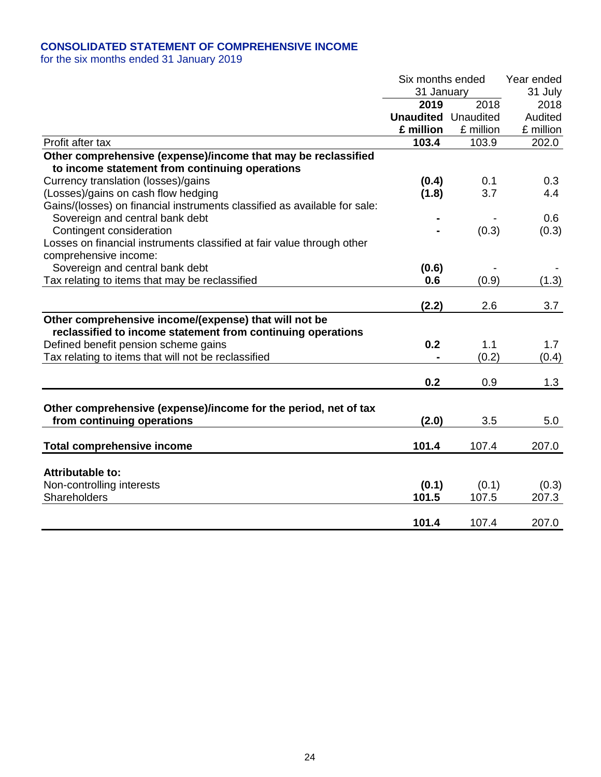# **CONSOLIDATED STATEMENT OF COMPREHENSIVE INCOME**

|                                                                                                                      | Six months ended<br>31 January |           | Year ended<br>31 July |
|----------------------------------------------------------------------------------------------------------------------|--------------------------------|-----------|-----------------------|
|                                                                                                                      | 2019                           | 2018      | 2018                  |
|                                                                                                                      | <b>Unaudited</b> Unaudited     |           | Audited               |
|                                                                                                                      | £ million                      | £ million | £ million             |
| Profit after tax                                                                                                     | 103.4                          | 103.9     | 202.0                 |
| Other comprehensive (expense)/income that may be reclassified                                                        |                                |           |                       |
| to income statement from continuing operations                                                                       |                                |           |                       |
| Currency translation (losses)/gains                                                                                  | (0.4)                          | 0.1       | 0.3                   |
| (Losses)/gains on cash flow hedging                                                                                  | (1.8)                          | 3.7       | 4.4                   |
| Gains/(losses) on financial instruments classified as available for sale:                                            |                                |           |                       |
| Sovereign and central bank debt                                                                                      |                                |           | 0.6                   |
| Contingent consideration                                                                                             |                                | (0.3)     | (0.3)                 |
| Losses on financial instruments classified at fair value through other                                               |                                |           |                       |
| comprehensive income:                                                                                                |                                |           |                       |
| Sovereign and central bank debt                                                                                      | (0.6)                          |           |                       |
| Tax relating to items that may be reclassified                                                                       | 0.6                            | (0.9)     | (1.3)                 |
|                                                                                                                      |                                |           |                       |
|                                                                                                                      | (2.2)                          | 2.6       | 3.7                   |
| Other comprehensive income/(expense) that will not be<br>reclassified to income statement from continuing operations |                                |           |                       |
| Defined benefit pension scheme gains                                                                                 | 0.2                            | 1.1       | 1.7                   |
| Tax relating to items that will not be reclassified                                                                  |                                | (0.2)     | (0.4)                 |
|                                                                                                                      |                                |           |                       |
|                                                                                                                      | 0.2                            | 0.9       | 1.3                   |
| Other comprehensive (expense)/income for the period, net of tax                                                      |                                |           |                       |
| from continuing operations                                                                                           | (2.0)                          | 3.5       | 5.0                   |
|                                                                                                                      |                                |           |                       |
| <b>Total comprehensive income</b>                                                                                    | 101.4                          | 107.4     | 207.0                 |
| <b>Attributable to:</b>                                                                                              |                                |           |                       |
| Non-controlling interests                                                                                            | (0.1)                          | (0.1)     | (0.3)                 |
| Shareholders                                                                                                         | 101.5                          | 107.5     | 207.3                 |
|                                                                                                                      | 101.4                          | 107.4     | 207.0                 |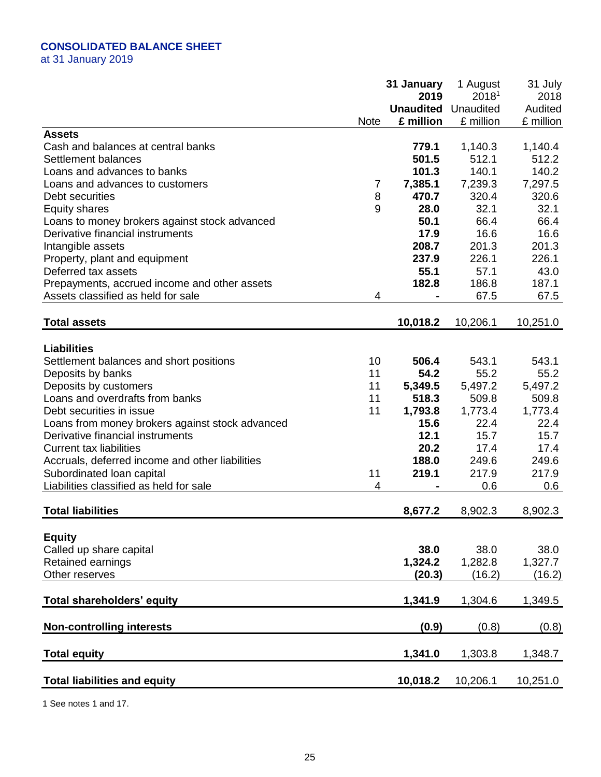# **CONSOLIDATED BALANCE SHEET**

at 31 January 2019

|                                                 |             | 31 January       | 1 August          | 31 July   |
|-------------------------------------------------|-------------|------------------|-------------------|-----------|
|                                                 |             | 2019             | 2018 <sup>1</sup> | 2018      |
|                                                 |             | <b>Unaudited</b> | Unaudited         | Audited   |
|                                                 | <b>Note</b> | £ million        | £ million         | £ million |
| <b>Assets</b>                                   |             |                  |                   |           |
| Cash and balances at central banks              |             | 779.1            | 1,140.3           | 1,140.4   |
| Settlement balances                             |             | 501.5            | 512.1             | 512.2     |
| Loans and advances to banks                     |             | 101.3            | 140.1             | 140.2     |
| Loans and advances to customers                 | 7           | 7,385.1          | 7,239.3           | 7,297.5   |
| Debt securities                                 | 8           | 470.7            | 320.4             | 320.6     |
| <b>Equity shares</b>                            | 9           | 28.0             | 32.1              | 32.1      |
| Loans to money brokers against stock advanced   |             | 50.1             | 66.4              | 66.4      |
| Derivative financial instruments                |             | 17.9             | 16.6              | 16.6      |
| Intangible assets                               |             | 208.7            | 201.3             | 201.3     |
| Property, plant and equipment                   |             | 237.9            | 226.1             | 226.1     |
| Deferred tax assets                             |             | 55.1             | 57.1              | 43.0      |
| Prepayments, accrued income and other assets    |             | 182.8            | 186.8             | 187.1     |
| Assets classified as held for sale              | 4           |                  | 67.5              | 67.5      |
|                                                 |             |                  |                   |           |
| <b>Total assets</b>                             |             | 10,018.2         | 10,206.1          | 10,251.0  |
|                                                 |             |                  |                   |           |
| <b>Liabilities</b>                              |             |                  |                   |           |
| Settlement balances and short positions         | 10          | 506.4            | 543.1             | 543.1     |
| Deposits by banks                               | 11          | 54.2             | 55.2              | 55.2      |
| Deposits by customers                           | 11          | 5,349.5          | 5,497.2           | 5,497.2   |
| Loans and overdrafts from banks                 | 11          | 518.3            | 509.8             | 509.8     |
| Debt securities in issue                        | 11          | 1,793.8          | 1,773.4           | 1,773.4   |
| Loans from money brokers against stock advanced |             | 15.6             | 22.4              | 22.4      |
| Derivative financial instruments                |             | 12.1             | 15.7              | 15.7      |
| <b>Current tax liabilities</b>                  |             | 20.2             | 17.4              | 17.4      |
| Accruals, deferred income and other liabilities |             | 188.0            | 249.6             | 249.6     |
| Subordinated loan capital                       | 11          | 219.1            | 217.9             | 217.9     |
| Liabilities classified as held for sale         | 4           |                  | 0.6               | 0.6       |
|                                                 |             |                  |                   |           |
| <b>Total liabilities</b>                        |             | 8,677.2          | 8,902.3           | 8,902.3   |
|                                                 |             |                  |                   |           |
| <b>Equity</b>                                   |             |                  |                   |           |
| Called up share capital                         |             | 38.0             | 38.0              | 38.0      |
| Retained earnings                               |             | 1,324.2          | 1,282.8           | 1,327.7   |
| Other reserves                                  |             | (20.3)           | (16.2)            | (16.2)    |
|                                                 |             |                  |                   |           |
| Total shareholders' equity                      |             | 1,341.9          | 1,304.6           | 1,349.5   |
|                                                 |             |                  |                   |           |
| <b>Non-controlling interests</b>                |             | (0.9)            | (0.8)             | (0.8)     |
|                                                 |             |                  |                   |           |
| <b>Total equity</b>                             |             | 1,341.0          | 1,303.8           | 1,348.7   |
|                                                 |             |                  |                   |           |
| <b>Total liabilities and equity</b>             |             | 10,018.2         | 10,206.1          | 10,251.0  |

1 See notes 1 and 17.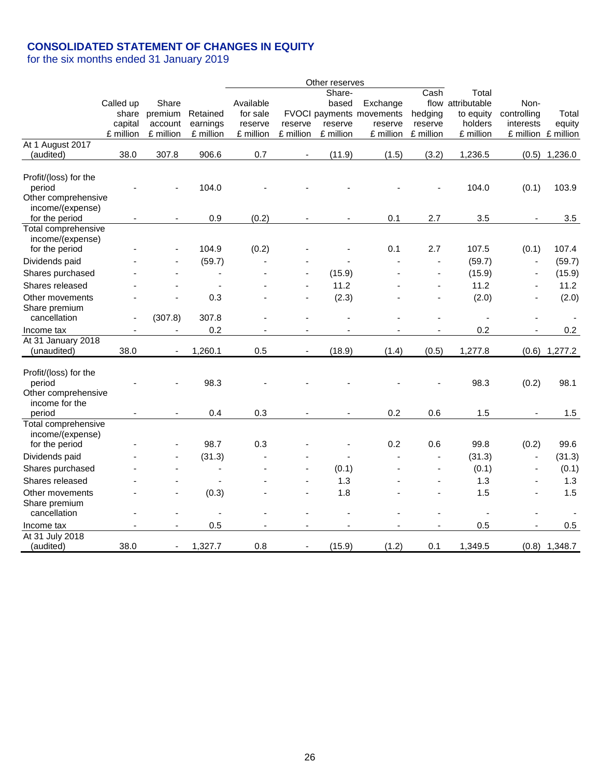# **CONSOLIDATED STATEMENT OF CHANGES IN EQUITY**

|                                    |           |                          |                |           |                          | Other reserves           |                          |                |                   |                          |                     |
|------------------------------------|-----------|--------------------------|----------------|-----------|--------------------------|--------------------------|--------------------------|----------------|-------------------|--------------------------|---------------------|
|                                    |           |                          |                |           |                          | Share-                   |                          | Cash           | Total             |                          |                     |
|                                    | Called up | Share                    |                | Available |                          | based                    | Exchange                 |                | flow attributable | Non-                     |                     |
|                                    | share     | premium                  | Retained       | for sale  |                          |                          | FVOCI payments movements | hedging        | to equity         | controlling              | Total               |
|                                    | capital   | account                  | earnings       | reserve   | reserve                  | reserve                  | reserve                  | reserve        | holders           | interests                | equity              |
|                                    | £ million | £ million                | £ million      | £ million | £ million                | £ million                | £ million                | £ million      | £ million         |                          | £ million £ million |
| At 1 August 2017                   |           |                          |                |           |                          |                          |                          |                |                   |                          |                     |
| (audited)                          | 38.0      | 307.8                    | 906.6          | 0.7       |                          | (11.9)                   | (1.5)                    | (3.2)          | 1,236.5           | (0.5)                    | 1,236.0             |
|                                    |           |                          |                |           |                          |                          |                          |                |                   |                          |                     |
| Profit/(loss) for the              |           |                          |                |           |                          |                          |                          |                |                   |                          |                     |
| period<br>Other comprehensive      |           |                          | 104.0          |           |                          |                          |                          |                | 104.0             | (0.1)                    | 103.9               |
| income/(expense)                   |           |                          |                |           |                          |                          |                          |                |                   |                          |                     |
| for the period                     |           |                          | 0.9            | (0.2)     |                          |                          | 0.1                      | 2.7            | 3.5               |                          | 3.5                 |
| Total comprehensive                |           |                          |                |           |                          |                          |                          |                |                   |                          |                     |
| income/(expense)                   |           |                          |                |           |                          |                          |                          |                |                   |                          |                     |
| for the period                     |           |                          | 104.9          | (0.2)     |                          |                          | 0.1                      | 2.7            | 107.5             | (0.1)                    | 107.4               |
| Dividends paid                     |           |                          | (59.7)         |           |                          |                          |                          |                | (59.7)            | $\overline{\phantom{a}}$ | (59.7)              |
| Shares purchased                   |           |                          | ÷,             |           |                          | (15.9)                   |                          |                | (15.9)            |                          | (15.9)              |
| Shares released                    |           |                          |                |           |                          | 11.2                     |                          |                | 11.2              |                          | 11.2                |
| Other movements                    |           |                          | 0.3            |           | $\blacksquare$           | (2.3)                    |                          |                | (2.0)             |                          | (2.0)               |
| Share premium                      |           |                          |                |           |                          |                          |                          |                |                   |                          |                     |
| cancellation                       |           | (307.8)                  | 307.8          |           |                          |                          |                          |                |                   |                          |                     |
| Income tax                         |           |                          | 0.2            |           |                          |                          |                          |                | 0.2               |                          | 0.2                 |
| At 31 January 2018                 |           |                          |                |           |                          |                          |                          |                |                   |                          |                     |
| (unaudited)                        | 38.0      |                          | 1,260.1        | 0.5       | $\blacksquare$           | (18.9)                   | (1.4)                    | (0.5)          | 1,277.8           |                          | $(0.6)$ 1,277.2     |
|                                    |           |                          |                |           |                          |                          |                          |                |                   |                          |                     |
| Profit/(loss) for the              |           |                          |                |           |                          |                          |                          |                |                   |                          |                     |
| period                             |           |                          | 98.3           |           |                          |                          |                          |                | 98.3              | (0.2)                    | 98.1                |
| Other comprehensive                |           |                          |                |           |                          |                          |                          |                |                   |                          |                     |
| income for the                     |           |                          |                |           |                          |                          |                          |                |                   |                          |                     |
| period                             |           |                          | 0.4            | 0.3       |                          |                          | 0.2                      | 0.6            | 1.5               |                          | 1.5                 |
| Total comprehensive                |           |                          |                |           |                          |                          |                          |                |                   |                          |                     |
| income/(expense)<br>for the period |           |                          | 98.7           | 0.3       |                          |                          | 0.2                      | 0.6            | 99.8              | (0.2)                    | 99.6                |
|                                    |           |                          |                |           |                          |                          |                          |                |                   |                          |                     |
| Dividends paid                     |           |                          | (31.3)         |           |                          | $\overline{\phantom{a}}$ |                          |                | (31.3)            | $\overline{\phantom{a}}$ | (31.3)              |
| Shares purchased                   |           |                          | $\blacksquare$ |           |                          | (0.1)                    |                          |                | (0.1)             |                          | (0.1)               |
| Shares released                    |           |                          | ÷,             |           |                          | 1.3                      |                          |                | 1.3               |                          | 1.3                 |
| Other movements                    |           |                          | (0.3)          |           |                          | 1.8                      |                          |                | 1.5               |                          | 1.5                 |
| Share premium                      |           |                          |                |           |                          |                          |                          |                |                   |                          |                     |
| cancellation                       |           |                          | $\blacksquare$ |           |                          |                          |                          |                |                   |                          |                     |
| Income tax                         |           | $\blacksquare$           | 0.5            | $\sim$    | $\blacksquare$           | $\sim$                   |                          | $\blacksquare$ | 0.5               |                          | 0.5                 |
| At 31 July 2018                    |           |                          |                |           |                          |                          |                          |                |                   |                          |                     |
| (audited)                          | 38.0      | $\overline{\phantom{a}}$ | 1,327.7        | 0.8       | $\overline{\phantom{a}}$ | (15.9)                   | (1.2)                    | 0.1            | 1,349.5           |                          | $(0.8)$ 1,348.7     |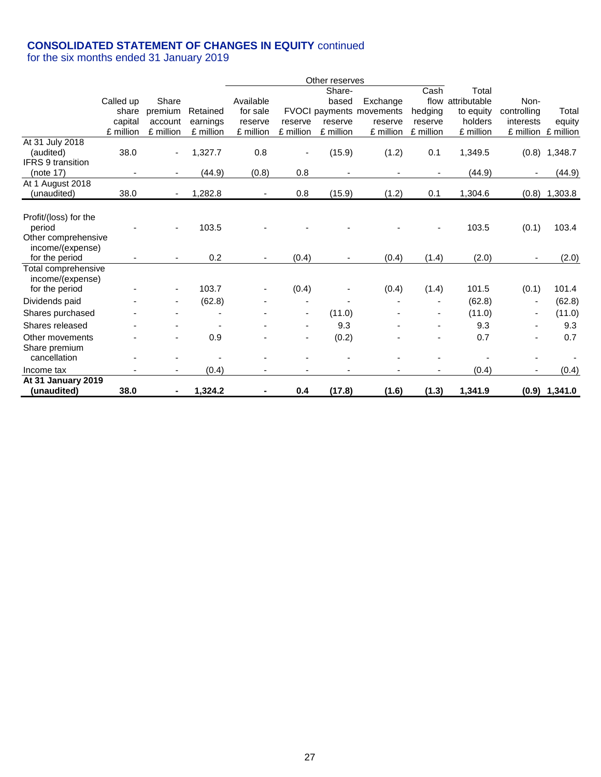# **CONSOLIDATED STATEMENT OF CHANGES IN EQUITY** continued

|                          |           |                          |           |           |           | Other reserves |                                 |           |                   |             |                     |
|--------------------------|-----------|--------------------------|-----------|-----------|-----------|----------------|---------------------------------|-----------|-------------------|-------------|---------------------|
|                          |           |                          |           |           |           | Share-         |                                 | Cash      | Total             |             |                     |
|                          | Called up | Share                    |           | Available |           | based          | Exchange                        |           | flow attributable | Non-        |                     |
|                          | share     | premium                  | Retained  | for sale  |           |                | <b>FVOCI payments movements</b> | hedging   | to equity         | controlling | Total               |
|                          | capital   | account                  | earnings  | reserve   | reserve   | reserve        | reserve                         | reserve   | holders           | interests   | equity              |
|                          | £ million | £ million                | £ million | £ million | £ million | £ million      | £ million                       | £ million | £ million         |             | £ million £ million |
| At 31 July 2018          |           |                          |           |           |           |                |                                 |           |                   |             |                     |
| (audited)                | 38.0      |                          | 1,327.7   | 0.8       |           | (15.9)         | (1.2)                           | 0.1       | 1,349.5           | (0.8)       | 1,348.7             |
| <b>IFRS 9 transition</b> |           |                          |           |           |           |                |                                 |           |                   |             |                     |
| (note 17)                |           | $\overline{\phantom{a}}$ | (44.9)    | (0.8)     | 0.8       | -              |                                 |           | (44.9)            |             | (44.9)              |
| At 1 August 2018         |           |                          |           |           |           |                |                                 |           |                   |             |                     |
| (unaudited)              | 38.0      |                          | 1,282.8   |           | 0.8       | (15.9)         | (1.2)                           | 0.1       | 1,304.6           | (0.8)       | 1,303.8             |
|                          |           |                          |           |           |           |                |                                 |           |                   |             |                     |
| Profit/(loss) for the    |           |                          |           |           |           |                |                                 |           |                   |             |                     |
| period                   |           |                          | 103.5     |           |           |                |                                 |           | 103.5             | (0.1)       | 103.4               |
| Other comprehensive      |           |                          |           |           |           |                |                                 |           |                   |             |                     |
| income/(expense)         |           |                          |           |           |           |                |                                 |           |                   |             |                     |
| for the period           |           |                          | 0.2       |           | (0.4)     |                | (0.4)                           | (1.4)     | (2.0)             |             | (2.0)               |
| Total comprehensive      |           |                          |           |           |           |                |                                 |           |                   |             |                     |
| income/(expense)         |           |                          | 103.7     |           | (0.4)     |                | (0.4)                           |           | 101.5             | (0.1)       | 101.4               |
| for the period           |           |                          |           |           |           |                |                                 | (1.4)     |                   |             |                     |
| Dividends paid           |           |                          | (62.8)    |           |           |                |                                 |           | (62.8)            |             | (62.8)              |
| Shares purchased         |           |                          |           |           |           | (11.0)         |                                 |           | (11.0)            |             | (11.0)              |
| Shares released          |           |                          |           |           |           | 9.3            |                                 |           | 9.3               |             | 9.3                 |
| Other movements          |           |                          | 0.9       |           |           | (0.2)          |                                 |           | 0.7               |             | 0.7                 |
| Share premium            |           |                          |           |           |           |                |                                 |           |                   |             |                     |
| cancellation             |           |                          |           |           |           |                |                                 |           |                   |             |                     |
| Income tax               |           |                          | (0.4)     |           |           |                |                                 |           | (0.4)             |             | (0.4)               |
| At 31 January 2019       |           |                          |           |           |           |                |                                 |           |                   |             |                     |
| (unaudited)              | 38.0      |                          | 1,324.2   |           | 0.4       | (17.8)         | (1.6)                           | (1.3)     | 1,341.9           |             | $(0.9)$ 1,341.0     |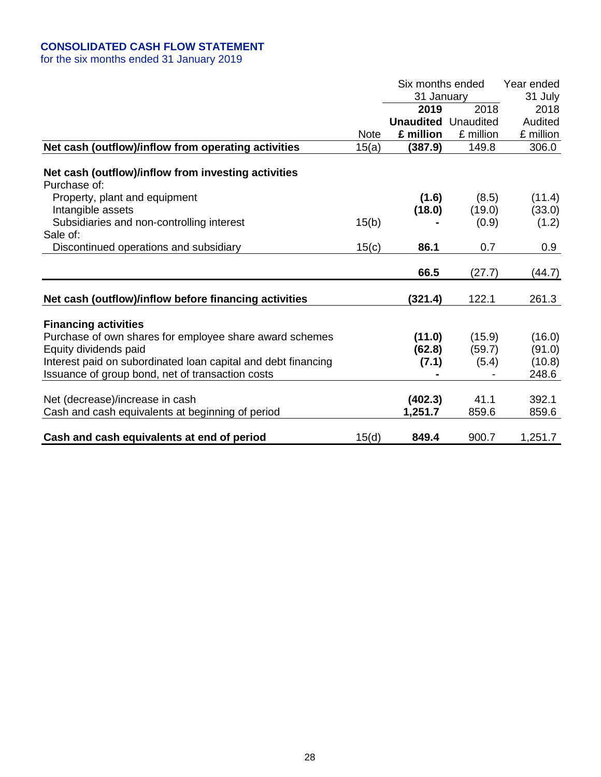# **CONSOLIDATED CASH FLOW STATEMENT**

|                                                                     |             | Six months ended<br>31 January<br>2019<br><b>Unaudited</b> Unaudited | 2018      | Year ended<br>31 July<br>2018<br>Audited |
|---------------------------------------------------------------------|-------------|----------------------------------------------------------------------|-----------|------------------------------------------|
|                                                                     | <b>Note</b> | £ million                                                            | £ million | £ million                                |
| Net cash (outflow)/inflow from operating activities                 | 15(a)       | (387.9)                                                              | 149.8     | 306.0                                    |
| Net cash (outflow)/inflow from investing activities<br>Purchase of: |             |                                                                      |           |                                          |
| Property, plant and equipment                                       |             | (1.6)                                                                | (8.5)     | (11.4)                                   |
| Intangible assets                                                   |             | (18.0)                                                               | (19.0)    | (33.0)                                   |
| Subsidiaries and non-controlling interest                           | 15(b)       |                                                                      | (0.9)     | (1.2)                                    |
| Sale of:                                                            |             |                                                                      |           |                                          |
| Discontinued operations and subsidiary                              | 15(c)       | 86.1                                                                 | 0.7       | 0.9                                      |
|                                                                     |             | 66.5                                                                 | (27.7)    | (44.7)                                   |
| Net cash (outflow)/inflow before financing activities               |             | (321.4)                                                              | 122.1     | 261.3                                    |
| <b>Financing activities</b>                                         |             |                                                                      |           |                                          |
| Purchase of own shares for employee share award schemes             |             | (11.0)                                                               | (15.9)    | (16.0)                                   |
| Equity dividends paid                                               |             | (62.8)                                                               | (59.7)    | (91.0)                                   |
| Interest paid on subordinated loan capital and debt financing       |             | (7.1)                                                                | (5.4)     | (10.8)                                   |
| Issuance of group bond, net of transaction costs                    |             |                                                                      |           | 248.6                                    |
| Net (decrease)/increase in cash                                     |             | (402.3)                                                              | 41.1      | 392.1                                    |
| Cash and cash equivalents at beginning of period                    |             | 1,251.7                                                              | 859.6     | 859.6                                    |
| Cash and cash equivalents at end of period                          | 15(d)       | 849.4                                                                | 900.7     | 1,251.7                                  |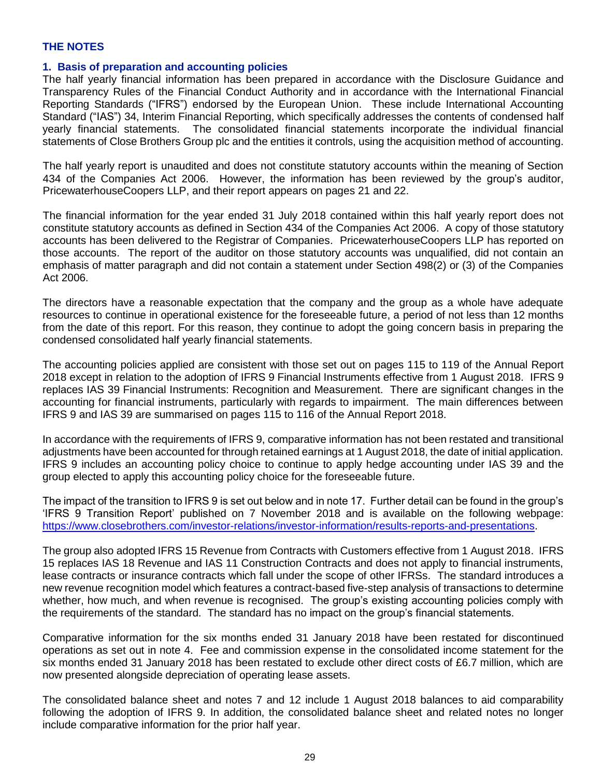### **THE NOTES**

### **1. Basis of preparation and accounting policies**

The half yearly financial information has been prepared in accordance with the Disclosure Guidance and Transparency Rules of the Financial Conduct Authority and in accordance with the International Financial Reporting Standards ("IFRS") endorsed by the European Union. These include International Accounting Standard ("IAS") 34, Interim Financial Reporting, which specifically addresses the contents of condensed half yearly financial statements. The consolidated financial statements incorporate the individual financial statements of Close Brothers Group plc and the entities it controls, using the acquisition method of accounting.

The half yearly report is unaudited and does not constitute statutory accounts within the meaning of Section 434 of the Companies Act 2006. However, the information has been reviewed by the group's auditor, PricewaterhouseCoopers LLP, and their report appears on pages 21 and 22.

The financial information for the year ended 31 July 2018 contained within this half yearly report does not constitute statutory accounts as defined in Section 434 of the Companies Act 2006. A copy of those statutory accounts has been delivered to the Registrar of Companies. PricewaterhouseCoopers LLP has reported on those accounts. The report of the auditor on those statutory accounts was unqualified, did not contain an emphasis of matter paragraph and did not contain a statement under Section 498(2) or (3) of the Companies Act 2006.

The directors have a reasonable expectation that the company and the group as a whole have adequate resources to continue in operational existence for the foreseeable future, a period of not less than 12 months from the date of this report. For this reason, they continue to adopt the going concern basis in preparing the condensed consolidated half yearly financial statements.

The accounting policies applied are consistent with those set out on pages 115 to 119 of the Annual Report 2018 except in relation to the adoption of IFRS 9 Financial Instruments effective from 1 August 2018. IFRS 9 replaces IAS 39 Financial Instruments: Recognition and Measurement. There are significant changes in the accounting for financial instruments, particularly with regards to impairment. The main differences between IFRS 9 and IAS 39 are summarised on pages 115 to 116 of the Annual Report 2018.

In accordance with the requirements of IFRS 9, comparative information has not been restated and transitional adjustments have been accounted for through retained earnings at 1 August 2018, the date of initial application. IFRS 9 includes an accounting policy choice to continue to apply hedge accounting under IAS 39 and the group elected to apply this accounting policy choice for the foreseeable future.

The impact of the transition to IFRS 9 is set out below and in note 17. Further detail can be found in the group's 'IFRS 9 Transition Report' published on 7 November 2018 and is available on the following webpage: [https://www.closebrothers.com/investor-relations/investor-information/results-reports-and-presentations.](https://www.closebrothers.com/investor-relations/investor-information/results-reports-and-presentations)

The group also adopted IFRS 15 Revenue from Contracts with Customers effective from 1 August 2018. IFRS 15 replaces IAS 18 Revenue and IAS 11 Construction Contracts and does not apply to financial instruments, lease contracts or insurance contracts which fall under the scope of other IFRSs. The standard introduces a new revenue recognition model which features a contract-based five-step analysis of transactions to determine whether, how much, and when revenue is recognised. The group's existing accounting policies comply with the requirements of the standard. The standard has no impact on the group's financial statements.

Comparative information for the six months ended 31 January 2018 have been restated for discontinued operations as set out in note 4. Fee and commission expense in the consolidated income statement for the six months ended 31 January 2018 has been restated to exclude other direct costs of £6.7 million, which are now presented alongside depreciation of operating lease assets.

The consolidated balance sheet and notes 7 and 12 include 1 August 2018 balances to aid comparability following the adoption of IFRS 9. In addition, the consolidated balance sheet and related notes no longer include comparative information for the prior half year.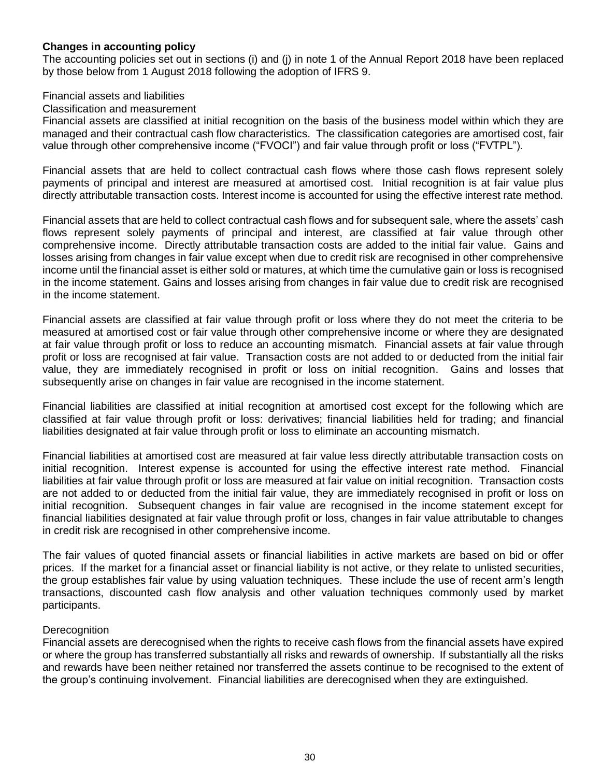# **Changes in accounting policy**

The accounting policies set out in sections (i) and (j) in note 1 of the Annual Report 2018 have been replaced by those below from 1 August 2018 following the adoption of IFRS 9.

### Financial assets and liabilities

### Classification and measurement

Financial assets are classified at initial recognition on the basis of the business model within which they are managed and their contractual cash flow characteristics. The classification categories are amortised cost, fair value through other comprehensive income ("FVOCI") and fair value through profit or loss ("FVTPL").

Financial assets that are held to collect contractual cash flows where those cash flows represent solely payments of principal and interest are measured at amortised cost. Initial recognition is at fair value plus directly attributable transaction costs. Interest income is accounted for using the effective interest rate method.

Financial assets that are held to collect contractual cash flows and for subsequent sale, where the assets' cash flows represent solely payments of principal and interest, are classified at fair value through other comprehensive income. Directly attributable transaction costs are added to the initial fair value. Gains and losses arising from changes in fair value except when due to credit risk are recognised in other comprehensive income until the financial asset is either sold or matures, at which time the cumulative gain or loss is recognised in the income statement. Gains and losses arising from changes in fair value due to credit risk are recognised in the income statement.

Financial assets are classified at fair value through profit or loss where they do not meet the criteria to be measured at amortised cost or fair value through other comprehensive income or where they are designated at fair value through profit or loss to reduce an accounting mismatch. Financial assets at fair value through profit or loss are recognised at fair value. Transaction costs are not added to or deducted from the initial fair value, they are immediately recognised in profit or loss on initial recognition. Gains and losses that subsequently arise on changes in fair value are recognised in the income statement.

Financial liabilities are classified at initial recognition at amortised cost except for the following which are classified at fair value through profit or loss: derivatives; financial liabilities held for trading; and financial liabilities designated at fair value through profit or loss to eliminate an accounting mismatch.

Financial liabilities at amortised cost are measured at fair value less directly attributable transaction costs on initial recognition. Interest expense is accounted for using the effective interest rate method. Financial liabilities at fair value through profit or loss are measured at fair value on initial recognition. Transaction costs are not added to or deducted from the initial fair value, they are immediately recognised in profit or loss on initial recognition. Subsequent changes in fair value are recognised in the income statement except for financial liabilities designated at fair value through profit or loss, changes in fair value attributable to changes in credit risk are recognised in other comprehensive income.

The fair values of quoted financial assets or financial liabilities in active markets are based on bid or offer prices. If the market for a financial asset or financial liability is not active, or they relate to unlisted securities, the group establishes fair value by using valuation techniques. These include the use of recent arm's length transactions, discounted cash flow analysis and other valuation techniques commonly used by market participants.

### **Derecognition**

Financial assets are derecognised when the rights to receive cash flows from the financial assets have expired or where the group has transferred substantially all risks and rewards of ownership. If substantially all the risks and rewards have been neither retained nor transferred the assets continue to be recognised to the extent of the group's continuing involvement. Financial liabilities are derecognised when they are extinguished.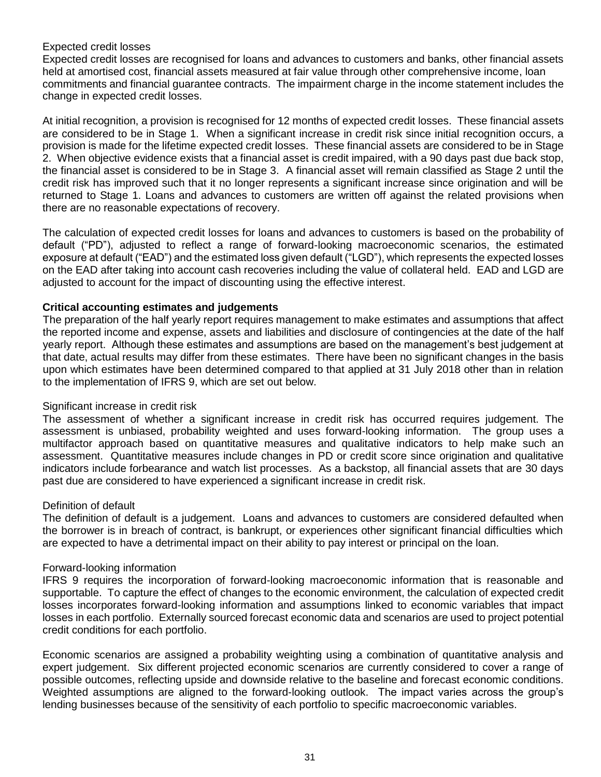### Expected credit losses

Expected credit losses are recognised for loans and advances to customers and banks, other financial assets held at amortised cost, financial assets measured at fair value through other comprehensive income, loan commitments and financial guarantee contracts. The impairment charge in the income statement includes the change in expected credit losses.

At initial recognition, a provision is recognised for 12 months of expected credit losses. These financial assets are considered to be in Stage 1. When a significant increase in credit risk since initial recognition occurs, a provision is made for the lifetime expected credit losses. These financial assets are considered to be in Stage 2. When objective evidence exists that a financial asset is credit impaired, with a 90 days past due back stop, the financial asset is considered to be in Stage 3. A financial asset will remain classified as Stage 2 until the credit risk has improved such that it no longer represents a significant increase since origination and will be returned to Stage 1. Loans and advances to customers are written off against the related provisions when there are no reasonable expectations of recovery.

The calculation of expected credit losses for loans and advances to customers is based on the probability of default ("PD"), adjusted to reflect a range of forward-looking macroeconomic scenarios, the estimated exposure at default ("EAD") and the estimated loss given default ("LGD"), which represents the expected losses on the EAD after taking into account cash recoveries including the value of collateral held. EAD and LGD are adjusted to account for the impact of discounting using the effective interest.

### **Critical accounting estimates and judgements**

The preparation of the half yearly report requires management to make estimates and assumptions that affect the reported income and expense, assets and liabilities and disclosure of contingencies at the date of the half yearly report. Although these estimates and assumptions are based on the management's best judgement at that date, actual results may differ from these estimates. There have been no significant changes in the basis upon which estimates have been determined compared to that applied at 31 July 2018 other than in relation to the implementation of IFRS 9, which are set out below.

### Significant increase in credit risk

The assessment of whether a significant increase in credit risk has occurred requires judgement. The assessment is unbiased, probability weighted and uses forward-looking information. The group uses a multifactor approach based on quantitative measures and qualitative indicators to help make such an assessment. Quantitative measures include changes in PD or credit score since origination and qualitative indicators include forbearance and watch list processes. As a backstop, all financial assets that are 30 days past due are considered to have experienced a significant increase in credit risk.

### Definition of default

The definition of default is a judgement. Loans and advances to customers are considered defaulted when the borrower is in breach of contract, is bankrupt, or experiences other significant financial difficulties which are expected to have a detrimental impact on their ability to pay interest or principal on the loan.

### Forward-looking information

IFRS 9 requires the incorporation of forward-looking macroeconomic information that is reasonable and supportable. To capture the effect of changes to the economic environment, the calculation of expected credit losses incorporates forward-looking information and assumptions linked to economic variables that impact losses in each portfolio. Externally sourced forecast economic data and scenarios are used to project potential credit conditions for each portfolio.

Economic scenarios are assigned a probability weighting using a combination of quantitative analysis and expert judgement. Six different projected economic scenarios are currently considered to cover a range of possible outcomes, reflecting upside and downside relative to the baseline and forecast economic conditions. Weighted assumptions are aligned to the forward-looking outlook. The impact varies across the group's lending businesses because of the sensitivity of each portfolio to specific macroeconomic variables.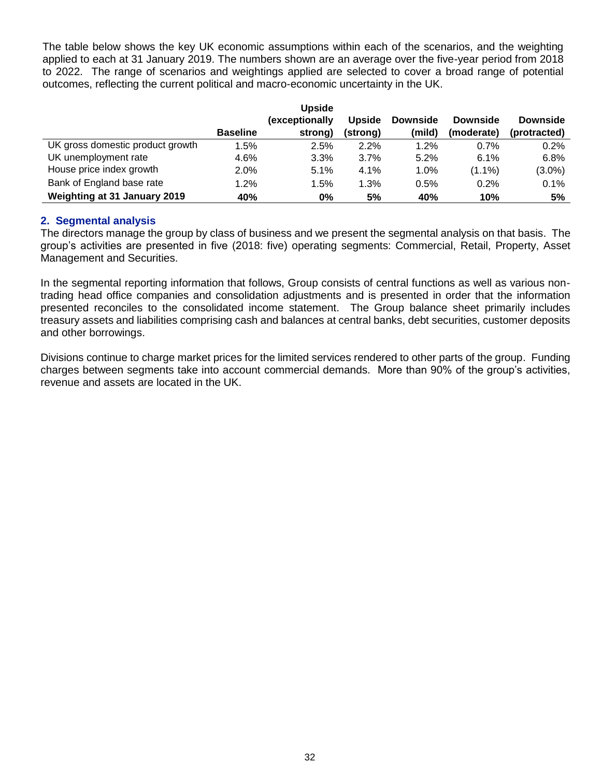The table below shows the key UK economic assumptions within each of the scenarios, and the weighting applied to each at 31 January 2019. The numbers shown are an average over the five-year period from 2018 to 2022. The range of scenarios and weightings applied are selected to cover a broad range of potential outcomes, reflecting the current political and macro-economic uncertainty in the UK.

|                                  | <b>Baseline</b> | <b>Upside</b><br>(exceptionally<br>strong) | <b>Upside</b><br>(strong) | <b>Downside</b><br>(mild) | <b>Downside</b><br>(moderate) | <b>Downside</b><br>(protracted) |
|----------------------------------|-----------------|--------------------------------------------|---------------------------|---------------------------|-------------------------------|---------------------------------|
| UK gross domestic product growth | 1.5%            | 2.5%                                       | 2.2%                      | 1.2%                      | 0.7%                          | 0.2%                            |
| UK unemployment rate             | 4.6%            | 3.3%                                       | $3.7\%$                   | 5.2%                      | 6.1%                          | 6.8%                            |
| House price index growth         | 2.0%            | 5.1%                                       | 4.1%                      | 1.0%                      | $(1.1\%)$                     | $(3.0\%)$                       |
| Bank of England base rate        | 1.2%            | 1.5%                                       | 1.3%                      | 0.5%                      | 0.2%                          | 0.1%                            |
| Weighting at 31 January 2019     | 40%             | 0%                                         | 5%                        | 40%                       | 10%                           | 5%                              |

### **2. Segmental analysis**

The directors manage the group by class of business and we present the segmental analysis on that basis. The group's activities are presented in five (2018: five) operating segments: Commercial, Retail, Property, Asset Management and Securities.

In the segmental reporting information that follows, Group consists of central functions as well as various nontrading head office companies and consolidation adjustments and is presented in order that the information presented reconciles to the consolidated income statement. The Group balance sheet primarily includes treasury assets and liabilities comprising cash and balances at central banks, debt securities, customer deposits and other borrowings.

Divisions continue to charge market prices for the limited services rendered to other parts of the group. Funding charges between segments take into account commercial demands. More than 90% of the group's activities, revenue and assets are located in the UK.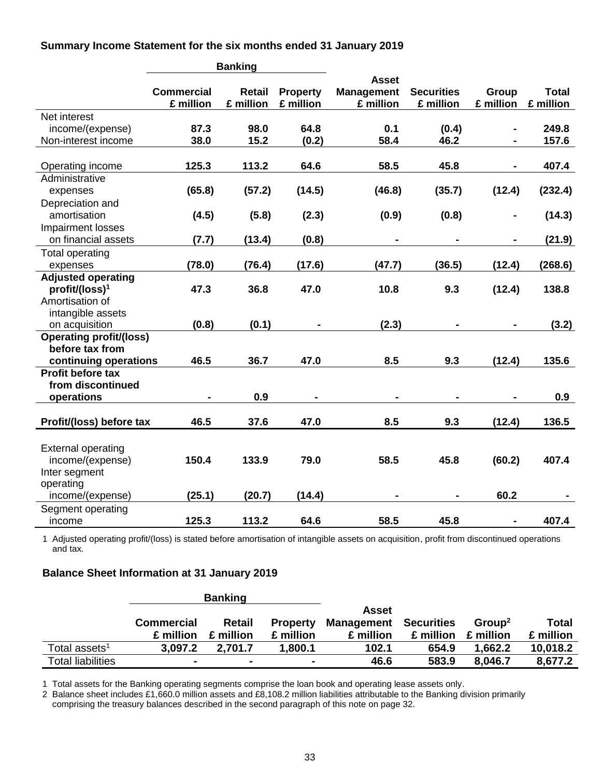**Summary Income Statement for the six months ended 31 January 2019**

|                                                                            |                                | <b>Banking</b>             |                              |                                                |                                |                    |                           |
|----------------------------------------------------------------------------|--------------------------------|----------------------------|------------------------------|------------------------------------------------|--------------------------------|--------------------|---------------------------|
|                                                                            | <b>Commercial</b><br>£ million | <b>Retail</b><br>£ million | <b>Property</b><br>£ million | <b>Asset</b><br><b>Management</b><br>£ million | <b>Securities</b><br>£ million | Group<br>£ million | <b>Total</b><br>£ million |
| Net interest<br>income/(expense)                                           | 87.3                           | 98.0                       | 64.8                         | 0.1                                            | (0.4)                          |                    | 249.8                     |
| Non-interest income                                                        | 38.0                           | 15.2                       | (0.2)                        | 58.4                                           | 46.2                           |                    | 157.6                     |
| Operating income                                                           | 125.3                          | 113.2                      | 64.6                         | 58.5                                           | 45.8                           |                    | 407.4                     |
| Administrative                                                             |                                |                            |                              |                                                |                                |                    |                           |
| expenses                                                                   | (65.8)                         | (57.2)                     | (14.5)                       | (46.8)                                         | (35.7)                         | (12.4)             | (232.4)                   |
| Depreciation and<br>amortisation                                           | (4.5)                          | (5.8)                      | (2.3)                        | (0.9)                                          | (0.8)                          |                    | (14.3)                    |
| Impairment losses<br>on financial assets                                   | (7.7)                          | (13.4)                     | (0.8)                        |                                                |                                |                    | (21.9)                    |
| <b>Total operating</b>                                                     |                                |                            |                              |                                                |                                |                    |                           |
| expenses                                                                   | (78.0)                         | (76.4)                     | (17.6)                       | (47.7)                                         | (36.5)                         | (12.4)             | (268.6)                   |
| <b>Adjusted operating</b><br>profit/(loss) <sup>1</sup><br>Amortisation of | 47.3                           | 36.8                       | 47.0                         | 10.8                                           | 9.3                            | (12.4)             | 138.8                     |
| intangible assets                                                          |                                |                            |                              |                                                |                                |                    |                           |
| on acquisition                                                             | (0.8)                          | (0.1)                      |                              | (2.3)                                          | $\blacksquare$                 |                    | (3.2)                     |
| <b>Operating profit/(loss)</b><br>before tax from                          | 46.5                           | 36.7                       | 47.0                         | 8.5                                            | 9.3                            |                    | 135.6                     |
| continuing operations<br><b>Profit before tax</b>                          |                                |                            |                              |                                                |                                | (12.4)             |                           |
| from discontinued<br>operations                                            |                                | 0.9                        |                              | ۰                                              | $\blacksquare$                 |                    | 0.9                       |
|                                                                            |                                |                            |                              |                                                |                                |                    |                           |
| Profit/(loss) before tax                                                   | 46.5                           | 37.6                       | 47.0                         | 8.5                                            | 9.3                            | (12.4)             | 136.5                     |
| <b>External operating</b><br>income/(expense)<br>Inter segment             | 150.4                          | 133.9                      | 79.0                         | 58.5                                           | 45.8                           | (60.2)             | 407.4                     |
| operating<br>income/(expense)                                              | (25.1)                         | (20.7)                     | (14.4)                       |                                                |                                | 60.2               |                           |
| Segment operating<br>income                                                | 125.3                          | 113.2                      | 64.6                         | 58.5                                           | 45.8                           | ۰                  | 407.4                     |

1 Adjusted operating profit/(loss) is stated before amortisation of intangible assets on acquisition, profit from discontinued operations and tax.

### **Balance Sheet Information at 31 January 2019**

|                           |                   | <b>Banking</b> |                          |            |            |                    |           |
|---------------------------|-------------------|----------------|--------------------------|------------|------------|--------------------|-----------|
|                           |                   |                |                          | Asset      |            |                    |           |
|                           | <b>Commercial</b> | <b>Retail</b>  | <b>Property</b>          | Management | Securities | Group <sup>2</sup> | Total     |
|                           | £ million         | £ million      | £ million                | £ million  | £ million  | £ million          | £ million |
| Total assets <sup>1</sup> | 3.097.2           | 2.701.7        | 1.800.1                  | 102.1      | 654.9      | 1.662.2            | 10,018.2  |
| <b>Total liabilities</b>  | $\blacksquare$    |                | $\overline{\phantom{a}}$ | 46.6       | 583.9      | 8.046.7            | 8,677.2   |

1 Total assets for the Banking operating segments comprise the loan book and operating lease assets only.

2 Balance sheet includes £1,660.0 million assets and £8,108.2 million liabilities attributable to the Banking division primarily comprising the treasury balances described in the second paragraph of this note on page 32.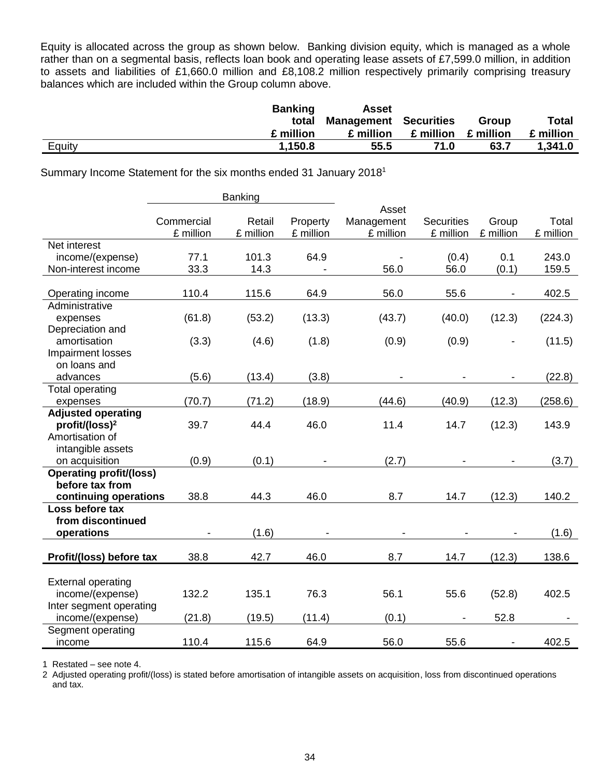Equity is allocated across the group as shown below. Banking division equity, which is managed as a whole rather than on a segmental basis, reflects loan book and operating lease assets of £7,599.0 million, in addition to assets and liabilities of £1,660.0 million and £8,108.2 million respectively primarily comprising treasury balances which are included within the Group column above.

|        | <b>Banking</b> | Asset                        |           |           |              |
|--------|----------------|------------------------------|-----------|-----------|--------------|
|        | total          | <b>Management Securities</b> |           | Group     | <b>Total</b> |
|        | £ million      | £ million                    | £ million | £ million | £ million    |
| Equity | 1,150.8        | 55.5                         | 71.0      | 63.7      | 1.341.0      |

Summary Income Statement for the six months ended 31 January 2018<sup>1</sup>

|                                                         | Banking                 |                     |                       |                         |                                |                    |                    |
|---------------------------------------------------------|-------------------------|---------------------|-----------------------|-------------------------|--------------------------------|--------------------|--------------------|
|                                                         |                         |                     |                       | Asset                   |                                |                    |                    |
|                                                         | Commercial<br>£ million | Retail<br>£ million | Property<br>£ million | Management<br>£ million | <b>Securities</b><br>£ million | Group<br>£ million | Total<br>£ million |
| Net interest                                            |                         |                     |                       |                         |                                |                    |                    |
| income/(expense)                                        | 77.1                    | 101.3               | 64.9                  |                         | (0.4)                          | 0.1                | 243.0              |
| Non-interest income                                     | 33.3                    | 14.3                |                       | 56.0                    | 56.0                           | (0.1)              | 159.5              |
|                                                         |                         |                     |                       |                         |                                |                    |                    |
| Operating income                                        | 110.4                   | 115.6               | 64.9                  | 56.0                    | 55.6                           |                    | 402.5              |
| Administrative                                          |                         |                     |                       |                         |                                |                    |                    |
| expenses                                                | (61.8)                  | (53.2)              | (13.3)                | (43.7)                  | (40.0)                         | (12.3)             | (224.3)            |
| Depreciation and                                        |                         |                     |                       |                         |                                |                    |                    |
| amortisation                                            | (3.3)                   | (4.6)               | (1.8)                 | (0.9)                   | (0.9)                          |                    | (11.5)             |
| <b>Impairment losses</b>                                |                         |                     |                       |                         |                                |                    |                    |
| on loans and                                            |                         |                     |                       |                         |                                |                    |                    |
| advances                                                | (5.6)                   | (13.4)              | (3.8)                 |                         |                                |                    | (22.8)             |
| <b>Total operating</b>                                  |                         |                     |                       |                         |                                |                    |                    |
| expenses                                                | (70.7)                  | (71.2)              | (18.9)                | (44.6)                  | (40.9)                         | (12.3)             | (258.6)            |
| <b>Adjusted operating</b><br>profit/(loss) <sup>2</sup> | 39.7                    | 44.4                | 46.0                  | 11.4                    | 14.7                           | (12.3)             | 143.9              |
| Amortisation of                                         |                         |                     |                       |                         |                                |                    |                    |
| intangible assets                                       |                         |                     |                       |                         |                                |                    |                    |
| on acquisition                                          | (0.9)                   | (0.1)               |                       | (2.7)                   |                                |                    | (3.7)              |
| <b>Operating profit/(loss)</b>                          |                         |                     |                       |                         |                                |                    |                    |
| before tax from                                         |                         |                     |                       |                         |                                |                    |                    |
| continuing operations                                   | 38.8                    | 44.3                | 46.0                  | 8.7                     | 14.7                           | (12.3)             | 140.2              |
| Loss before tax                                         |                         |                     |                       |                         |                                |                    |                    |
| from discontinued                                       |                         |                     |                       |                         |                                |                    |                    |
| operations                                              |                         | (1.6)               |                       |                         |                                |                    | (1.6)              |
|                                                         |                         |                     |                       |                         |                                |                    |                    |
| Profit/(loss) before tax                                | 38.8                    | 42.7                | 46.0                  | 8.7                     | 14.7                           | (12.3)             | 138.6              |
|                                                         |                         |                     |                       |                         |                                |                    |                    |
| <b>External operating</b>                               |                         |                     |                       |                         |                                |                    |                    |
| income/(expense)                                        | 132.2                   | 135.1               | 76.3                  | 56.1                    | 55.6                           | (52.8)             | 402.5              |
| Inter segment operating                                 |                         |                     |                       |                         |                                |                    |                    |
| income/(expense)                                        | (21.8)                  | (19.5)              | (11.4)                | (0.1)                   |                                | 52.8               |                    |
| Segment operating                                       | 110.4                   |                     |                       |                         | 55.6                           |                    | 402.5              |
| income                                                  |                         | 115.6               | 64.9                  | 56.0                    |                                |                    |                    |

1 Restated – see note 4.

2 Adjusted operating profit/(loss) is stated before amortisation of intangible assets on acquisition, loss from discontinued operations and tax.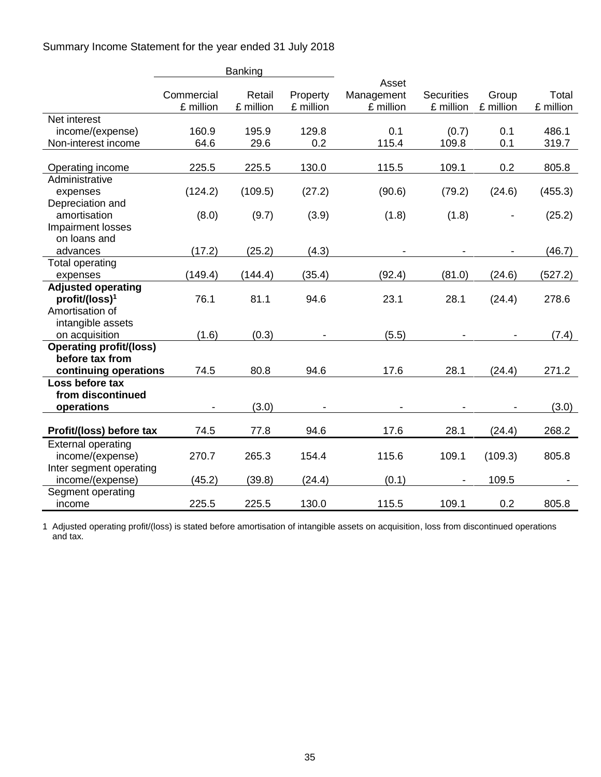Summary Income Statement for the year ended 31 July 2018

|                                | <b>Banking</b>          |                     |                       |                                  |                                |                    |                    |
|--------------------------------|-------------------------|---------------------|-----------------------|----------------------------------|--------------------------------|--------------------|--------------------|
|                                | Commercial<br>£ million | Retail<br>£ million | Property<br>£ million | Asset<br>Management<br>£ million | <b>Securities</b><br>£ million | Group<br>£ million | Total<br>£ million |
| Net interest                   |                         |                     |                       |                                  |                                |                    |                    |
| income/(expense)               | 160.9                   | 195.9               | 129.8                 | 0.1                              | (0.7)                          | 0.1                | 486.1              |
| Non-interest income            | 64.6                    | 29.6                | 0.2                   | 115.4                            | 109.8                          | 0.1                | 319.7              |
|                                |                         |                     |                       |                                  |                                |                    |                    |
| Operating income               | 225.5                   | 225.5               | 130.0                 | 115.5                            | 109.1                          | 0.2                | 805.8              |
| Administrative                 |                         |                     |                       |                                  |                                |                    |                    |
| expenses                       | (124.2)                 | (109.5)             | (27.2)                | (90.6)                           | (79.2)                         | (24.6)             | (455.3)            |
| Depreciation and               |                         |                     |                       |                                  |                                |                    |                    |
| amortisation                   | (8.0)                   | (9.7)               | (3.9)                 | (1.8)                            | (1.8)                          |                    | (25.2)             |
| Impairment losses              |                         |                     |                       |                                  |                                |                    |                    |
| on loans and                   |                         |                     |                       |                                  |                                |                    |                    |
| advances                       | (17.2)                  | (25.2)              | (4.3)                 |                                  |                                |                    | (46.7)             |
| Total operating                |                         |                     |                       |                                  |                                |                    |                    |
| expenses                       | (149.4)                 | (144.4)             | (35.4)                | (92.4)                           | (81.0)                         | (24.6)             | (527.2)            |
| <b>Adjusted operating</b>      |                         |                     |                       |                                  |                                |                    |                    |
| profit/(loss) <sup>1</sup>     | 76.1                    | 81.1                | 94.6                  | 23.1                             | 28.1                           | (24.4)             | 278.6              |
| Amortisation of                |                         |                     |                       |                                  |                                |                    |                    |
| intangible assets              |                         |                     |                       |                                  |                                |                    |                    |
| on acquisition                 | (1.6)                   | (0.3)               |                       | (5.5)                            |                                |                    | (7.4)              |
| <b>Operating profit/(loss)</b> |                         |                     |                       |                                  |                                |                    |                    |
| before tax from                |                         |                     |                       |                                  |                                |                    |                    |
| continuing operations          | 74.5                    | 80.8                | 94.6                  | 17.6                             | 28.1                           | (24.4)             | 271.2              |
| Loss before tax                |                         |                     |                       |                                  |                                |                    |                    |
| from discontinued              |                         |                     |                       |                                  |                                |                    |                    |
| operations                     |                         | (3.0)               |                       |                                  |                                |                    | (3.0)              |
|                                |                         |                     |                       |                                  |                                |                    |                    |
| Profit/(loss) before tax       | 74.5                    | 77.8                | 94.6                  | 17.6                             | 28.1                           | (24.4)             | 268.2              |
| <b>External operating</b>      |                         |                     |                       |                                  |                                |                    |                    |
| income/(expense)               | 270.7                   | 265.3               | 154.4                 | 115.6                            | 109.1                          | (109.3)            | 805.8              |
| Inter segment operating        |                         |                     |                       |                                  |                                |                    |                    |
| income/(expense)               | (45.2)                  | (39.8)              | (24.4)                | (0.1)                            |                                | 109.5              |                    |
| Segment operating              |                         |                     |                       |                                  |                                |                    |                    |
| income                         | 225.5                   | 225.5               | 130.0                 | 115.5                            | 109.1                          | 0.2                | 805.8              |

1 Adjusted operating profit/(loss) is stated before amortisation of intangible assets on acquisition, loss from discontinued operations and tax.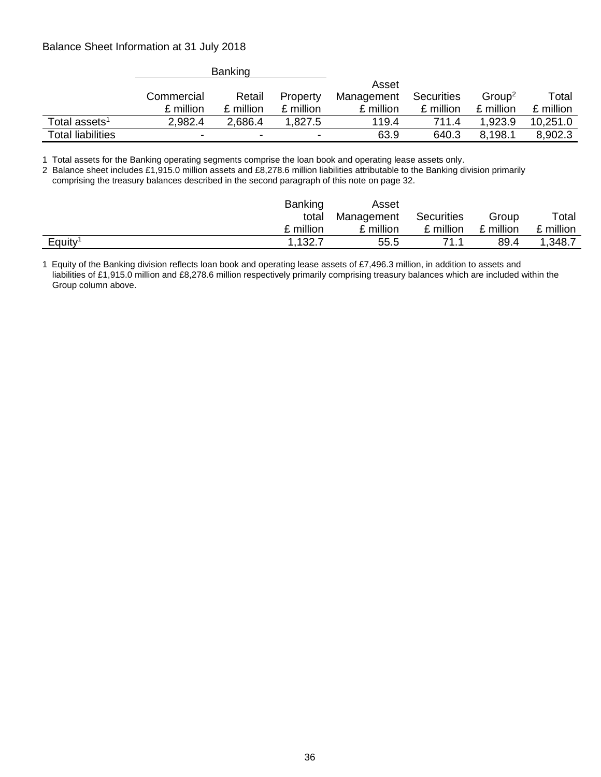### Balance Sheet Information at 31 July 2018

|                          |            | <b>Banking</b> |           |            |            |                    |           |
|--------------------------|------------|----------------|-----------|------------|------------|--------------------|-----------|
|                          |            |                |           | Asset      |            |                    |           |
|                          | Commercial | Retail         | Property  | Management | Securities | Group <sup>2</sup> | Total     |
|                          | £ million  | £ million      | £ million | £ million  | £ million  | £ million          | £ million |
| Total assets $^{\rm 1}$  | 2,982.4    | 2,686.4        | 1,827.5   | 119.4      | 711.4      | .923.9             | 10,251.0  |
| <b>Total liabilities</b> | ٠          | -              | $\,$      | 63.9       | 640.3      | 8,198.1            | 8,902.3   |

1 Total assets for the Banking operating segments comprise the loan book and operating lease assets only.

2 Balance sheet includes £1,915.0 million assets and £8,278.6 million liabilities attributable to the Banking division primarily comprising the treasury balances described in the second paragraph of this note on page 32.

|                     | <b>Banking</b> | Asset      |            |           |           |
|---------------------|----------------|------------|------------|-----------|-----------|
|                     | total          | Management | Securities | Group     | Total     |
|                     | £ million      | £ million  | £ million  | £ million | £ million |
| Equity <sup>1</sup> | 1,132.7        | 55.5       | 71 1       | 89.4      | 1,348.7   |

1 Equity of the Banking division reflects loan book and operating lease assets of £7,496.3 million, in addition to assets and liabilities of £1,915.0 million and £8,278.6 million respectively primarily comprising treasury balances which are included within the Group column above.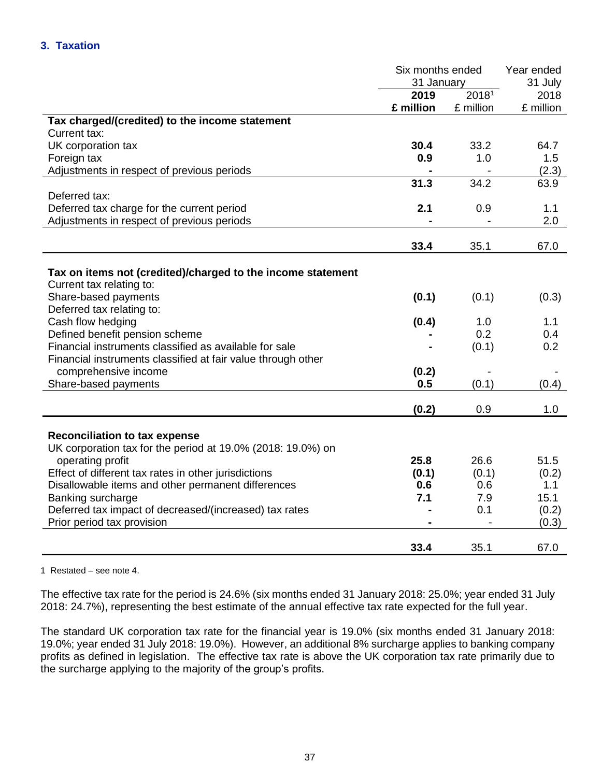|                                                              | Six months ended |                   | Year ended |
|--------------------------------------------------------------|------------------|-------------------|------------|
|                                                              | 31 January       |                   | 31 July    |
|                                                              | 2019             | 2018 <sup>1</sup> | 2018       |
|                                                              | £ million        | £ million         | £ million  |
| Tax charged/(credited) to the income statement               |                  |                   |            |
| Current tax:                                                 |                  |                   |            |
| UK corporation tax                                           | 30.4             | 33.2              | 64.7       |
| Foreign tax                                                  | 0.9              | 1.0               | 1.5        |
| Adjustments in respect of previous periods                   |                  |                   | (2.3)      |
|                                                              | 31.3             | 34.2              | 63.9       |
| Deferred tax:                                                |                  |                   |            |
| Deferred tax charge for the current period                   | 2.1              | 0.9               | 1.1        |
| Adjustments in respect of previous periods                   |                  |                   | 2.0        |
|                                                              |                  |                   |            |
|                                                              | 33.4             | 35.1              | 67.0       |
|                                                              |                  |                   |            |
| Tax on items not (credited)/charged to the income statement  |                  |                   |            |
| Current tax relating to:                                     |                  |                   |            |
| Share-based payments                                         | (0.1)            | (0.1)             | (0.3)      |
| Deferred tax relating to:                                    |                  |                   |            |
| Cash flow hedging                                            | (0.4)            | 1.0               | 1.1        |
| Defined benefit pension scheme                               |                  | 0.2               | 0.4        |
| Financial instruments classified as available for sale       |                  | (0.1)             | 0.2        |
| Financial instruments classified at fair value through other |                  |                   |            |
| comprehensive income                                         | (0.2)            |                   |            |
| Share-based payments                                         | 0.5              | (0.1)             | (0.4)      |
|                                                              |                  |                   |            |
|                                                              | (0.2)            | 0.9               | 1.0        |
|                                                              |                  |                   |            |
| <b>Reconciliation to tax expense</b>                         |                  |                   |            |
| UK corporation tax for the period at 19.0% (2018: 19.0%) on  |                  |                   |            |
| operating profit                                             | 25.8             | 26.6              | 51.5       |
| Effect of different tax rates in other jurisdictions         | (0.1)            | (0.1)             | (0.2)      |
| Disallowable items and other permanent differences           | 0.6              | 0.6               | 1.1        |
| Banking surcharge                                            | 7.1              | 7.9               | 15.1       |
| Deferred tax impact of decreased/(increased) tax rates       |                  | 0.1               | (0.2)      |
| Prior period tax provision                                   |                  |                   | (0.3)      |
|                                                              |                  |                   |            |
|                                                              | 33.4             | 35.1              | 67.0       |

1 Restated – see note 4.

The effective tax rate for the period is 24.6% (six months ended 31 January 2018: 25.0%; year ended 31 July 2018: 24.7%), representing the best estimate of the annual effective tax rate expected for the full year.

The standard UK corporation tax rate for the financial year is 19.0% (six months ended 31 January 2018: 19.0%; year ended 31 July 2018: 19.0%). However, an additional 8% surcharge applies to banking company profits as defined in legislation. The effective tax rate is above the UK corporation tax rate primarily due to the surcharge applying to the majority of the group's profits.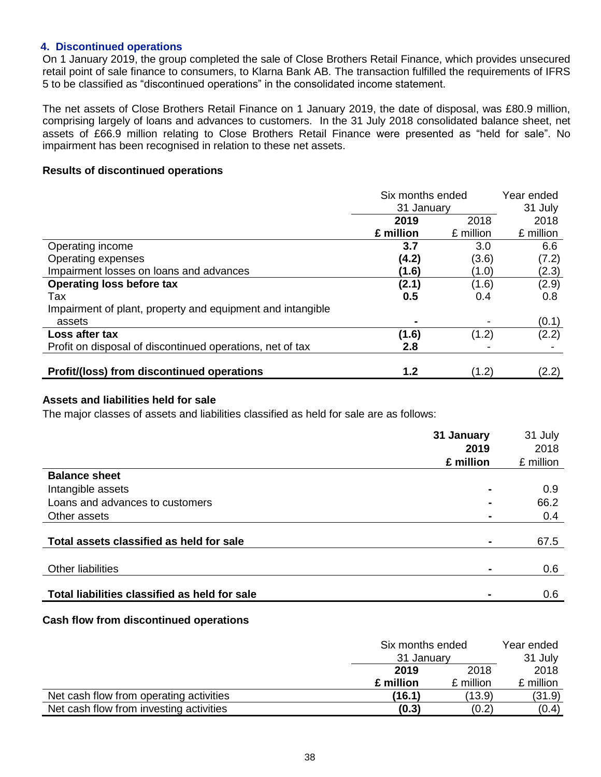### **4. Discontinued operations**

On 1 January 2019, the group completed the sale of Close Brothers Retail Finance, which provides unsecured retail point of sale finance to consumers, to Klarna Bank AB. The transaction fulfilled the requirements of IFRS 5 to be classified as "discontinued operations" in the consolidated income statement.

The net assets of Close Brothers Retail Finance on 1 January 2019, the date of disposal, was £80.9 million, comprising largely of loans and advances to customers. In the 31 July 2018 consolidated balance sheet, net assets of £66.9 million relating to Close Brothers Retail Finance were presented as "held for sale". No impairment has been recognised in relation to these net assets.

### **Results of discontinued operations**

|                                                            | Six months ended |           | Year ended |
|------------------------------------------------------------|------------------|-----------|------------|
|                                                            | 31 January       |           | 31 July    |
|                                                            | 2019             | 2018      | 2018       |
|                                                            | £ million        | £ million | £ million  |
| Operating income                                           | 3.7              | 3.0       | 6.6        |
| Operating expenses                                         | (4.2)            | (3.6)     | (7.2)      |
| Impairment losses on loans and advances                    | (1.6)            | (1.0)     | (2.3)      |
| <b>Operating loss before tax</b>                           | (2.1)            | (1.6)     | (2.9)      |
| Tax                                                        | 0.5              | 0.4       | 0.8        |
| Impairment of plant, property and equipment and intangible |                  |           |            |
| assets                                                     |                  |           | (0.1)      |
| Loss after tax                                             | (1.6)            | (1.2)     | (2.2)      |
| Profit on disposal of discontinued operations, net of tax  | 2.8              |           |            |
| <b>Profit/(loss) from discontinued operations</b>          | 1.2              | (1.2)     | (2.2)      |

### **Assets and liabilities held for sale**

The major classes of assets and liabilities classified as held for sale are as follows:

|                                               | 31 January<br>2019 | 31 July<br>2018 |
|-----------------------------------------------|--------------------|-----------------|
|                                               | £ million          | £ million       |
| <b>Balance sheet</b>                          |                    |                 |
| Intangible assets                             |                    | 0.9             |
| Loans and advances to customers               | $\blacksquare$     | 66.2            |
| Other assets                                  |                    | 0.4             |
| Total assets classified as held for sale      |                    | 67.5            |
|                                               |                    |                 |
| <b>Other liabilities</b>                      |                    | 0.6             |
| Total liabilities classified as held for sale |                    | 0.6             |

### **Cash flow from discontinued operations**

|                                         | Six months ended | Year ended |           |
|-----------------------------------------|------------------|------------|-----------|
|                                         | 31 January       | 31 July    |           |
|                                         | 2018<br>2019     |            | 2018      |
|                                         | £ million        | £ million  | £ million |
| Net cash flow from operating activities | (16.1)           | (13.9)     | (31.9)    |
| Net cash flow from investing activities | (0.3)            | (0.2)      | (0.4)     |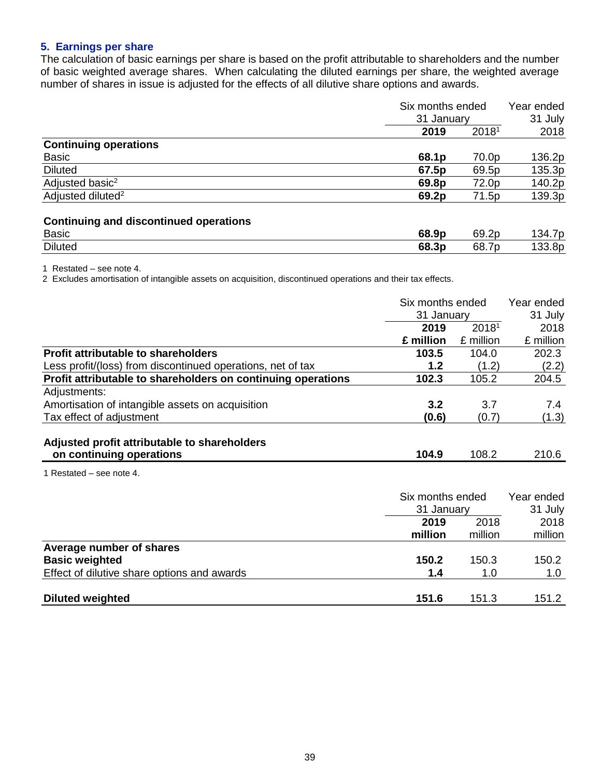# **5. Earnings per share**

The calculation of basic earnings per share is based on the profit attributable to shareholders and the number of basic weighted average shares. When calculating the diluted earnings per share, the weighted average number of shares in issue is adjusted for the effects of all dilutive share options and awards.

|                               |       | Six months ended<br>31 January |        |
|-------------------------------|-------|--------------------------------|--------|
|                               | 2019  | 2018 <sup>1</sup>              | 2018   |
| <b>Continuing operations</b>  |       |                                |        |
| <b>Basic</b>                  | 68.1p | 70.0p                          | 136.2p |
| <b>Diluted</b>                | 67.5p | 69.5p                          | 135.3p |
| Adjusted basic <sup>2</sup>   | 69.8p | 72.0p                          | 140.2p |
| Adjusted diluted <sup>2</sup> | 69.2p | 71.5p                          | 139.3p |
|                               |       |                                |        |

# **Continuing and discontinued operations**

| <b>Basic</b>   | 68<br>.9p | 2n<br>~~     | . . |
|----------------|-----------|--------------|-----|
| <b>Diluted</b> | 68<br>.3p | -<br>ົ<br>nr | ОΙ  |

1 Restated – see note 4.

2 Excludes amortisation of intangible assets on acquisition, discontinued operations and their tax effects.

|                                                              | Six months ended |            | Year ended |  |
|--------------------------------------------------------------|------------------|------------|------------|--|
|                                                              | 31 January       |            | 31 July    |  |
|                                                              | 2019             | 20181      | 2018       |  |
|                                                              | £ million        | £ million  | £ million  |  |
| <b>Profit attributable to shareholders</b>                   | 103.5            | 104.0      | 202.3      |  |
| Less profit/(loss) from discontinued operations, net of tax  | 1.2              | (1.2)      | (2.2)      |  |
| Profit attributable to shareholders on continuing operations | 102.3            | 105.2      | 204.5      |  |
| Adjustments:                                                 |                  |            |            |  |
| Amortisation of intangible assets on acquisition             | 3.2              | 3.7        | 7.4        |  |
| Tax effect of adjustment                                     | (0.6)            | (0.7)      | (1.3)      |  |
|                                                              |                  |            |            |  |
| Adjusted profit attributable to shareholders                 |                  |            |            |  |
| on continuing operations                                     | 104.9            | 108.2      | 210.6      |  |
| 1 Restated – see note 4.                                     |                  |            |            |  |
|                                                              | Six months ended |            | Year ended |  |
|                                                              |                  | 31 January |            |  |
|                                                              | 2019             | 2018       | 2018       |  |
|                                                              | million          | million    | million    |  |
| Average number of shares                                     |                  |            |            |  |
| <b>Basic weighted</b>                                        | 150.2            | 150.3      | 150.2      |  |
| Effect of dilutive share options and awards                  | 1.4              | 1.0        | 1.0        |  |
|                                                              |                  |            |            |  |
| <b>Diluted weighted</b>                                      | 151.6            | 151.3      | 151.2      |  |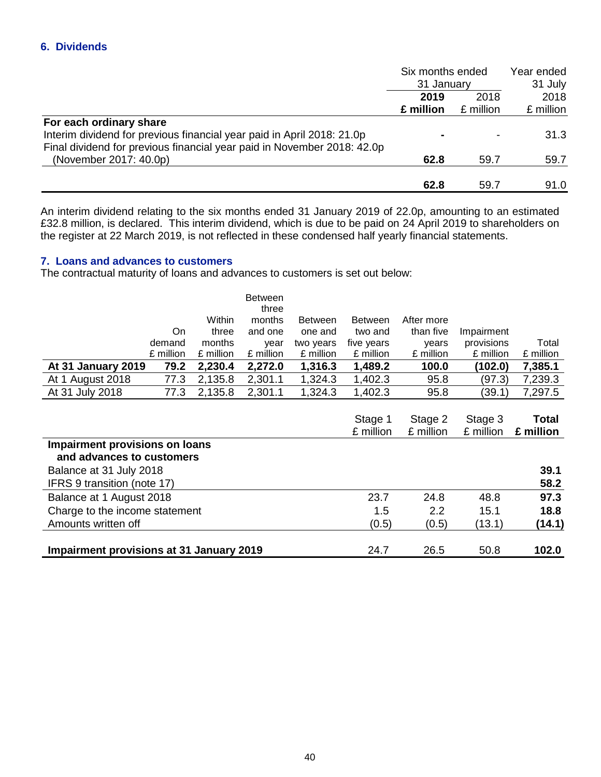|                                                                         | Six months ended |            | Year ended |  |
|-------------------------------------------------------------------------|------------------|------------|------------|--|
|                                                                         |                  | 31 January |            |  |
|                                                                         | 2019             | 2018       |            |  |
|                                                                         | £ million        | £ million  | £ million  |  |
| For each ordinary share                                                 |                  |            |            |  |
| Interim dividend for previous financial year paid in April 2018: 21.0p  |                  |            | 31.3       |  |
| Final dividend for previous financial year paid in November 2018: 42.0p |                  |            |            |  |
| (November 2017: 40.0p)                                                  | 62.8             | 59.7       | 59.7       |  |
|                                                                         |                  |            |            |  |
|                                                                         | 62.8             | 59.7       | 91.0       |  |

An interim dividend relating to the six months ended 31 January 2019 of 22.0p, amounting to an estimated £32.8 million, is declared. This interim dividend, which is due to be paid on 24 April 2019 to shareholders on the register at 22 March 2019, is not reflected in these condensed half yearly financial statements.

## **7. Loans and advances to customers**

The contractual maturity of loans and advances to customers is set out below:

|                                                             |           |           | <b>Between</b><br>three |                |                |            |            |           |
|-------------------------------------------------------------|-----------|-----------|-------------------------|----------------|----------------|------------|------------|-----------|
|                                                             |           | Within    | months                  | <b>Between</b> | <b>Between</b> | After more |            |           |
|                                                             | On        | three     | and one                 | one and        | two and        | than five  | Impairment |           |
|                                                             | demand    | months    | year                    | two years      | five years     | years      | provisions | Total     |
|                                                             | £ million | £ million | £ million               | £ million      | £ million      | £ million  | £ million  | £ million |
| At 31 January 2019                                          | 79.2      | 2,230.4   | 2,272.0                 | 1,316.3        | 1,489.2        | 100.0      | (102.0)    | 7,385.1   |
| At 1 August 2018                                            | 77.3      | 2,135.8   | 2,301.1                 | 1,324.3        | 1,402.3        | 95.8       | (97.3)     | 7,239.3   |
| At 31 July 2018                                             | 77.3      | 2,135.8   | 2,301.1                 | 1,324.3        | 1,402.3        | 95.8       | (39.1)     | 7,297.5   |
|                                                             |           |           |                         |                |                |            |            |           |
|                                                             |           |           |                         |                | Stage 1        | Stage 2    | Stage 3    | Total     |
|                                                             |           |           |                         |                | £ million      | £ million  | £ million  | £ million |
| Impairment provisions on loans<br>and advances to customers |           |           |                         |                |                |            |            |           |
| Balance at 31 July 2018                                     |           |           |                         |                |                |            |            | 39.1      |
| IFRS 9 transition (note 17)                                 |           |           |                         |                |                |            |            | 58.2      |
| Balance at 1 August 2018                                    |           |           |                         |                | 23.7           | 24.8       | 48.8       | 97.3      |
| Charge to the income statement                              |           |           |                         |                | 1.5            | 2.2        | 15.1       | 18.8      |
| Amounts written off                                         |           |           |                         |                | (0.5)          | (0.5)      | (13.1)     | (14.1)    |
| Impairment provisions at 31 January 2019                    |           |           |                         |                | 24.7           | 26.5       | 50.8       | 102.0     |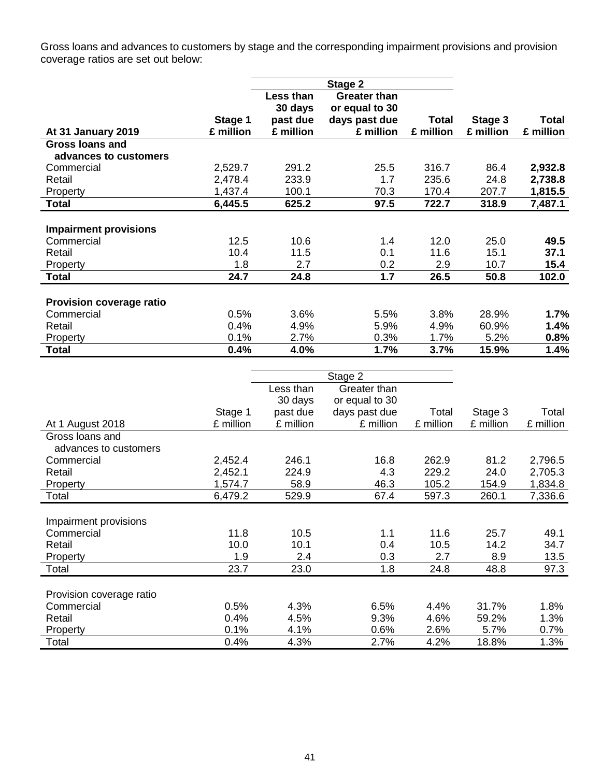Gross loans and advances to customers by stage and the corresponding impairment provisions and provision coverage ratios are set out below:

|                                 |           |                             | Stage 2                               |           |           |              |
|---------------------------------|-----------|-----------------------------|---------------------------------------|-----------|-----------|--------------|
|                                 |           | <b>Less than</b><br>30 days | <b>Greater than</b><br>or equal to 30 |           |           |              |
|                                 | Stage 1   | past due                    | days past due                         | Total     | Stage 3   | <b>Total</b> |
| At 31 January 2019              | £ million | £ million                   | £ million                             | £ million | £ million | £ million    |
| Gross loans and                 |           |                             |                                       |           |           |              |
| advances to customers           |           |                             |                                       |           |           |              |
| Commercial                      | 2,529.7   | 291.2                       | 25.5                                  | 316.7     | 86.4      | 2,932.8      |
| Retail                          | 2,478.4   | 233.9                       | 1.7                                   | 235.6     | 24.8      | 2,738.8      |
| Property                        | 1,437.4   | 100.1                       | 70.3                                  | 170.4     | 207.7     | 1,815.5      |
| <b>Total</b>                    | 6,445.5   | 625.2                       | 97.5                                  | 722.7     | 318.9     | 7,487.1      |
|                                 |           |                             |                                       |           |           |              |
| <b>Impairment provisions</b>    |           |                             |                                       |           |           |              |
| Commercial                      | 12.5      | 10.6                        | 1.4                                   | 12.0      | 25.0      | 49.5         |
| Retail                          | 10.4      | 11.5                        | 0.1                                   | 11.6      | 15.1      | 37.1         |
| Property                        | 1.8       | 2.7                         | 0.2                                   | 2.9       | 10.7      | 15.4         |
| <b>Total</b>                    | 24.7      | 24.8                        | 1.7                                   | 26.5      | 50.8      | 102.0        |
|                                 |           |                             |                                       |           |           |              |
| <b>Provision coverage ratio</b> |           |                             |                                       |           |           |              |
| Commercial                      | 0.5%      | 3.6%                        | 5.5%                                  | 3.8%      | 28.9%     | 1.7%         |
| Retail                          | 0.4%      | 4.9%                        | 5.9%                                  | 4.9%      | 60.9%     | 1.4%         |
| Property                        | 0.1%      | 2.7%                        | 0.3%                                  | 1.7%      | 5.2%      | 0.8%         |
| <b>Total</b>                    | 0.4%      | 4.0%                        | 1.7%                                  | 3.7%      | 15.9%     | 1.4%         |

|                          |           | Stage 2   |                |           |           |           |
|--------------------------|-----------|-----------|----------------|-----------|-----------|-----------|
|                          |           | Less than | Greater than   |           |           |           |
|                          |           | 30 days   | or equal to 30 |           |           |           |
|                          | Stage 1   | past due  | days past due  | Total     | Stage 3   | Total     |
| At 1 August 2018         | £ million | £ million | £ million      | £ million | £ million | £ million |
| Gross loans and          |           |           |                |           |           |           |
| advances to customers    |           |           |                |           |           |           |
| Commercial               | 2,452.4   | 246.1     | 16.8           | 262.9     | 81.2      | 2,796.5   |
| Retail                   | 2,452.1   | 224.9     | 4.3            | 229.2     | 24.0      | 2,705.3   |
| Property                 | 1,574.7   | 58.9      | 46.3           | 105.2     | 154.9     | 1,834.8   |
| Total                    | 6,479.2   | 529.9     | 67.4           | 597.3     | 260.1     | 7,336.6   |
|                          |           |           |                |           |           |           |
| Impairment provisions    |           |           |                |           |           |           |
| Commercial               | 11.8      | 10.5      | 1.1            | 11.6      | 25.7      | 49.1      |
| Retail                   | 10.0      | 10.1      | 0.4            | 10.5      | 14.2      | 34.7      |
| Property                 | 1.9       | 2.4       | 0.3            | 2.7       | 8.9       | 13.5      |
| Total                    | 23.7      | 23.0      | 1.8            | 24.8      | 48.8      | 97.3      |
|                          |           |           |                |           |           |           |
| Provision coverage ratio |           |           |                |           |           |           |
| Commercial               | 0.5%      | 4.3%      | 6.5%           | 4.4%      | 31.7%     | 1.8%      |
| Retail                   | 0.4%      | 4.5%      | 9.3%           | 4.6%      | 59.2%     | 1.3%      |
| Property                 | 0.1%      | 4.1%      | 0.6%           | 2.6%      | 5.7%      | 0.7%      |
| Total                    | 0.4%      | 4.3%      | 2.7%           | 4.2%      | 18.8%     | 1.3%      |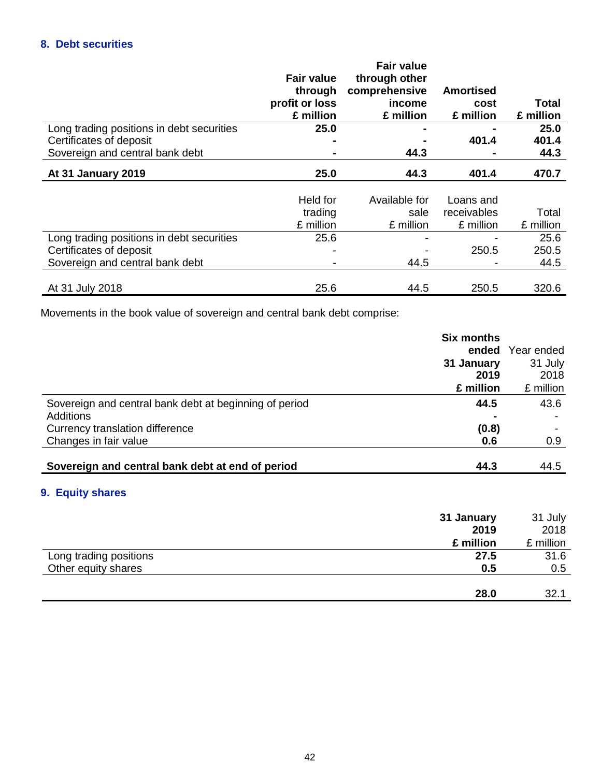# **8. Debt securities**

|                                           | <b>Fair value</b><br>through<br>profit or loss<br>£ million | <b>Fair value</b><br>through other<br>comprehensive<br>income<br>£ million | <b>Amortised</b><br>cost<br>£ million | Total<br>£ million |
|-------------------------------------------|-------------------------------------------------------------|----------------------------------------------------------------------------|---------------------------------------|--------------------|
| Long trading positions in debt securities | 25.0                                                        |                                                                            |                                       | 25.0               |
| Certificates of deposit                   |                                                             |                                                                            | 401.4                                 | 401.4              |
| Sovereign and central bank debt           |                                                             | 44.3                                                                       |                                       | 44.3               |
| <b>At 31 January 2019</b>                 | 25.0                                                        | 44.3                                                                       | 401.4                                 | 470.7              |
|                                           |                                                             |                                                                            |                                       |                    |
|                                           | Held for                                                    | Available for                                                              | Loans and                             |                    |
|                                           | trading                                                     | sale                                                                       | receivables                           | Total              |
|                                           | £ million                                                   | £ million                                                                  | £ million                             | £ million          |
| Long trading positions in debt securities | 25.6                                                        |                                                                            |                                       | 25.6               |
| Certificates of deposit                   |                                                             |                                                                            | 250.5                                 | 250.5              |
| Sovereign and central bank debt           |                                                             | 44.5                                                                       |                                       | 44.5               |
|                                           |                                                             |                                                                            |                                       |                    |
| At 31 July 2018                           | 25.6                                                        | 44.5                                                                       | 250.5                                 | 320.6              |

Movements in the book value of sovereign and central bank debt comprise:

|                                                        | <b>Six months</b> |                  |
|--------------------------------------------------------|-------------------|------------------|
|                                                        |                   | ended Year ended |
|                                                        | 31 January        | 31 July          |
|                                                        | 2019              | 2018             |
|                                                        | £ million         | £ million        |
| Sovereign and central bank debt at beginning of period | 44.5              | 43.6             |
| <b>Additions</b>                                       |                   |                  |
| Currency translation difference                        | (0.8)             |                  |
| Changes in fair value                                  | 0.6               | 0.9              |
|                                                        |                   |                  |
| Sovereign and central bank debt at end of period       | 44.3              | 44.5             |

# **9. Equity shares**

|                        | 31 January | 31 July   |
|------------------------|------------|-----------|
|                        | 2019       | 2018      |
|                        | £ million  | £ million |
| Long trading positions | 27.5       | 31.6      |
| Other equity shares    | 0.5        | 0.5       |
|                        |            |           |
|                        | 28.0       | 32.1      |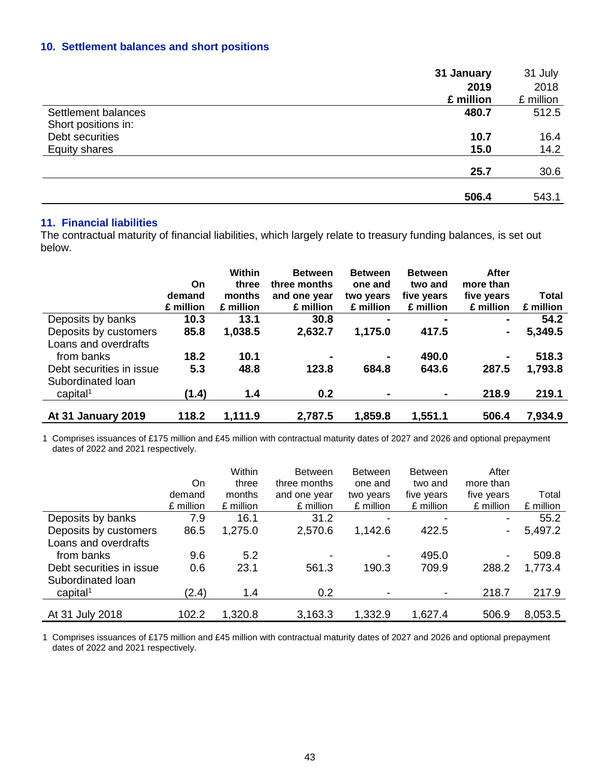# **10. Settlement balances and short positions**

|                      | 31 January | 31 July   |
|----------------------|------------|-----------|
|                      | 2019       | 2018      |
|                      | £ million  | £ million |
| Settlement balances  | 480.7      | 512.5     |
| Short positions in:  |            |           |
| Debt securities      | 10.7       | 16.4      |
| <b>Equity shares</b> | 15.0       | 14.2      |
|                      | 25.7       | 30.6      |
|                      | 506.4      | 543.1     |

# **11. Financial liabilities**

The contractual maturity of financial liabilities, which largely relate to treasury funding balances, is set out below.

|                                           | On.<br>demand<br>£ million | Within<br>three<br>months<br>£ million | <b>Between</b><br>three months<br>and one year<br>£ million | <b>Between</b><br>one and<br>two years<br>£ million | <b>Between</b><br>two and<br>five years<br>£ million | After<br>more than<br>five years<br>£ million | Total<br>£ million |
|-------------------------------------------|----------------------------|----------------------------------------|-------------------------------------------------------------|-----------------------------------------------------|------------------------------------------------------|-----------------------------------------------|--------------------|
| Deposits by banks                         | 10.3                       | 13.1                                   | 30.8                                                        | $\blacksquare$                                      | $\blacksquare$                                       | $\blacksquare$                                | 54.2               |
| Deposits by customers                     | 85.8                       | 1,038.5                                | 2,632.7                                                     | 1,175.0                                             | 417.5                                                |                                               | 5,349.5            |
| Loans and overdrafts<br>from banks        | 18.2                       | 10.1                                   | $\blacksquare$                                              |                                                     | 490.0                                                |                                               | 518.3              |
| Debt securities in issue                  | 5.3                        | 48.8                                   | 123.8                                                       | 684.8                                               | 643.6                                                | 287.5                                         | 1,793.8            |
| Subordinated Ioan<br>capital <sup>1</sup> | (1.4)                      | 1.4                                    | 0.2                                                         | $\blacksquare$                                      | $\blacksquare$                                       | 218.9                                         | 219.1              |
| <b>At 31 January 2019</b>                 | 118.2                      | 1,111.9                                | 2,787.5                                                     | 1,859.8                                             | 1,551.1                                              | 506.4                                         | 7,934.9            |

1 Comprises issuances of £175 million and £45 million with contractual maturity dates of 2027 and 2026 and optional prepayment dates of 2022 and 2021 respectively.

|                          |           | Within    | <b>Between</b> | <b>Between</b>           | <b>Between</b>           | After                    |           |
|--------------------------|-----------|-----------|----------------|--------------------------|--------------------------|--------------------------|-----------|
|                          | On        | three     | three months   | one and                  | two and                  | more than                |           |
|                          | demand    | months    | and one year   | two years                | five years               | five years               | Total     |
|                          | £ million | £ million | £ million      | £ million                | £ million                | £ million                | £ million |
| Deposits by banks        | 7.9       | 16.1      | 31.2           |                          | -                        | $\overline{\phantom{a}}$ | 55.2      |
| Deposits by customers    | 86.5      | 1,275.0   | 2,570.6        | 1,142.6                  | 422.5                    | $\blacksquare$           | 5,497.2   |
| Loans and overdrafts     |           |           |                |                          |                          |                          |           |
| from banks               | 9.6       | 5.2       |                | $\overline{\phantom{a}}$ | 495.0                    | $\overline{\phantom{a}}$ | 509.8     |
| Debt securities in issue | 0.6       | 23.1      | 561.3          | 190.3                    | 709.9                    | 288.2                    | 1,773.4   |
| Subordinated Ioan        |           |           |                |                          |                          |                          |           |
| capital <sup>1</sup>     | (2.4)     | 1.4       | 0.2            | $\overline{\phantom{0}}$ | $\overline{\phantom{a}}$ | 218.7                    | 217.9     |
|                          |           |           |                |                          |                          |                          |           |
| At 31 July 2018          | 102.2     | 1,320.8   | 3,163.3        | 1,332.9                  | 1,627.4                  | 506.9                    | 8,053.5   |

1 Comprises issuances of £175 million and £45 million with contractual maturity dates of 2027 and 2026 and optional prepayment dates of 2022 and 2021 respectively.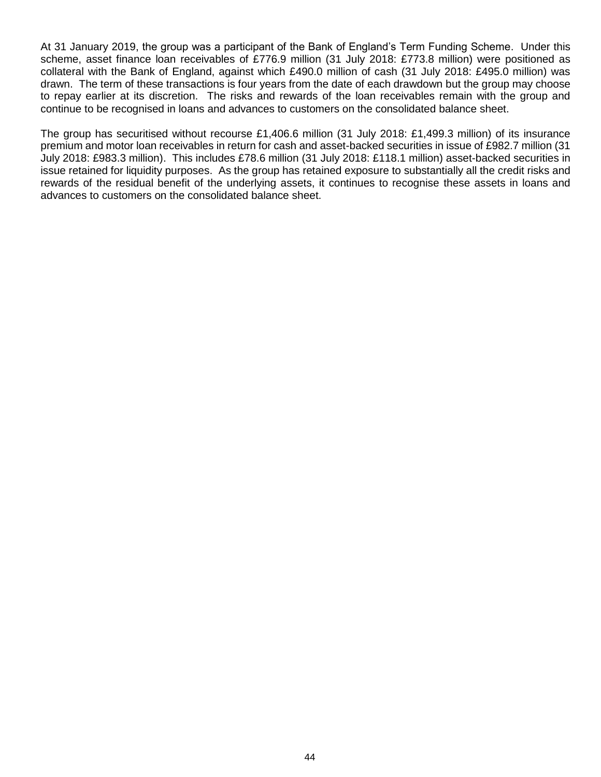At 31 January 2019, the group was a participant of the Bank of England's Term Funding Scheme. Under this scheme, asset finance loan receivables of £776.9 million (31 July 2018: £773.8 million) were positioned as collateral with the Bank of England, against which £490.0 million of cash (31 July 2018: £495.0 million) was drawn. The term of these transactions is four years from the date of each drawdown but the group may choose to repay earlier at its discretion. The risks and rewards of the loan receivables remain with the group and continue to be recognised in loans and advances to customers on the consolidated balance sheet.

The group has securitised without recourse £1,406.6 million (31 July 2018: £1,499.3 million) of its insurance premium and motor loan receivables in return for cash and asset-backed securities in issue of £982.7 million (31 July 2018: £983.3 million). This includes £78.6 million (31 July 2018: £118.1 million) asset-backed securities in issue retained for liquidity purposes. As the group has retained exposure to substantially all the credit risks and rewards of the residual benefit of the underlying assets, it continues to recognise these assets in loans and advances to customers on the consolidated balance sheet.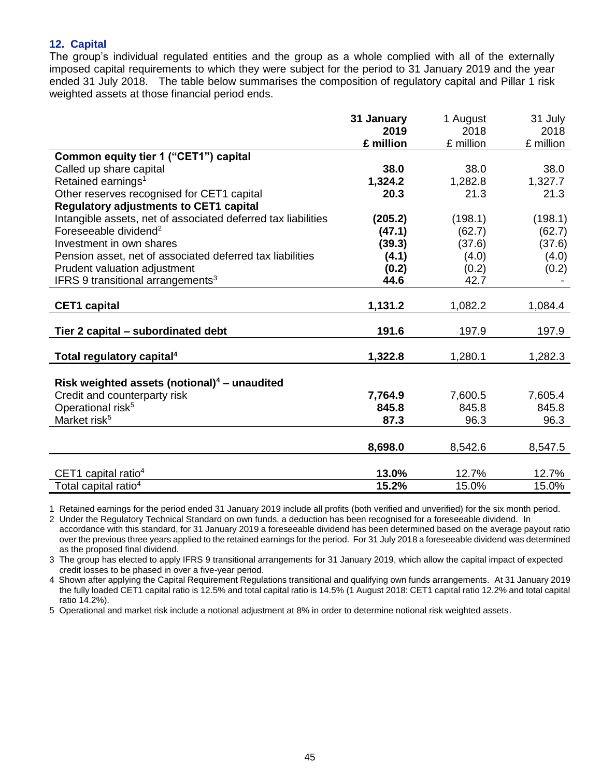## **12. Capital**

The group's individual regulated entities and the group as a whole complied with all of the externally imposed capital requirements to which they were subject for the period to 31 January 2019 and the year ended 31 July 2018. The table below summarises the composition of regulatory capital and Pillar 1 risk weighted assets at those financial period ends.

|                                                               | 31 January | 1 August  | 31 July   |
|---------------------------------------------------------------|------------|-----------|-----------|
|                                                               | 2019       | 2018      | 2018      |
|                                                               | £ million  | £ million | £ million |
| Common equity tier 1 ("CET1") capital                         |            |           |           |
| Called up share capital                                       | 38.0       | 38.0      | 38.0      |
| Retained earnings <sup>1</sup>                                | 1,324.2    | 1,282.8   | 1,327.7   |
| Other reserves recognised for CET1 capital                    | 20.3       | 21.3      | 21.3      |
| <b>Regulatory adjustments to CET1 capital</b>                 |            |           |           |
| Intangible assets, net of associated deferred tax liabilities | (205.2)    | (198.1)   | (198.1)   |
| Foreseeable dividend <sup>2</sup>                             | (47.1)     | (62.7)    | (62.7)    |
| Investment in own shares                                      | (39.3)     | (37.6)    | (37.6)    |
| Pension asset, net of associated deferred tax liabilities     | (4.1)      | (4.0)     | (4.0)     |
| Prudent valuation adjustment                                  | (0.2)      | (0.2)     | (0.2)     |
| IFRS 9 transitional arrangements <sup>3</sup>                 | 44.6       | 42.7      |           |
|                                                               |            |           |           |
| <b>CET1 capital</b>                                           | 1,131.2    | 1,082.2   | 1,084.4   |
| Tier 2 capital - subordinated debt                            | 191.6      | 197.9     | 197.9     |
| Total regulatory capital <sup>4</sup>                         | 1,322.8    | 1,280.1   | 1,282.3   |
|                                                               |            |           |           |
| Risk weighted assets (notional) $4$ – unaudited               |            |           |           |
| Credit and counterparty risk                                  | 7,764.9    | 7,600.5   | 7,605.4   |
| Operational risk <sup>5</sup>                                 | 845.8      | 845.8     | 845.8     |
| Market risk <sup>5</sup>                                      | 87.3       | 96.3      | 96.3      |
|                                                               |            |           |           |
|                                                               | 8,698.0    | 8,542.6   | 8,547.5   |
|                                                               |            |           |           |
| CET1 capital ratio $4$                                        | 13.0%      | 12.7%     | 12.7%     |
| Total capital ratio <sup>4</sup>                              | 15.2%      | 15.0%     | 15.0%     |

1 Retained earnings for the period ended 31 January 2019 include all profits (both verified and unverified) for the six month period.

2 Under the Regulatory Technical Standard on own funds, a deduction has been recognised for a foreseeable dividend. In accordance with this standard, for 31 January 2019 a foreseeable dividend has been determined based on the average payout ratio over the previous three years applied to the retained earnings for the period. For 31 July 2018 a foreseeable dividend was determined as the proposed final dividend.

3 The group has elected to apply IFRS 9 transitional arrangements for 31 January 2019, which allow the capital impact of expected credit losses to be phased in over a five-year period.

4 Shown after applying the Capital Requirement Regulations transitional and qualifying own funds arrangements. At 31 January 2019 the fully loaded CET1 capital ratio is 12.5% and total capital ratio is 14.5% (1 August 2018: CET1 capital ratio 12.2% and total capital ratio 14.2%).

5 Operational and market risk include a notional adjustment at 8% in order to determine notional risk weighted assets.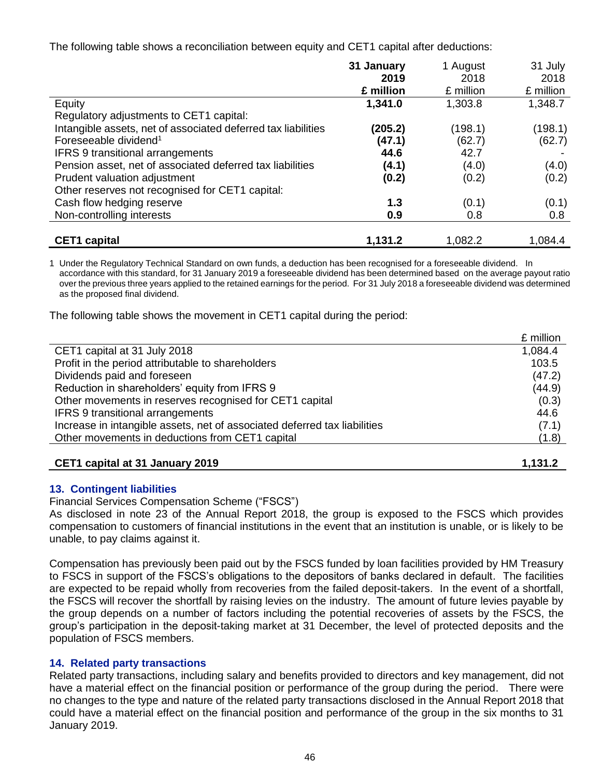The following table shows a reconciliation between equity and CET1 capital after deductions:

|                                                               | 31 January | 1 August  | 31 July   |
|---------------------------------------------------------------|------------|-----------|-----------|
|                                                               | 2019       | 2018      | 2018      |
|                                                               | £ million  | £ million | £ million |
| Equity                                                        | 1,341.0    | 1,303.8   | 1,348.7   |
| Regulatory adjustments to CET1 capital:                       |            |           |           |
| Intangible assets, net of associated deferred tax liabilities | (205.2)    | (198.1)   | (198.1)   |
| Foreseeable dividend <sup>1</sup>                             | (47.1)     | (62.7)    | (62.7)    |
| <b>IFRS 9 transitional arrangements</b>                       | 44.6       | 42.7      |           |
| Pension asset, net of associated deferred tax liabilities     | (4.1)      | (4.0)     | (4.0)     |
| Prudent valuation adjustment                                  | (0.2)      | (0.2)     | (0.2)     |
| Other reserves not recognised for CET1 capital:               |            |           |           |
| Cash flow hedging reserve                                     | 1.3        | (0.1)     | (0.1)     |
| Non-controlling interests                                     | 0.9        | 0.8       | 0.8       |
|                                                               |            |           |           |
| <b>CET1</b> capital                                           | 1,131.2    | 1,082.2   | 1,084.4   |

1 Under the Regulatory Technical Standard on own funds, a deduction has been recognised for a foreseeable dividend. In accordance with this standard, for 31 January 2019 a foreseeable dividend has been determined based on the average payout ratio over the previous three years applied to the retained earnings for the period. For 31 July 2018 a foreseeable dividend was determined as the proposed final dividend.

The following table shows the movement in CET1 capital during the period:

|                                                                           | £ million |
|---------------------------------------------------------------------------|-----------|
| CET1 capital at 31 July 2018                                              | 1,084.4   |
| Profit in the period attributable to shareholders                         | 103.5     |
| Dividends paid and foreseen                                               | (47.2)    |
| Reduction in shareholders' equity from IFRS 9                             | (44.9)    |
| Other movements in reserves recognised for CET1 capital                   | (0.3)     |
| <b>IFRS 9 transitional arrangements</b>                                   | 44.6      |
| Increase in intangible assets, net of associated deferred tax liabilities | (7.1)     |
| Other movements in deductions from CET1 capital                           | (1.8)     |
|                                                                           |           |
| CET1 capital at 31 January 2019                                           | 1,131.2   |

# **13. Contingent liabilities**

Financial Services Compensation Scheme ("FSCS")

As disclosed in note 23 of the Annual Report 2018, the group is exposed to the FSCS which provides compensation to customers of financial institutions in the event that an institution is unable, or is likely to be unable, to pay claims against it.

Compensation has previously been paid out by the FSCS funded by loan facilities provided by HM Treasury to FSCS in support of the FSCS's obligations to the depositors of banks declared in default. The facilities are expected to be repaid wholly from recoveries from the failed deposit-takers. In the event of a shortfall, the FSCS will recover the shortfall by raising levies on the industry. The amount of future levies payable by the group depends on a number of factors including the potential recoveries of assets by the FSCS, the group's participation in the deposit-taking market at 31 December, the level of protected deposits and the population of FSCS members.

### **14. Related party transactions**

Related party transactions, including salary and benefits provided to directors and key management, did not have a material effect on the financial position or performance of the group during the period. There were no changes to the type and nature of the related party transactions disclosed in the Annual Report 2018 that could have a material effect on the financial position and performance of the group in the six months to 31 January 2019.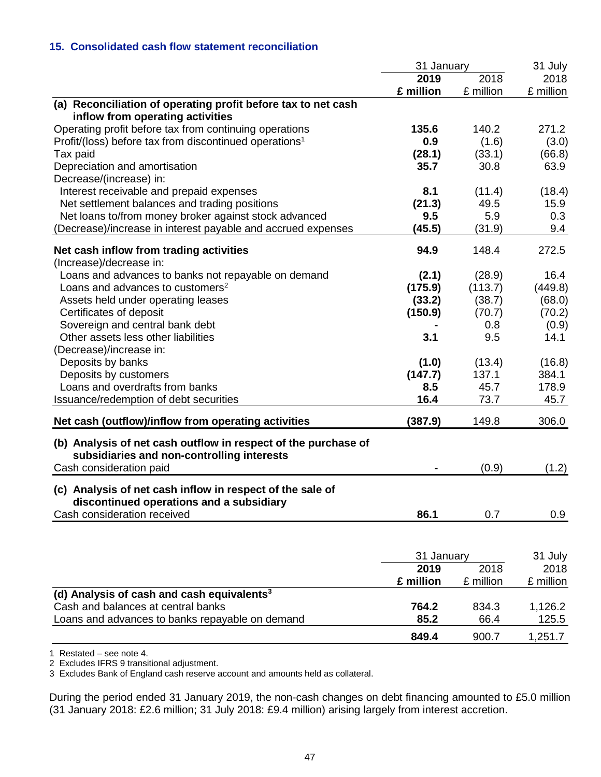## **15. Consolidated cash flow statement reconciliation**

|                                                                                                       | 31 January |           | 31 July   |
|-------------------------------------------------------------------------------------------------------|------------|-----------|-----------|
|                                                                                                       | 2019       | 2018      | 2018      |
|                                                                                                       | £ million  | £ million | £ million |
| (a) Reconciliation of operating profit before tax to net cash<br>inflow from operating activities     |            |           |           |
| Operating profit before tax from continuing operations                                                | 135.6      | 140.2     | 271.2     |
| Profit/(loss) before tax from discontinued operations <sup>1</sup>                                    | 0.9        | (1.6)     | (3.0)     |
| Tax paid                                                                                              | (28.1)     | (33.1)    | (66.8)    |
| Depreciation and amortisation                                                                         | 35.7       | 30.8      | 63.9      |
| Decrease/(increase) in:                                                                               |            |           |           |
| Interest receivable and prepaid expenses                                                              | 8.1        | (11.4)    | (18.4)    |
| Net settlement balances and trading positions                                                         | (21.3)     | 49.5      | 15.9      |
| Net loans to/from money broker against stock advanced                                                 | 9.5        | 5.9       | 0.3       |
| (Decrease)/increase in interest payable and accrued expenses                                          | (45.5)     | (31.9)    | 9.4       |
| Net cash inflow from trading activities                                                               | 94.9       | 148.4     | 272.5     |
| (Increase)/decrease in:                                                                               |            |           |           |
| Loans and advances to banks not repayable on demand                                                   | (2.1)      | (28.9)    | 16.4      |
| Loans and advances to customers <sup>2</sup>                                                          | (175.9)    | (113.7)   | (449.8)   |
| Assets held under operating leases                                                                    | (33.2)     | (38.7)    | (68.0)    |
| Certificates of deposit                                                                               | (150.9)    | (70.7)    | (70.2)    |
| Sovereign and central bank debt                                                                       |            | 0.8       | (0.9)     |
| Other assets less other liabilities                                                                   | 3.1        | 9.5       | 14.1      |
| (Decrease)/increase in:                                                                               |            |           |           |
| Deposits by banks                                                                                     | (1.0)      | (13.4)    | (16.8)    |
| Deposits by customers                                                                                 | (147.7)    | 137.1     | 384.1     |
| Loans and overdrafts from banks                                                                       | 8.5        | 45.7      | 178.9     |
| Issuance/redemption of debt securities                                                                | 16.4       | 73.7      | 45.7      |
| Net cash (outflow)/inflow from operating activities                                                   | (387.9)    | 149.8     | 306.0     |
| (b) Analysis of net cash outflow in respect of the purchase of                                        |            |           |           |
| subsidiaries and non-controlling interests                                                            |            |           |           |
| Cash consideration paid                                                                               |            | (0.9)     | (1.2)     |
| (c) Analysis of net cash inflow in respect of the sale of<br>discontinued operations and a subsidiary |            |           |           |
| Cash consideration received                                                                           | 86.1       | 0.7       | 0.9       |
|                                                                                                       |            |           |           |
|                                                                                                       | 31 January |           | 31 July   |
|                                                                                                       | 2019       | 2018      | 2018      |
|                                                                                                       | £ million  | £ million | £ million |
| (d) Analysis of cash and cash equivalents <sup>3</sup>                                                |            |           |           |
| Cash and balances at central banks                                                                    | 764.2      | 834.3     | 1,126.2   |
| Loans and advances to banks repayable on demand                                                       | 85.2       | 66.4      | 125.5     |
|                                                                                                       | 849.4      | 900.7     | 1,251.7   |

1 Restated – see note 4.

2 Excludes IFRS 9 transitional adjustment.

3 Excludes Bank of England cash reserve account and amounts held as collateral.

During the period ended 31 January 2019, the non-cash changes on debt financing amounted to £5.0 million (31 January 2018: £2.6 million; 31 July 2018: £9.4 million) arising largely from interest accretion.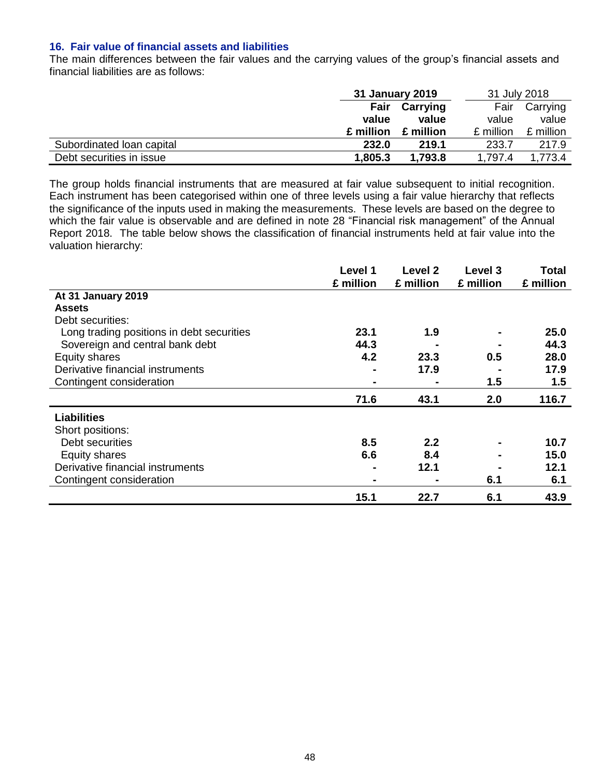### **16. Fair value of financial assets and liabilities**

The main differences between the fair values and the carrying values of the group's financial assets and financial liabilities are as follows:

|                           | 31 January 2019 |           | 31 July 2018 |           |  |
|---------------------------|-----------------|-----------|--------------|-----------|--|
|                           | Fair            | Carrying  | Fair         | Carrying  |  |
|                           | value           | value     | value        | value     |  |
|                           | £ million       | £ million | £ million    | £ million |  |
| Subordinated Ioan capital | 232.0           | 219.1     | 233.7        | 217.9     |  |
| Debt securities in issue  | 1,805.3         | 1,793.8   | 1,797.4      | 1.773.4   |  |

The group holds financial instruments that are measured at fair value subsequent to initial recognition. Each instrument has been categorised within one of three levels using a fair value hierarchy that reflects the significance of the inputs used in making the measurements. These levels are based on the degree to which the fair value is observable and are defined in note 28 "Financial risk management" of the Annual Report 2018. The table below shows the classification of financial instruments held at fair value into the valuation hierarchy:

|                                           | Level 1        | Level 2   | Level 3   | Total     |
|-------------------------------------------|----------------|-----------|-----------|-----------|
|                                           | £ million      | £ million | £ million | £ million |
| At 31 January 2019                        |                |           |           |           |
| <b>Assets</b>                             |                |           |           |           |
| Debt securities:                          |                |           |           |           |
| Long trading positions in debt securities | 23.1           | 1.9       |           | 25.0      |
| Sovereign and central bank debt           | 44.3           |           |           | 44.3      |
| Equity shares                             | 4.2            | 23.3      | 0.5       | 28.0      |
| Derivative financial instruments          | -              | 17.9      |           | 17.9      |
| Contingent consideration                  | $\blacksquare$ |           | 1.5       | 1.5       |
|                                           | 71.6           | 43.1      | 2.0       | 116.7     |
| <b>Liabilities</b>                        |                |           |           |           |
| Short positions:                          |                |           |           |           |
| Debt securities                           | 8.5            | 2.2       |           | 10.7      |
| Equity shares                             | 6.6            | 8.4       |           | 15.0      |
| Derivative financial instruments          | -              | 12.1      |           | 12.1      |
| Contingent consideration                  | $\blacksquare$ |           | 6.1       | 6.1       |
|                                           | 15.1           | 22.7      | 6.1       | 43.9      |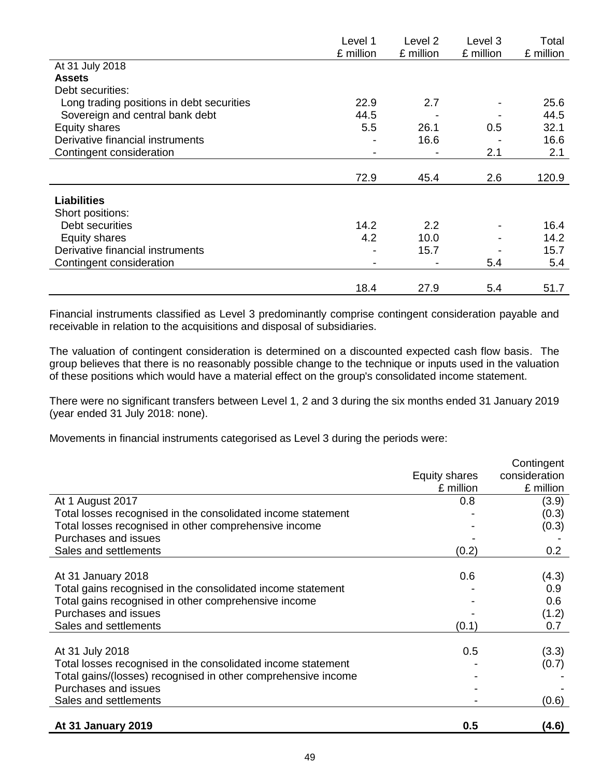|                                           | Level 1   | Level 2   | Level 3   | Total     |
|-------------------------------------------|-----------|-----------|-----------|-----------|
|                                           | £ million | £ million | £ million | £ million |
| At 31 July 2018                           |           |           |           |           |
| <b>Assets</b>                             |           |           |           |           |
| Debt securities:                          |           |           |           |           |
| Long trading positions in debt securities | 22.9      | 2.7       |           | 25.6      |
| Sovereign and central bank debt           | 44.5      |           |           | 44.5      |
| Equity shares                             | 5.5       | 26.1      | 0.5       | 32.1      |
| Derivative financial instruments          |           | 16.6      |           | 16.6      |
| Contingent consideration                  |           |           | 2.1       | 2.1       |
|                                           |           |           |           |           |
|                                           | 72.9      | 45.4      | 2.6       | 120.9     |
| <b>Liabilities</b>                        |           |           |           |           |
| Short positions:                          |           |           |           |           |
| Debt securities                           | 14.2      | 2.2       |           | 16.4      |
| Equity shares                             | 4.2       | 10.0      |           | 14.2      |
| Derivative financial instruments          |           | 15.7      |           | 15.7      |
| Contingent consideration                  |           |           | 5.4       | 5.4       |
|                                           |           |           |           |           |
|                                           | 18.4      | 27.9      | 5.4       | 51.7      |

Financial instruments classified as Level 3 predominantly comprise contingent consideration payable and receivable in relation to the acquisitions and disposal of subsidiaries.

The valuation of contingent consideration is determined on a discounted expected cash flow basis. The group believes that there is no reasonably possible change to the technique or inputs used in the valuation of these positions which would have a material effect on the group's consolidated income statement.

There were no significant transfers between Level 1, 2 and 3 during the six months ended 31 January 2019 (year ended 31 July 2018: none).

Movements in financial instruments categorised as Level 3 during the periods were:

|                                                               |               | Contingent    |
|---------------------------------------------------------------|---------------|---------------|
|                                                               | Equity shares | consideration |
|                                                               | £ million     | £ million     |
| At 1 August 2017                                              | 0.8           | (3.9)         |
| Total losses recognised in the consolidated income statement  |               | (0.3)         |
| Total losses recognised in other comprehensive income         |               | (0.3)         |
| Purchases and issues                                          |               |               |
| Sales and settlements                                         | (0.2)         | 0.2           |
|                                                               |               |               |
| At 31 January 2018                                            | 0.6           | (4.3)         |
| Total gains recognised in the consolidated income statement   |               | 0.9           |
| Total gains recognised in other comprehensive income          |               | 0.6           |
| Purchases and issues                                          |               | (1.2)         |
| Sales and settlements                                         | (0.1)         | 0.7           |
|                                                               |               |               |
| At 31 July 2018                                               | 0.5           | (3.3)         |
| Total losses recognised in the consolidated income statement  |               | (0.7)         |
| Total gains/(losses) recognised in other comprehensive income |               |               |
| Purchases and issues                                          |               |               |
| Sales and settlements                                         |               | (0.6)         |
|                                                               |               |               |
| At 31 January 2019                                            | 0.5           | (4.6)         |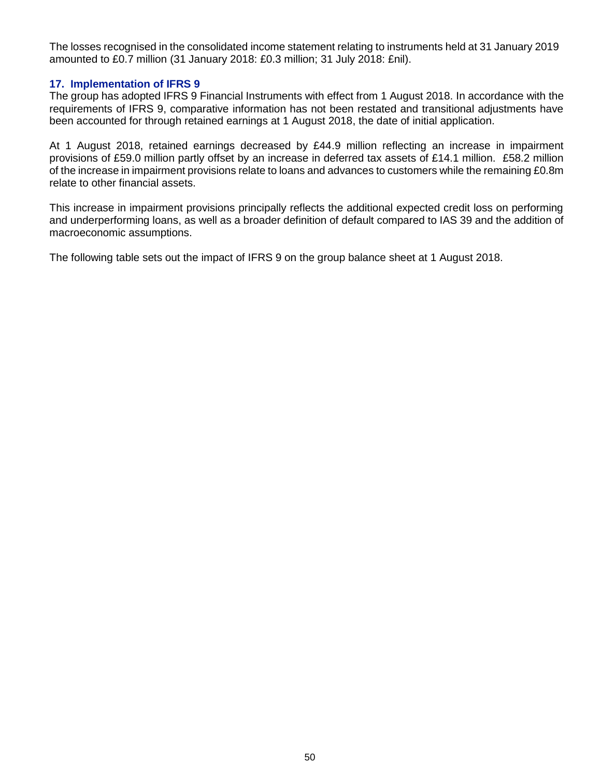The losses recognised in the consolidated income statement relating to instruments held at 31 January 2019 amounted to £0.7 million (31 January 2018: £0.3 million; 31 July 2018: £nil).

### **17. Implementation of IFRS 9**

The group has adopted IFRS 9 Financial Instruments with effect from 1 August 2018. In accordance with the requirements of IFRS 9, comparative information has not been restated and transitional adjustments have been accounted for through retained earnings at 1 August 2018, the date of initial application.

At 1 August 2018, retained earnings decreased by £44.9 million reflecting an increase in impairment provisions of £59.0 million partly offset by an increase in deferred tax assets of £14.1 million. £58.2 million of the increase in impairment provisions relate to loans and advances to customers while the remaining £0.8m relate to other financial assets.

This increase in impairment provisions principally reflects the additional expected credit loss on performing and underperforming loans, as well as a broader definition of default compared to IAS 39 and the addition of macroeconomic assumptions.

The following table sets out the impact of IFRS 9 on the group balance sheet at 1 August 2018.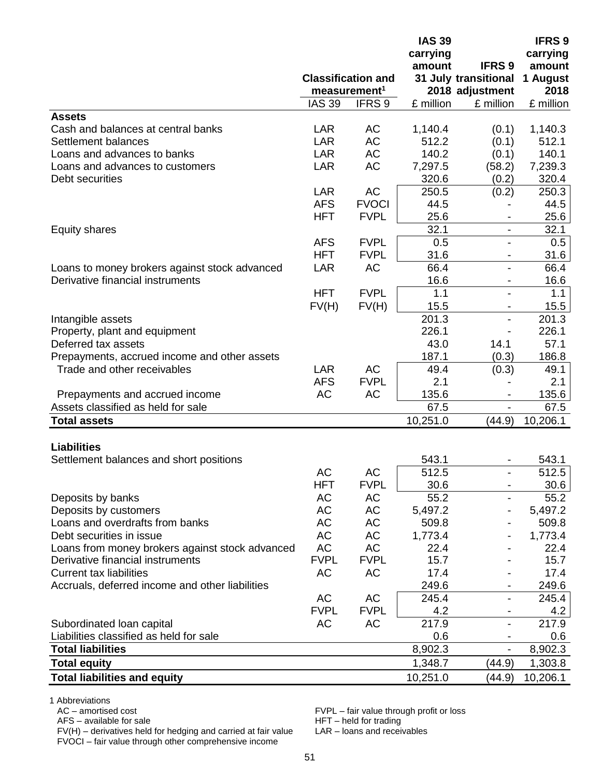|                                                 |               |                           | <b>IAS 39</b> |                          | <b>IFRS 9</b> |  |
|-------------------------------------------------|---------------|---------------------------|---------------|--------------------------|---------------|--|
|                                                 |               |                           | carrying      |                          | carrying      |  |
|                                                 |               |                           | amount        | <b>IFRS 9</b>            | amount        |  |
|                                                 |               | <b>Classification and</b> |               | 31 July transitional     | 1 August      |  |
|                                                 |               | measurement <sup>1</sup>  |               | 2018 adjustment          | 2018          |  |
|                                                 | <b>IAS 39</b> | IFRS <sub>9</sub>         | £ million     | £ million                | £ million     |  |
| <b>Assets</b>                                   |               |                           |               |                          |               |  |
| Cash and balances at central banks              | LAR           | AC                        | 1,140.4       | (0.1)                    | 1,140.3       |  |
| Settlement balances                             | <b>LAR</b>    | <b>AC</b>                 | 512.2         | (0.1)                    | 512.1         |  |
| Loans and advances to banks                     | <b>LAR</b>    | AC                        | 140.2         | (0.1)                    | 140.1         |  |
| Loans and advances to customers                 | <b>LAR</b>    | <b>AC</b>                 | 7,297.5       | (58.2)                   | 7,239.3       |  |
| Debt securities                                 |               |                           | 320.6         | (0.2)                    | 320.4         |  |
|                                                 | <b>LAR</b>    | AC                        | 250.5         | (0.2)                    | 250.3         |  |
|                                                 | <b>AFS</b>    | <b>FVOCI</b>              | 44.5          |                          | 44.5          |  |
|                                                 | <b>HFT</b>    | <b>FVPL</b>               | 25.6          |                          | 25.6          |  |
| <b>Equity shares</b>                            |               |                           | 32.1          |                          | 32.1          |  |
|                                                 | <b>AFS</b>    | <b>FVPL</b>               | 0.5           |                          | 0.5           |  |
|                                                 | <b>HFT</b>    | <b>FVPL</b>               | 31.6          | $\overline{\phantom{a}}$ | 31.6          |  |
| Loans to money brokers against stock advanced   | <b>LAR</b>    | AC                        | 66.4          |                          | 66.4          |  |
| Derivative financial instruments                |               |                           | 16.6          |                          | 16.6          |  |
|                                                 | <b>HFT</b>    | <b>FVPL</b>               | 1.1           |                          | 1.1           |  |
|                                                 | FV(H)         | FV(H)                     | 15.5          |                          | 15.5          |  |
| Intangible assets                               |               |                           | 201.3         |                          | 201.3         |  |
| Property, plant and equipment                   |               |                           | 226.1         |                          | 226.1         |  |
| Deferred tax assets                             |               |                           | 43.0          | 14.1                     | 57.1          |  |
|                                                 |               |                           |               |                          | 186.8         |  |
| Prepayments, accrued income and other assets    |               |                           | 187.1         | (0.3)                    |               |  |
| Trade and other receivables                     | <b>LAR</b>    | <b>AC</b>                 | 49.4          | (0.3)                    | 49.1          |  |
|                                                 | <b>AFS</b>    | <b>FVPL</b>               | 2.1           |                          | 2.1           |  |
| Prepayments and accrued income                  | AC            | AC                        | 135.6         |                          | 135.6         |  |
| Assets classified as held for sale              |               |                           | 67.5          |                          | 67.5          |  |
| <b>Total assets</b>                             |               |                           | 10,251.0      | (44.9)                   | 10,206.1      |  |
|                                                 |               |                           |               |                          |               |  |
| <b>Liabilities</b>                              |               |                           |               |                          |               |  |
| Settlement balances and short positions         |               |                           | 543.1         |                          | 543.1         |  |
|                                                 | AC            | AC                        | 512.5         |                          | 512.5         |  |
|                                                 | HFT           | <b>FVPL</b>               | 30.6          |                          | 30.6          |  |
| Deposits by banks                               | AC            | AC                        | 55.2          |                          | 55.2          |  |
| Deposits by customers                           | AC            | AC                        | 5,497.2       |                          | 5,497.2       |  |
| Loans and overdrafts from banks                 | AC            | AC                        | 509.8         |                          | 509.8         |  |
| Debt securities in issue                        | AC            | AC                        | 1,773.4       |                          | 1,773.4       |  |
| Loans from money brokers against stock advanced | <b>AC</b>     | AC                        | 22.4          |                          | 22.4          |  |
| Derivative financial instruments                | <b>FVPL</b>   | <b>FVPL</b>               | 15.7          |                          | 15.7          |  |
| <b>Current tax liabilities</b>                  | AC            | AC                        | 17.4          |                          | 17.4          |  |
| Accruals, deferred income and other liabilities |               |                           | 249.6         |                          | 249.6         |  |
|                                                 | AC            | AC                        | 245.4         | $\blacksquare$           | 245.4         |  |
|                                                 | <b>FVPL</b>   | <b>FVPL</b>               | 4.2           |                          | 4.2           |  |
| Subordinated loan capital                       | AC            | AC                        | 217.9         |                          | 217.9         |  |
| Liabilities classified as held for sale         |               |                           | 0.6           |                          | 0.6           |  |
| <b>Total liabilities</b>                        |               |                           | 8,902.3       | $\overline{\phantom{a}}$ | 8,902.3       |  |
| <b>Total equity</b>                             |               |                           | 1,348.7       | (44.9)                   | 1,303.8       |  |
|                                                 |               |                           |               |                          |               |  |
| <b>Total liabilities and equity</b>             |               |                           | 10,251.0      | (44.9)                   | 10,206.1      |  |

1 Abbreviations<br>AC – amortised cost

 $AFS$  – available for sale<br>FV(H) – derivatives held for hedging and carried at fair value LAR – loans and receivables FV(H) – derivatives held for hedging and carried at fair value LAR – loans and receivables FVOCI – fair value through other comprehensive income

FVPL – fair value through profit or loss<br>HFT – held for trading